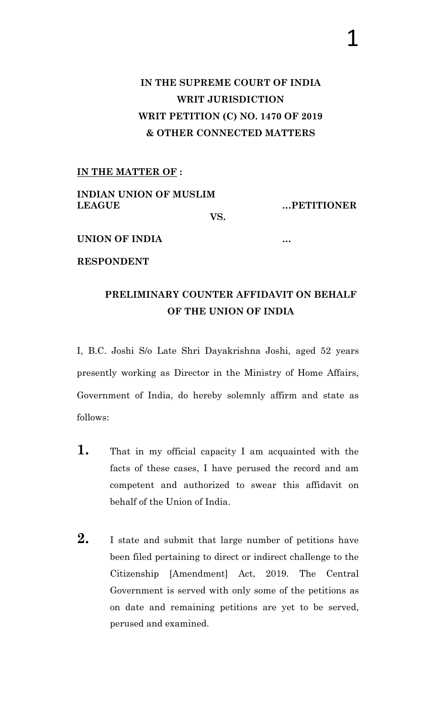## **IN THE SUPREME COURT OF INDIA WRIT JURISDICTION WRIT PETITION (C) NO. 1470 OF 2019 & OTHER CONNECTED MATTERS**

#### **IN THE MATTER OF :**

**INDIAN UNION OF MUSLIM LEAGUE …PETITIONER**

**VS.**

#### **UNION OF INDIA …**

**RESPONDENT**

## **PRELIMINARY COUNTER AFFIDAVIT ON BEHALF OF THE UNION OF INDIA**

I, B.C. Joshi S/o Late Shri Dayakrishna Joshi, aged 52 years presently working as Director in the Ministry of Home Affairs, Government of India, do hereby solemnly affirm and state as follows:

- **1.** That in my official capacity I am acquainted with the facts of these cases, I have perused the record and am competent and authorized to swear this affidavit on behalf of the Union of India.
- **2.** I state and submit that large number of petitions have been filed pertaining to direct or indirect challenge to the Citizenship [Amendment] Act, 2019. The Central Government is served with only some of the petitions as on date and remaining petitions are yet to be served, perused and examined.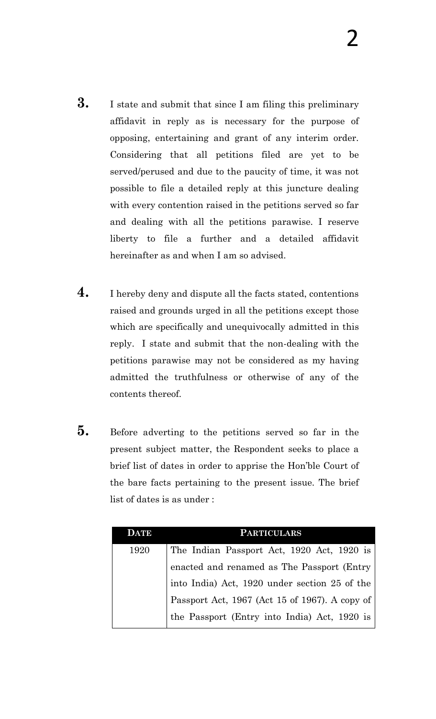- **3.** I state and submit that since I am filing this preliminary affidavit in reply as is necessary for the purpose of opposing, entertaining and grant of any interim order. Considering that all petitions filed are yet to be served/perused and due to the paucity of time, it was not possible to file a detailed reply at this juncture dealing with every contention raised in the petitions served so far and dealing with all the petitions parawise. I reserve liberty to file a further and a detailed affidavit hereinafter as and when I am so advised.
- **4.** I hereby deny and dispute all the facts stated, contentions raised and grounds urged in all the petitions except those which are specifically and unequivocally admitted in this reply. I state and submit that the non-dealing with the petitions parawise may not be considered as my having admitted the truthfulness or otherwise of any of the contents thereof.
- **5.** Before adverting to the petitions served so far in the present subject matter, the Respondent seeks to place a brief list of dates in order to apprise the Hon"ble Court of the bare facts pertaining to the present issue. The brief list of dates is as under :

| <b>ATE</b> | <b>PARTICULARS</b>                             |
|------------|------------------------------------------------|
| 1920       | The Indian Passport Act, 1920 Act, 1920 is     |
|            | enacted and renamed as The Passport (Entry     |
|            | into India) Act, 1920 under section 25 of the  |
|            | Passport Act, 1967 (Act 15 of 1967). A copy of |
|            | the Passport (Entry into India) Act, 1920 is   |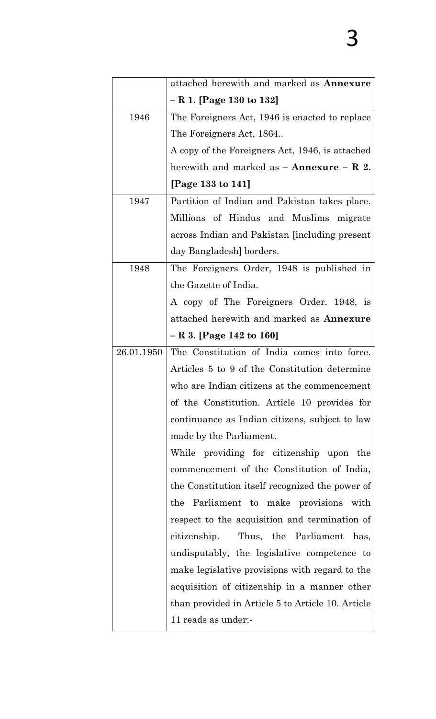|            | attached herewith and marked as <b>Annexure</b>            |
|------------|------------------------------------------------------------|
|            | – R 1. [Page 130 to 132]                                   |
| 1946       | The Foreigners Act, 1946 is enacted to replace             |
|            | The Foreigners Act, 1864                                   |
|            | A copy of the Foreigners Act, 1946, is attached            |
|            | herewith and marked as $-$ <b>Annexure</b> $-$ <b>R</b> 2. |
|            | [Page 133 to 141]                                          |
| 1947       | Partition of Indian and Pakistan takes place.              |
|            | Millions of Hindus and Muslims migrate                     |
|            | across Indian and Pakistan [including present]             |
|            | day Bangladesh] borders.                                   |
| 1948       | The Foreigners Order, 1948 is published in                 |
|            | the Gazette of India.                                      |
|            | A copy of The Foreigners Order, 1948, is                   |
|            | attached herewith and marked as <b>Annexure</b>            |
|            | – R 3. [Page 142 to 160]                                   |
| 26.01.1950 | The Constitution of India comes into force.                |
|            | Articles 5 to 9 of the Constitution determine              |
|            | who are Indian citizens at the commencement                |
|            | of the Constitution. Article 10 provides for               |
|            | continuance as Indian citizens, subject to law             |
|            | made by the Parliament.                                    |
|            | While providing for citizenship upon the                   |
|            | commencement of the Constitution of India,                 |
|            | the Constitution itself recognized the power of            |
|            | the Parliament to make provisions with                     |
|            | respect to the acquisition and termination of              |
|            | Thus, the Parliament has,<br>citizenship.                  |
|            | undisputably, the legislative competence to                |
|            | make legislative provisions with regard to the             |
|            | acquisition of citizenship in a manner other               |
|            | than provided in Article 5 to Article 10. Article          |
|            | 11 reads as under:-                                        |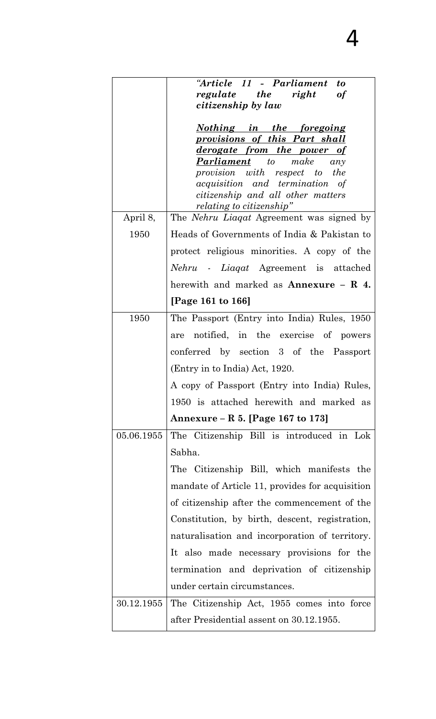|            | "Article 11 - Parliament<br>to                                                |
|------------|-------------------------------------------------------------------------------|
|            | regulate the right<br><b>of</b><br>citizenship by law                         |
|            |                                                                               |
|            | <u>Nothing in the foregoing</u>                                               |
|            | provisions of this Part shall                                                 |
|            | <u>derogate from the power of</u>                                             |
|            | make<br><b>Parliament</b> to<br>any                                           |
|            | provision with respect to the<br><i>acquisition</i> and <i>termination</i> of |
|            | citizenship and all other matters                                             |
|            | <i>relating to citizenship</i> "                                              |
| April 8,   | The <i>Nehru Liaqat</i> Agreement was signed by                               |
| 1950       | Heads of Governments of India & Pakistan to                                   |
|            | protect religious minorities. A copy of the                                   |
|            | Nehru - Liaqat Agreement is attached                                          |
|            | herewith and marked as <b>Annexure</b> $-$ <b>R</b> 4.                        |
|            | [Page 161 to 166]                                                             |
| 1950       | The Passport (Entry into India) Rules, 1950                                   |
|            | notified, in the exercise of powers<br>are                                    |
|            | conferred by section 3 of the Passport                                        |
|            | (Entry in to India) Act, 1920.                                                |
|            | A copy of Passport (Entry into India) Rules,                                  |
|            | 1950 is attached herewith and marked as                                       |
|            | Annexure – R 5. [Page 167 to 173]                                             |
| 05.06.1955 | The Citizenship Bill is introduced in Lok                                     |
|            | Sabha.                                                                        |
|            | The Citizenship Bill, which manifests the                                     |
|            | mandate of Article 11, provides for acquisition                               |
|            | of citizenship after the commencement of the                                  |
|            | Constitution, by birth, descent, registration,                                |
|            | naturalisation and incorporation of territory.                                |
|            | It also made necessary provisions for the                                     |
|            | termination and deprivation of citizenship                                    |
|            | under certain circumstances.                                                  |
| 30.12.1955 | The Citizenship Act, 1955 comes into force                                    |
|            | after Presidential assent on 30.12.1955.                                      |

4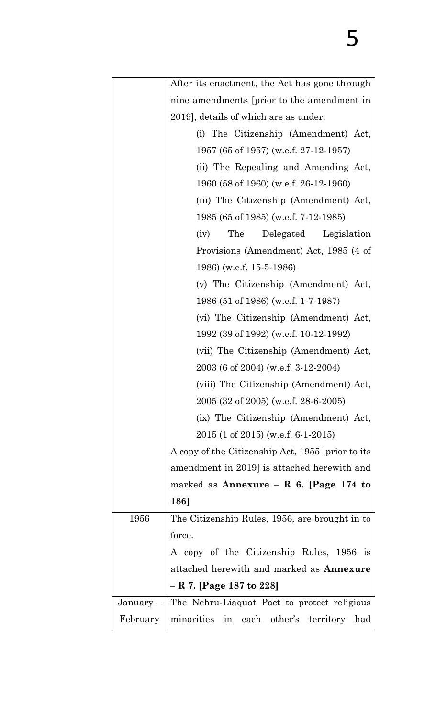|             | After its enactment, the Act has gone through     |
|-------------|---------------------------------------------------|
|             | nine amendments [prior to the amendment in        |
|             | 2019], details of which are as under:             |
|             | (i) The Citizenship (Amendment) Act,              |
|             | 1957 (65 of 1957) (w.e.f. 27-12-1957)             |
|             | (ii) The Repealing and Amending Act,              |
|             | 1960 (58 of 1960) (w.e.f. 26-12-1960)             |
|             | (iii) The Citizenship (Amendment) Act,            |
|             | 1985 (65 of 1985) (w.e.f. 7-12-1985)              |
|             | The<br>Legislation<br>Delegated<br>(iv)           |
|             | Provisions (Amendment) Act, 1985 (4 of            |
|             | 1986) (w.e.f. 15-5-1986)                          |
|             | (v) The Citizenship (Amendment) Act,              |
|             | 1986 (51 of 1986) (w.e.f. 1-7-1987)               |
|             | (vi) The Citizenship (Amendment) Act,             |
|             | 1992 (39 of 1992) (w.e.f. 10-12-1992)             |
|             | (vii) The Citizenship (Amendment) Act,            |
|             | 2003 (6 of 2004) (w.e.f. 3-12-2004)               |
|             | (viii) The Citizenship (Amendment) Act,           |
|             | 2005 (32 of 2005) (w.e.f. 28-6-2005)              |
|             | (ix) The Citizenship (Amendment) Act,             |
|             | $2015$ (1 of 2015) (w.e.f. 6-1-2015)              |
|             | A copy of the Citizenship Act, 1955 [prior to its |
|             | amendment in 2019] is attached herewith and       |
|             | marked as Annexure – R 6. [Page 174 to            |
|             | 186]                                              |
| 1956        | The Citizenship Rules, 1956, are brought in to    |
|             | force.                                            |
|             | A copy of the Citizenship Rules, 1956 is          |
|             | attached herewith and marked as <b>Annexure</b>   |
|             | - R 7. [Page 187 to 228]                          |
| $January -$ | The Nehru-Liaquat Pact to protect religious       |
| February    | minorities in<br>each other's territory<br>had    |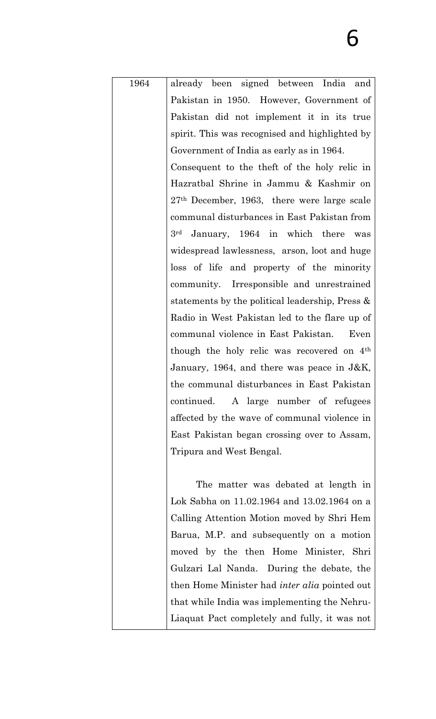| 1964 | already been signed between India and                  |
|------|--------------------------------------------------------|
|      | Pakistan in 1950. However, Government of               |
|      | Pakistan did not implement it in its true              |
|      | spirit. This was recognised and highlighted by         |
|      | Government of India as early as in 1964.               |
|      | Consequent to the theft of the holy relic in           |
|      | Hazratbal Shrine in Jammu & Kashmir on                 |
|      | $27th$ December, 1963, there were large scale          |
|      | communal disturbances in East Pakistan from            |
|      | 3 <sup>rd</sup> January, 1964 in which there was       |
|      | widespread lawlessness, arson, loot and huge           |
|      | loss of life and property of the minority              |
|      | community. Irresponsible and unrestrained              |
|      | statements by the political leadership, Press $\&$     |
|      | Radio in West Pakistan led to the flare up of          |
|      | communal violence in East Pakistan.<br>Even            |
|      | though the holy relic was recovered on 4 <sup>th</sup> |
|      | January, 1964, and there was peace in $J\&K$ ,         |
|      | the communal disturbances in East Pakistan             |
|      | continued. A large number of refugees                  |
|      | affected by the wave of communal violence in           |
|      | East Pakistan began crossing over to Assam,            |
|      | Tripura and West Bengal.                               |
|      |                                                        |
|      | The matter was debated at length in                    |
|      | Lok Sabha on 11.02.1964 and 13.02.1964 on a            |
|      | Calling Attention Motion moved by Shri Hem             |
|      | Barua, M.P. and subsequently on a motion               |
|      | moved by the then Home Minister, Shri                  |
|      | Gulzari Lal Nanda. During the debate, the              |
|      | then Home Minister had <i>inter alia</i> pointed out   |
|      | that while India was implementing the Nehru-           |
|      | Liaquat Pact completely and fully, it was not          |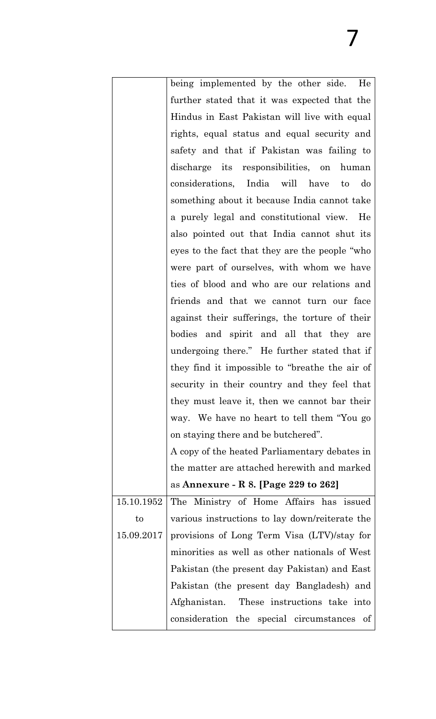|            | being implemented by the other side.<br>He      |
|------------|-------------------------------------------------|
|            | further stated that it was expected that the    |
|            | Hindus in East Pakistan will live with equal    |
|            | rights, equal status and equal security and     |
|            | safety and that if Pakistan was failing to      |
|            | discharge its responsibilities, on<br>human     |
|            | considerations, India will have<br>do<br>to     |
|            | something about it because India cannot take    |
|            | a purely legal and constitutional view.<br>He   |
|            | also pointed out that India cannot shut its     |
|            | eyes to the fact that they are the people "who  |
|            | were part of ourselves, with whom we have       |
|            | ties of blood and who are our relations and     |
|            | friends and that we cannot turn our face        |
|            | against their sufferings, the torture of their  |
|            | bodies and spirit and all that they are         |
|            | undergoing there." He further stated that if    |
|            | they find it impossible to "breathe the air of  |
|            | security in their country and they feel that    |
|            | they must leave it, then we cannot bar their    |
|            | way. We have no heart to tell them "You go      |
|            | on staying there and be butchered".             |
|            | A copy of the heated Parliamentary debates in   |
|            | the matter are attached herewith and marked     |
|            | as Annexure - R 8. [Page 229 to 262]            |
| 15.10.1952 | The Ministry of Home Affairs has issued         |
| $\rm{to}$  | various instructions to lay down/reiterate the  |
| 15.09.2017 | provisions of Long Term Visa (LTV)/stay for     |
|            | minorities as well as other nationals of West   |
|            | Pakistan (the present day Pakistan) and East    |
|            | Pakistan (the present day Bangladesh) and       |
|            | Afghanistan. These instructions take into       |
|            | consideration the special circumstances<br>- of |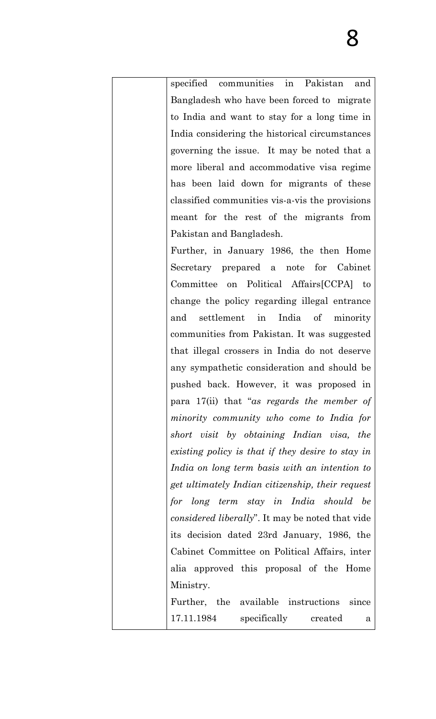specified communities in Pakistan and Bangladesh who have been forced to migrate to India and want to stay for a long time in India considering the historical circumstances governing the issue. It may be noted that a more liberal and accommodative visa regime has been laid down for migrants of these classified communities vis-a-vis the provisions meant for the rest of the migrants from Pakistan and Bangladesh. Further, in January 1986, the then Home Secretary prepared a note for Cabinet Committee on Political Affairs[CCPA] to change the policy regarding illegal entrance and settlement in India of minority communities from Pakistan. It was suggested that illegal crossers in India do not deserve any sympathetic consideration and should be pushed back. However, it was proposed in para 17(ii) that "*as regards the member of minority community who come to India for short visit by obtaining Indian visa, the existing policy is that if they desire to stay in India on long term basis with an intention to get ultimately Indian citizenship, their request for long term stay in India should be considered liberally*". It may be noted that vide its decision dated 23rd January, 1986, the Cabinet Committee on Political Affairs, inter alia approved this proposal of the Home Ministry. Further, the available instructions since

17.11.1984 specifically created a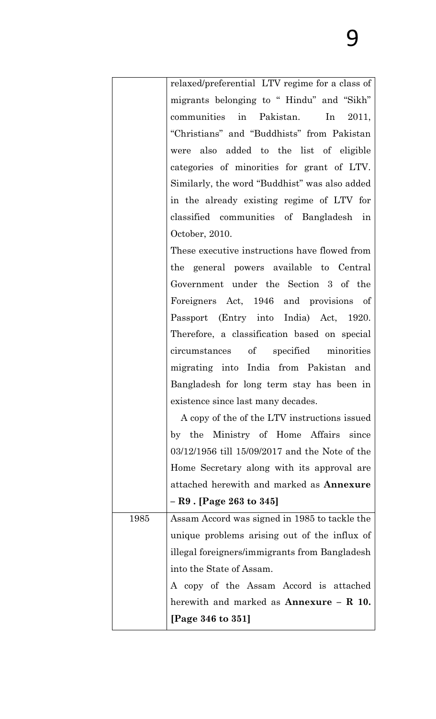|      | relaxed/preferential LTV regime for a class of |
|------|------------------------------------------------|
|      | migrants belonging to "Hindu" and "Sikh"       |
|      | communities in Pakistan. In<br>2011,           |
|      | "Christians" and "Buddhists" from Pakistan     |
|      | were also added to the list of eligible        |
|      | categories of minorities for grant of LTV.     |
|      | Similarly, the word "Buddhist" was also added  |
|      | in the already existing regime of LTV for      |
|      | classified communities of Bangladesh in        |
|      | October, 2010.                                 |
|      | These executive instructions have flowed from  |
|      | the general powers available to Central        |
|      | Government under the Section 3 of the          |
|      | Foreigners Act, 1946 and provisions of         |
|      | Passport (Entry into India) Act, 1920.         |
|      | Therefore, a classification based on special   |
|      | circumstances of specified minorities          |
|      | migrating into India from Pakistan and         |
|      | Bangladesh for long term stay has been in      |
|      | existence since last many decades.             |
|      | A copy of the of the LTV instructions issued   |
|      | by the Ministry of Home Affairs<br>since       |
|      | 03/12/1956 till 15/09/2017 and the Note of the |
|      | Home Secretary along with its approval are     |
|      | attached herewith and marked as Annexure       |
|      | $-$ R9 . [Page 263 to 345]                     |
| 1985 | Assam Accord was signed in 1985 to tackle the  |
|      | unique problems arising out of the influx of   |
|      | illegal foreigners/immigrants from Bangladesh  |
|      | into the State of Assam.                       |
|      | A copy of the Assam Accord is attached         |
|      | herewith and marked as $\bf{Annexure} - R$ 10. |
|      | [Page 346 to 351]                              |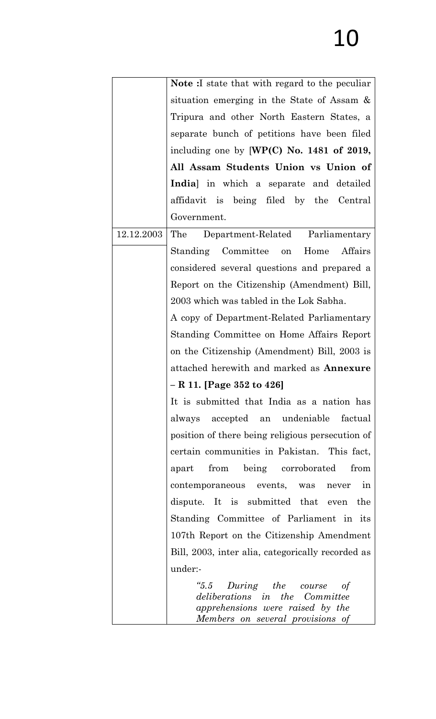# 10

|            | <b>Note</b> : I state that with regard to the peculiar                                                                                   |
|------------|------------------------------------------------------------------------------------------------------------------------------------------|
|            | situation emerging in the State of Assam &                                                                                               |
|            | Tripura and other North Eastern States, a                                                                                                |
|            | separate bunch of petitions have been filed                                                                                              |
|            | including one by $[WP(C)$ No. 1481 of 2019,                                                                                              |
|            | All Assam Students Union vs Union of                                                                                                     |
|            | India] in which a separate and detailed                                                                                                  |
|            | affidavit is being filed by the Central                                                                                                  |
|            | Government.                                                                                                                              |
| 12.12.2003 | Department-Related Parliamentary<br>The                                                                                                  |
|            | Standing Committee on Home<br>Affairs                                                                                                    |
|            | considered several questions and prepared a                                                                                              |
|            | Report on the Citizenship (Amendment) Bill,                                                                                              |
|            | 2003 which was tabled in the Lok Sabha.                                                                                                  |
|            | A copy of Department-Related Parliamentary                                                                                               |
|            | Standing Committee on Home Affairs Report                                                                                                |
|            | on the Citizenship (Amendment) Bill, 2003 is                                                                                             |
|            | attached herewith and marked as <b>Annexure</b>                                                                                          |
|            | $- R 11.$ [Page 352 to 426]                                                                                                              |
|            | It is submitted that India as a nation has                                                                                               |
|            | always accepted an undeniable<br>factual                                                                                                 |
|            | position of there being religious persecution of                                                                                         |
|            | certain communities in Pakistan. This fact,                                                                                              |
|            | from being corroborated<br>from<br>apart                                                                                                 |
|            | contemporaneous events, was never<br>in                                                                                                  |
|            | dispute. It is submitted that even<br>the                                                                                                |
|            | Standing Committee of Parliament in its                                                                                                  |
|            | 107th Report on the Citizenship Amendment                                                                                                |
|            | Bill, 2003, inter alia, categorically recorded as                                                                                        |
|            | under:-                                                                                                                                  |
|            | $"5.5$ During the course<br>of<br>deliberations in the Committee<br>apprehensions were raised by the<br>Members on several provisions of |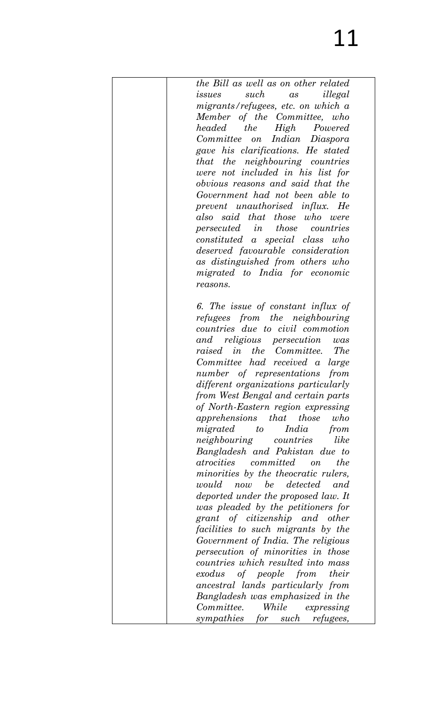| the Bill as well as on other related    |
|-----------------------------------------|
| such<br>illegal<br>issues<br>as         |
| migrants/refuges, etc. on which a       |
| Member of the Committee, who            |
| headed the High Powered                 |
| Committee on Indian Diaspora            |
| gave his clarifications. He stated      |
|                                         |
| that the neighbouring countries         |
| were not included in his list for       |
| obvious reasons and said that the       |
| Government had not been able to         |
| prevent unauthorised influx. He         |
| also said that those who were           |
| persecuted in those countries           |
| constituted a special class who         |
| deserved favourable consideration       |
| as distinguished from others who        |
| migrated to India for economic          |
| reasons.                                |
|                                         |
|                                         |
| 6. The issue of constant influx of      |
| refugees from the neighbouring          |
| countries due to civil commotion        |
| and religious persecution<br>was        |
| raised in the Committee.<br><i>The</i>  |
| Committee had received a large          |
| number of representations<br>from       |
| different organizations particularly    |
| from West Bengal and certain parts      |
| of North-Eastern region expressing      |
| apprehensions that those<br>who         |
| India<br>migrated<br>to<br>from         |
| like<br><i>neighbouring</i> countries   |
| Bangladesh and Pakistan due to          |
| atrocities committed on<br>the          |
|                                         |
| minorities by the theocratic rulers,    |
| would now be detected and               |
| deported under the proposed law. It     |
| was pleaded by the petitioners for      |
| grant of citizenship and other          |
| facilities to such migrants by the      |
| Government of India. The religious      |
| persecution of minorities in those      |
| countries which resulted into mass      |
| exodus of people from their             |
| ancestral lands particularly from       |
| Bangladesh was emphasized in the        |
| While expressing<br>Committee.          |
| sympathies for such<br><i>refugees,</i> |
|                                         |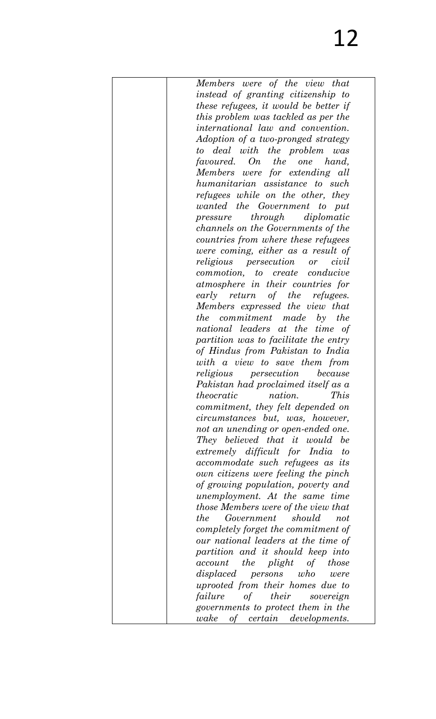| Members were of the view that                |
|----------------------------------------------|
| instead of granting citizenship to           |
| these refugees, it would be better if        |
| this problem was tackled as per the          |
|                                              |
| <i>international law and convention.</i>     |
| Adoption of a two-pronged strategy           |
| to deal with the problem was                 |
| favoured. On the one hand,                   |
| Members were for extending all               |
| humanitarian assistance to such              |
| refugees while on the other, they            |
| wanted the Government to put                 |
| pressure through diplomatic                  |
|                                              |
| <i>channels on the Governments of the</i>    |
| countries from where these refugees          |
| were coming, either as a result of           |
| <i>religious persecution</i> or <i>civil</i> |
| commotion, to create conducive               |
| atmosphere in their countries for            |
| early return of the refugees.                |
| Members expressed the view that              |
| <i>the</i> commitment made by the            |
|                                              |
| national leaders at the time of              |
| partition was to facilitate the entry        |
| of Hindus from Pakistan to India             |
| with a view to save them from                |
| religious<br>persecution<br>because          |
| Pakistan had proclaimed itself as a          |
| theocratic<br>nation.<br>$\mathit{This}$     |
| commitment, they felt depended on            |
| <i>circumstances but, was, however,</i>      |
| not an unending or open-ended one.           |
| They believed that it would<br><i>be</i>     |
|                                              |
| extremely difficult for India<br>to          |
| accommodate such refugees as its             |
| own citizens were feeling the pinch          |
| of growing population, poverty and           |
| unemployment. At the same time               |
| <i>those Members were of the view that</i>   |
| Government should<br><i>the</i><br>not       |
| completely forget the commitment of          |
| our national leaders at the time of          |
| partition and it should keep into            |
|                                              |
| account the plight<br>of<br>those            |
| displaced persons who<br>were                |
| uprooted from their homes due to             |
| of their<br>failure<br>sovereign             |
| governments to protect them in the           |
| wake<br>of certain developments.             |
|                                              |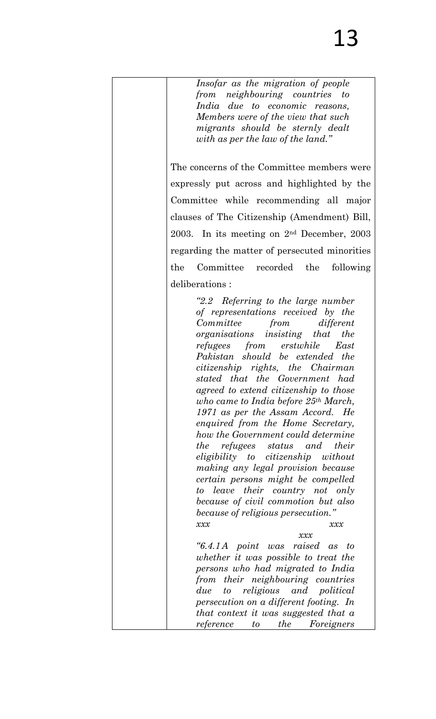| Insofar as the migration of people<br>from neighbouring countries to<br>India due to economic reasons,<br>Members were of the view that such<br>migrants should be sternly dealt<br>with as per the law of the land."                                                                                                                                                                                                                                                                                                                                                                                                                                                                                                                                                                                                                                                                                                           |
|---------------------------------------------------------------------------------------------------------------------------------------------------------------------------------------------------------------------------------------------------------------------------------------------------------------------------------------------------------------------------------------------------------------------------------------------------------------------------------------------------------------------------------------------------------------------------------------------------------------------------------------------------------------------------------------------------------------------------------------------------------------------------------------------------------------------------------------------------------------------------------------------------------------------------------|
| The concerns of the Committee members were                                                                                                                                                                                                                                                                                                                                                                                                                                                                                                                                                                                                                                                                                                                                                                                                                                                                                      |
| expressly put across and highlighted by the                                                                                                                                                                                                                                                                                                                                                                                                                                                                                                                                                                                                                                                                                                                                                                                                                                                                                     |
| Committee while recommending all major                                                                                                                                                                                                                                                                                                                                                                                                                                                                                                                                                                                                                                                                                                                                                                                                                                                                                          |
| clauses of The Citizenship (Amendment) Bill,                                                                                                                                                                                                                                                                                                                                                                                                                                                                                                                                                                                                                                                                                                                                                                                                                                                                                    |
| 2003. In its meeting on $2nd$ December, 2003                                                                                                                                                                                                                                                                                                                                                                                                                                                                                                                                                                                                                                                                                                                                                                                                                                                                                    |
| regarding the matter of persecuted minorities                                                                                                                                                                                                                                                                                                                                                                                                                                                                                                                                                                                                                                                                                                                                                                                                                                                                                   |
| Committee recorded the<br>following<br>the                                                                                                                                                                                                                                                                                                                                                                                                                                                                                                                                                                                                                                                                                                                                                                                                                                                                                      |
| deliberations:                                                                                                                                                                                                                                                                                                                                                                                                                                                                                                                                                                                                                                                                                                                                                                                                                                                                                                                  |
| "2.2 Referring to the large number<br>of representations received by the<br>Committee<br>from different<br>organisations insisting that the<br>refugees from erstwhile East<br>Pakistan should be extended the<br>citizenship rights, the Chairman<br>stated that the Government had<br>agreed to extend citizenship to those<br>who came to India before $25th March$ ,<br>1971 as per the Assam Accord. He<br>enquired from the Home Secretary,<br>how the Government could determine<br>the<br><i>refugees status</i> and <i>their</i><br>eligibility to citizenship without<br>making any legal provision because<br>certain persons might be compelled<br>leave their country not only<br>to<br>because of civil commotion but also<br><i>because of religious persecution.</i> "<br>xxx<br>xxx<br>x x x<br>"6.4.1A point was raised as<br>to<br>whether it was possible to treat the<br>persons who had migrated to India |
| from their neighbouring countries<br>to religious and political<br>due<br>persecution on a different footing. In<br>that context it was suggested that a<br><i>the</i><br>Foreigners<br>reference<br>to                                                                                                                                                                                                                                                                                                                                                                                                                                                                                                                                                                                                                                                                                                                         |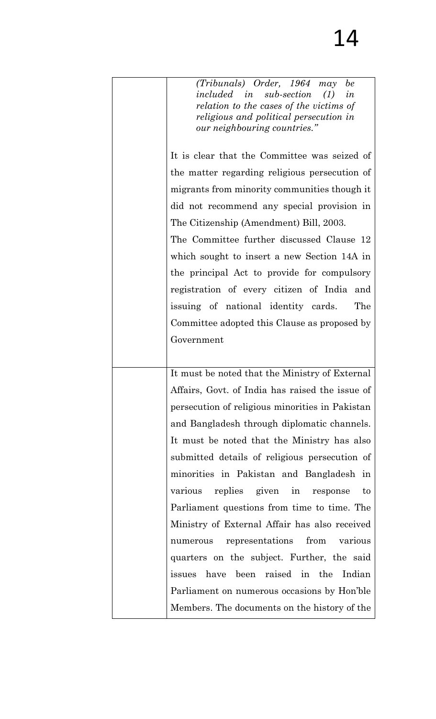| (Tribunals) Order, 1964 may<br>be<br><i>included in sub-section</i> (1)<br>in |
|-------------------------------------------------------------------------------|
| relation to the cases of the victims of                                       |
| religious and political persecution in<br>our neighbouring countries."        |
|                                                                               |
| It is clear that the Committee was seized of                                  |
| the matter regarding religious persecution of                                 |
| migrants from minority communities though it                                  |
| did not recommend any special provision in                                    |
| The Citizenship (Amendment) Bill, 2003.                                       |
| The Committee further discussed Clause 12                                     |
| which sought to insert a new Section 14A in                                   |
| the principal Act to provide for compulsory                                   |
| registration of every citizen of India<br>and                                 |
| issuing of national identity cards.<br>The                                    |
| Committee adopted this Clause as proposed by                                  |
| Government                                                                    |
|                                                                               |
| It must be noted that the Ministry of External                                |
| Affairs, Govt. of India has raised the issue of                               |
| persecution of religious minorities in Pakistan                               |
| and Bangladesh through diplomatic channels.                                   |
| It must be noted that the Ministry has also                                   |
| submitted details of religious persecution of                                 |
| minorities in Pakistan and Bangladesh in                                      |
| replies given in response<br>various<br>to                                    |
| Parliament questions from time to time. The                                   |
| Ministry of External Affair has also received                                 |
| representations from<br>various<br>numerous                                   |
| quarters on the subject. Further, the said                                    |
| issues have been raised in the Indian                                         |
| Parliament on numerous occasions by Hon'ble                                   |
| Members. The documents on the history of the                                  |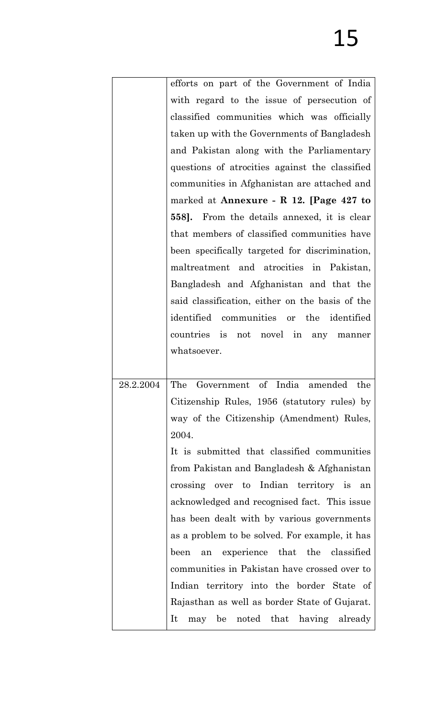|           | efforts on part of the Government of India      |
|-----------|-------------------------------------------------|
|           | with regard to the issue of persecution of      |
|           | classified communities which was officially     |
|           | taken up with the Governments of Bangladesh     |
|           | and Pakistan along with the Parliamentary       |
|           | questions of atrocities against the classified  |
|           | communities in Afghanistan are attached and     |
|           | marked at Annexure - R 12. [Page 427 to         |
|           | 558]. From the details annexed, it is clear     |
|           | that members of classified communities have     |
|           | been specifically targeted for discrimination,  |
|           | maltreatment and atrocities in Pakistan,        |
|           | Bangladesh and Afghanistan and that the         |
|           | said classification, either on the basis of the |
|           | identified communities or the identified        |
|           | countries is not novel in any manner            |
|           | whatsoever.                                     |
|           |                                                 |
| 28.2.2004 | The Government of India amended<br>the          |
|           | Citizenship Rules, 1956 (statutory rules) by    |
|           | way of the Citizenship (Amendment) Rules,       |
|           | 2004.                                           |
|           | It is submitted that classified communities     |
|           | from Pakistan and Bangladesh & Afghanistan      |
|           | crossing over to Indian territory is an         |
|           | acknowledged and recognised fact. This issue    |
|           | has been dealt with by various governments      |
|           | as a problem to be solved. For example, it has  |
|           | an experience that the classified<br>been       |
|           | communities in Pakistan have crossed over to    |
|           | Indian territory into the border State of       |
|           | Rajasthan as well as border State of Gujarat.   |
|           | may be noted that having already<br>It          |
|           |                                                 |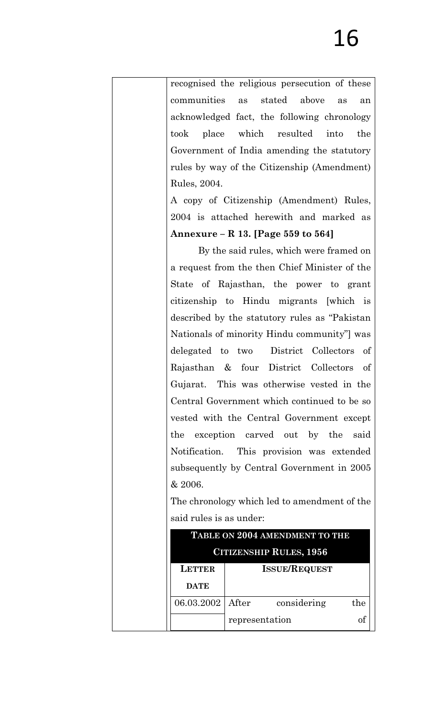recognised the religious persecution of these communities as stated above as an acknowledged fact, the following chronology took place which resulted into the Government of India amending the statutory rules by way of the Citizenship (Amendment) Rules, 2004. A copy of Citizenship (Amendment) Rules, 2004 is attached herewith and marked as **Annexure – R 13. [Page 559 to 564]** By the said rules, which were framed on a request from the then Chief Minister of the State of Rajasthan, the power to grant citizenship to Hindu migrants [which is described by the statutory rules as "Pakistan Nationals of minority Hindu community"] was delegated to two District Collectors of Rajasthan & four District Collectors of Gujarat. This was otherwise vested in the Central Government which continued to be so vested with the Central Government except the exception carved out by the said Notification. This provision was extended subsequently by Central Government in 2005 & 2006. The chronology which led to amendment of the said rules is as under: **TABLE ON 2004 AMENDMENT TO THE CITIZENSHIP RULES, 1956 LETTER DATE ISSUE/REQUEST**

06.03.2002 After considering the

representation of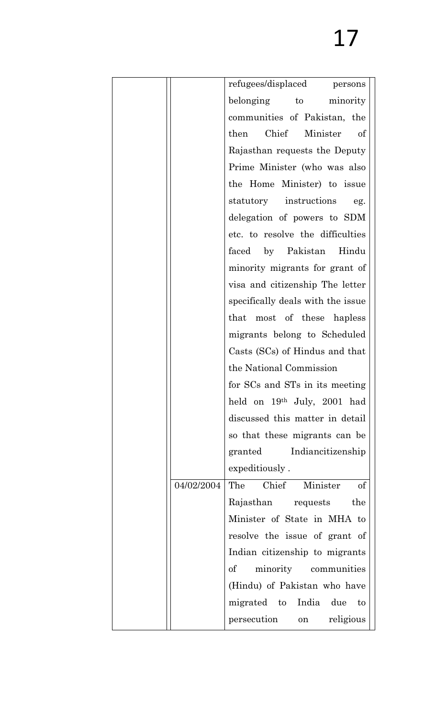| refugees/displaced persons            |
|---------------------------------------|
| belonging to minority                 |
| communities of Pakistan, the          |
| Chief Minister<br>then<br>of          |
| Rajasthan requests the Deputy         |
| Prime Minister (who was also          |
| the Home Minister) to issue           |
| statutory instructions<br>eg.         |
| delegation of powers to SDM           |
| etc. to resolve the difficulties      |
| faced by Pakistan Hindu               |
| minority migrants for grant of        |
| visa and citizenship The letter       |
| specifically deals with the issue     |
| that most of these hapless            |
| migrants belong to Scheduled          |
| Casts (SCs) of Hindus and that        |
| the National Commission               |
| for SCs and STs in its meeting        |
| held on 19th July, 2001 had           |
| discussed this matter in detail       |
| so that these migrants can be         |
| granted Indiancitizenship             |
| expeditiously.                        |
| The Chief<br>Minister<br>of           |
| Rajasthan requests<br>the             |
| Minister of State in MHA to           |
| resolve the issue of grant of         |
| Indian citizenship to migrants        |
| $\mathrm{of}$<br>minority communities |
| (Hindu) of Pakistan who have          |
| migrated to India due<br>to           |
| persecution<br>religious<br>on        |
|                                       |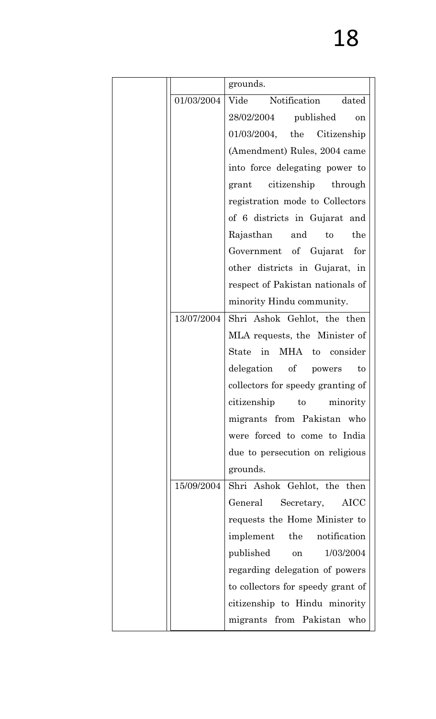|            | grounds.                          |
|------------|-----------------------------------|
| 01/03/2004 | Vide<br>Notification dated        |
|            | $28/02/2004$ published<br>on      |
|            | $01/03/2004$ , the Citizenship    |
|            | (Amendment) Rules, 2004 came      |
|            | into force delegating power to    |
|            | grant citizenship through         |
|            | registration mode to Collectors   |
|            | of 6 districts in Gujarat and     |
|            | the<br>Rajasthan and<br>to        |
|            | Government of Gujarat for         |
|            | other districts in Gujarat, in    |
|            | respect of Pakistan nationals of  |
|            | minority Hindu community.         |
| 13/07/2004 | Shri Ashok Gehlot, the then       |
|            | MLA requests, the Minister of     |
|            | State in MHA to consider          |
|            | delegation of powers<br>to        |
|            | collectors for speedy granting of |
|            | citizenship to<br>minority        |
|            | migrants from Pakistan who        |
|            | were forced to come to India      |
|            | due to persecution on religious   |
|            | grounds.                          |
| 15/09/2004 | Shri Ashok Gehlot, the then       |
|            | General Secretary, AICC           |
|            | requests the Home Minister to     |
|            | implement the notification        |
|            | published<br>1/03/2004<br>on      |
|            | regarding delegation of powers    |
|            | to collectors for speedy grant of |
|            | citizenship to Hindu minority     |
|            | migrants from Pakistan who        |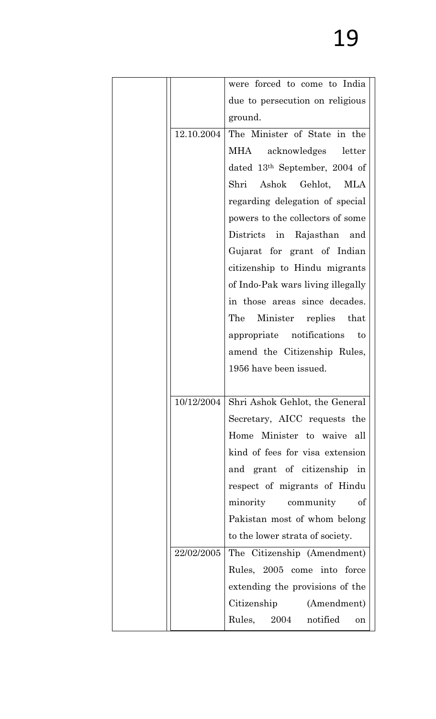|            | were forced to come to India      |
|------------|-----------------------------------|
|            | due to persecution on religious   |
|            | ground.                           |
| 12.10.2004 | The Minister of State in the      |
|            | MHA<br>acknowledges letter        |
|            | dated $13th$ September, 2004 of   |
|            | Shri Ashok Gehlot, MLA            |
|            | regarding delegation of special   |
|            | powers to the collectors of some  |
|            | Districts in Rajasthan<br>and     |
|            | Gujarat for grant of Indian       |
|            | citizenship to Hindu migrants     |
|            | of Indo-Pak wars living illegally |
|            | in those areas since decades.     |
|            | The<br>Minister replies that      |
|            | appropriate notifications<br>to   |
|            | amend the Citizenship Rules,      |
|            | 1956 have been issued.            |
|            |                                   |
| 10/12/2004 | Shri Ashok Gehlot, the General    |
|            | Secretary, AICC requests the      |
|            | Home Minister to waive all        |
|            | kind of fees for visa extension   |
|            | and grant of citizenship in       |
|            | respect of migrants of Hindu      |
|            | minority community<br>of          |
|            | Pakistan most of whom belong      |
|            | to the lower strata of society.   |
| 22/02/2005 | The Citizenship (Amendment)       |
|            | Rules, 2005 come into force       |
|            | extending the provisions of the   |
|            | Citizenship (Amendment)           |
|            | Rules, 2004 notified<br>on        |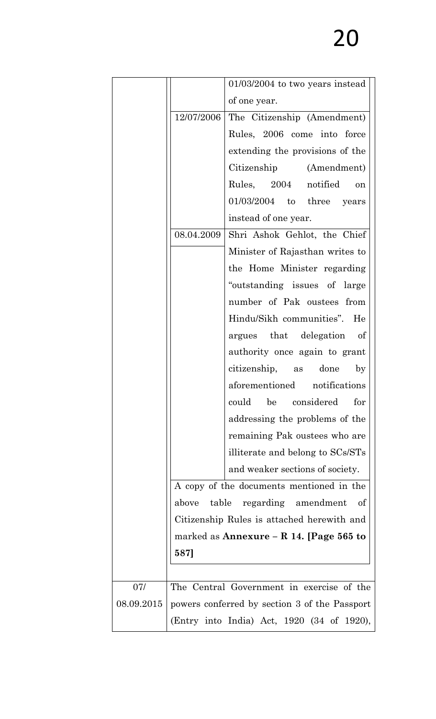|            |            | $01/03/2004$ to two years instead             |
|------------|------------|-----------------------------------------------|
|            |            | of one year.                                  |
|            | 12/07/2006 | The Citizenship (Amendment)                   |
|            |            | Rules, 2006 come into force                   |
|            |            | extending the provisions of the               |
|            |            | Citizenship (Amendment)                       |
|            |            | Rules, 2004 notified<br>on                    |
|            |            | $01/03/2004$ to three years                   |
|            |            | instead of one year.                          |
|            | 08.04.2009 | Shri Ashok Gehlot, the Chief                  |
|            |            | Minister of Rajasthan writes to               |
|            |            | the Home Minister regarding                   |
|            |            | "outstanding issues of large                  |
|            |            | number of Pak oustees from                    |
|            |            | Hindu/Sikh communities". He                   |
|            |            | argues that delegation<br>of                  |
|            |            | authority once again to grant                 |
|            |            | citizenship, as done<br>$_{\rm by}$           |
|            |            | aforementioned notifications                  |
|            |            | could<br>be considered<br>for                 |
|            |            | addressing the problems of the                |
|            |            | remaining Pak oustees who are                 |
|            |            | illiterate and belong to SCs/STs              |
|            |            | and weaker sections of society.               |
|            |            | A copy of the documents mentioned in the      |
|            | above      | table regarding amendment<br>-of              |
|            |            | Citizenship Rules is attached herewith and    |
|            |            | marked as Annexure – R 14. [Page 565 to       |
|            | 587]       |                                               |
|            |            |                                               |
| 07/        |            | The Central Government in exercise of the     |
| 08.09.2015 |            | powers conferred by section 3 of the Passport |
|            |            | (Entry into India) Act, 1920 (34 of 1920),    |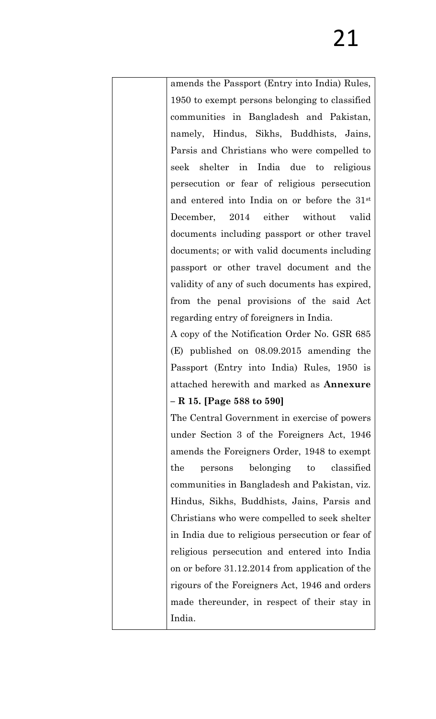amends the Passport (Entry into India) Rules, 1950 to exempt persons belonging to classified communities in Bangladesh and Pakistan, namely, Hindus, Sikhs, Buddhists, Jains, Parsis and Christians who were compelled to seek shelter in India due to religious persecution or fear of religious persecution and entered into India on or before the 31st December, 2014 either without valid documents including passport or other travel documents; or with valid documents including passport or other travel document and the validity of any of such documents has expired, from the penal provisions of the said Act regarding entry of foreigners in India.

A copy of the Notification Order No. GSR 685 (E) published on 08.09.2015 amending the Passport (Entry into India) Rules, 1950 is attached herewith and marked as **Annexure** 

## **– R 15. [Page 588 to 590]**

The Central Government in exercise of powers under Section 3 of the Foreigners Act, 1946 amends the Foreigners Order, 1948 to exempt the persons belonging to classified communities in Bangladesh and Pakistan, viz. Hindus, Sikhs, Buddhists, Jains, Parsis and Christians who were compelled to seek shelter in India due to religious persecution or fear of religious persecution and entered into India on or before 31.12.2014 from application of the rigours of the Foreigners Act, 1946 and orders made thereunder, in respect of their stay in India.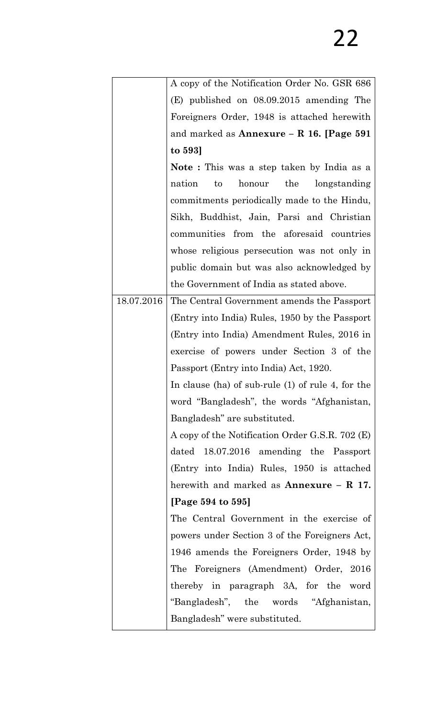|            | A copy of the Notification Order No. GSR 686        |
|------------|-----------------------------------------------------|
|            | $(E)$ published on $08.09.2015$ amending The        |
|            | Foreigners Order, 1948 is attached herewith         |
|            | and marked as Annexure $-$ R 16. [Page 591          |
|            | to 593                                              |
|            | <b>Note</b> : This was a step taken by India as a   |
|            | honour the longstanding<br>nation<br>$\mathbf{t}$   |
|            | commitments periodically made to the Hindu,         |
|            | Sikh, Buddhist, Jain, Parsi and Christian           |
|            | communities from the aforesaid countries            |
|            | whose religious persecution was not only in         |
|            | public domain but was also acknowledged by          |
|            | the Government of India as stated above.            |
| 18.07.2016 | The Central Government amends the Passport          |
|            | (Entry into India) Rules, 1950 by the Passport      |
|            | (Entry into India) Amendment Rules, 2016 in         |
|            | exercise of powers under Section 3 of the           |
|            | Passport (Entry into India) Act, 1920.              |
|            | In clause (ha) of sub-rule $(1)$ of rule 4, for the |
|            | word "Bangladesh", the words "Afghanistan,          |
|            | Bangladesh" are substituted.                        |
|            | A copy of the Notification Order G.S.R. 702 (E)     |
|            | dated 18.07.2016 amending the Passport              |
|            | (Entry into India) Rules, 1950 is attached          |
|            | herewith and marked as $\text{Annexure} - R$ 17.    |
|            | [Page 594 to 595]                                   |
|            | The Central Government in the exercise of           |
|            | powers under Section 3 of the Foreigners Act,       |
|            | 1946 amends the Foreigners Order, 1948 by           |
|            | The Foreigners (Amendment) Order, 2016              |
|            | thereby in paragraph 3A, for the word               |
|            | "Bangladesh", the words "Afghanistan,               |
|            | Bangladesh" were substituted.                       |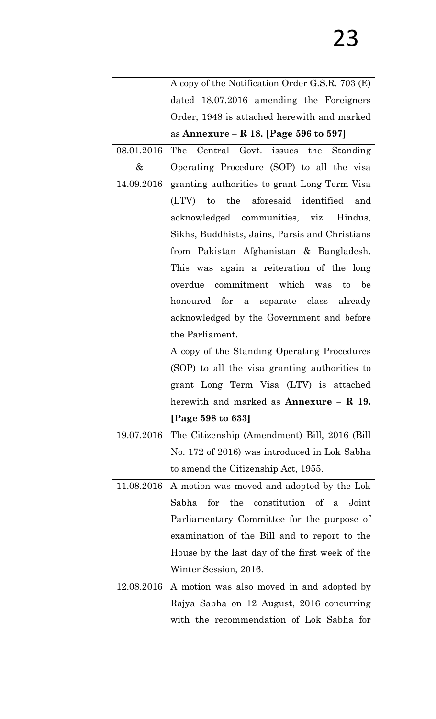|            | A copy of the Notification Order G.S.R. 703 (E)  |
|------------|--------------------------------------------------|
|            | dated 18.07.2016 amending the Foreigners         |
|            | Order, 1948 is attached herewith and marked      |
|            | as Annexure – R 18. [Page 596 to 597]            |
| 08.01.2016 | The Central Govt. issues the Standing            |
| $\&$       | Operating Procedure (SOP) to all the visa        |
| 14.09.2016 | granting authorities to grant Long Term Visa     |
|            | (LTV) to the aforesaid identified and            |
|            | acknowledged communities, viz. Hindus,           |
|            | Sikhs, Buddhists, Jains, Parsis and Christians   |
|            | from Pakistan Afghanistan & Bangladesh.          |
|            | This was again a reiteration of the long         |
|            | overdue commitment which was to<br>be            |
|            | honoured for a separate class already            |
|            | acknowledged by the Government and before        |
|            | the Parliament.                                  |
|            | A copy of the Standing Operating Procedures      |
|            | (SOP) to all the visa granting authorities to    |
|            | grant Long Term Visa (LTV) is attached           |
|            | herewith and marked as $\text{Annexure} - R$ 19. |
|            | [Page 598 to 633]                                |
| 19.07.2016 | The Citizenship (Amendment) Bill, 2016 (Bill)    |
|            | No. 172 of 2016) was introduced in Lok Sabha     |
|            | to amend the Citizenship Act, 1955.              |
| 11.08.2016 | A motion was moved and adopted by the Lok        |
|            | for the constitution of a<br>Sabha<br>Joint      |
|            | Parliamentary Committee for the purpose of       |
|            | examination of the Bill and to report to the     |
|            | House by the last day of the first week of the   |
|            | Winter Session, 2016.                            |
| 12.08.2016 | A motion was also moved in and adopted by        |
|            | Rajya Sabha on 12 August, 2016 concurring        |
|            | with the recommendation of Lok Sabha for         |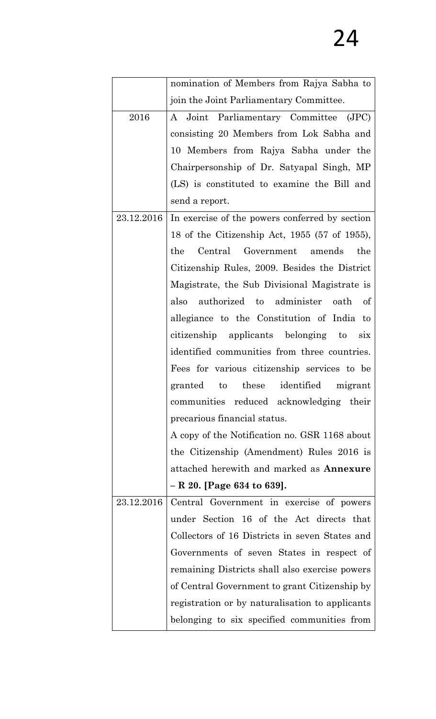|            | nomination of Members from Rajya Sabha to            |
|------------|------------------------------------------------------|
|            | join the Joint Parliamentary Committee.              |
| 2016       | A Joint Parliamentary Committee (JPC)                |
|            | consisting 20 Members from Lok Sabha and             |
|            | 10 Members from Rajya Sabha under the                |
|            | Chairpersonship of Dr. Satyapal Singh, MP            |
|            | (LS) is constituted to examine the Bill and          |
|            | send a report.                                       |
| 23.12.2016 | In exercise of the powers conferred by section       |
|            | 18 of the Citizenship Act, 1955 (57 of 1955),        |
|            | Central Government amends<br>the<br>the              |
|            | Citizenship Rules, 2009. Besides the District        |
|            | Magistrate, the Sub Divisional Magistrate is         |
|            | also authorized to administer oath of                |
|            | allegiance to the Constitution of India to           |
|            | citizenship applicants belonging to<br>$\dot{\rm s}$ |
|            | identified communities from three countries.         |
|            | Fees for various citizenship services to be          |
|            | granted to these identified<br>migrant               |
|            | communities reduced acknowledging their              |
|            | precarious financial status.                         |
|            | A copy of the Notification no. GSR 1168 about        |
|            | the Citizenship (Amendment) Rules 2016 is            |
|            | attached herewith and marked as Annexure             |
|            | $- R 20.$ [Page 634 to 639].                         |
| 23.12.2016 | Central Government in exercise of powers             |
|            | under Section 16 of the Act directs that             |
|            | Collectors of 16 Districts in seven States and       |
|            | Governments of seven States in respect of            |
|            | remaining Districts shall also exercise powers       |
|            | of Central Government to grant Citizenship by        |
|            | registration or by naturalisation to applicants      |
|            | belonging to six specified communities from          |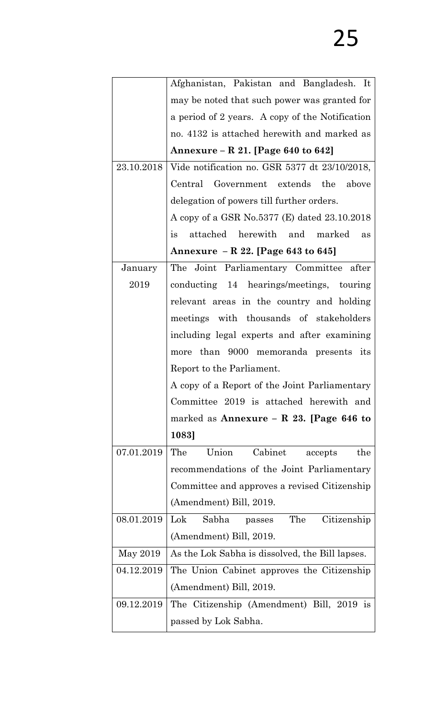|            | Afghanistan, Pakistan and Bangladesh. It                      |
|------------|---------------------------------------------------------------|
|            | may be noted that such power was granted for                  |
|            | a period of 2 years. A copy of the Notification               |
|            | no. 4132 is attached herewith and marked as                   |
|            | Annexure – R 21. [Page 640 to 642]                            |
| 23.10.2018 | Vide notification no. GSR 5377 dt 23/10/2018,                 |
|            | Central Government extends the above                          |
|            | delegation of powers till further orders.                     |
|            | A copy of a GSR No.5377 (E) dated 23.10.2018                  |
|            | attached herewith and marked<br>is<br>as                      |
|            | Annexure - R 22. [Page 643 to 645]                            |
| January    | The Joint Parliamentary Committee after                       |
| 2019       | conducting 14 hearings/meetings, touring                      |
|            | relevant areas in the country and holding                     |
|            | meetings with thousands of stakeholders                       |
|            | including legal experts and after examining                   |
|            | more than 9000 memoranda presents its                         |
|            | Report to the Parliament.                                     |
|            | A copy of a Report of the Joint Parliamentary                 |
|            | Committee 2019 is attached herewith and                       |
|            | marked as Annexure – R 23. [Page 646 to                       |
|            | 1083]                                                         |
| 07.01.2019 | Union<br>Cabinet<br>The<br>the<br>accepts                     |
|            | recommendations of the Joint Parliamentary                    |
|            | Committee and approves a revised Citizenship                  |
|            | (Amendment) Bill, 2019.                                       |
| 08.01.2019 | $\operatorname{Lok}$<br>The<br>Citizenship<br>Sabha<br>passes |
|            | (Amendment) Bill, 2019.                                       |
| May 2019   | As the Lok Sabha is dissolved, the Bill lapses.               |
| 04.12.2019 | The Union Cabinet approves the Citizenship                    |
|            | (Amendment) Bill, 2019.                                       |
| 09.12.2019 | The Citizenship (Amendment) Bill, 2019 is                     |
|            | passed by Lok Sabha.                                          |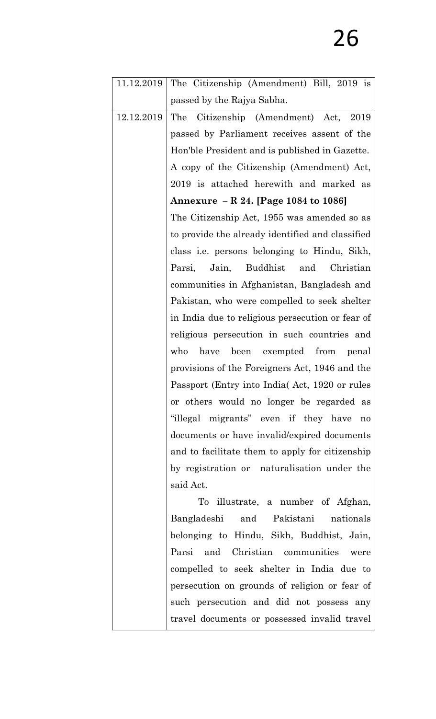| 11.12.2019 | The Citizenship (Amendment) Bill, 2019 is           |
|------------|-----------------------------------------------------|
|            | passed by the Rajya Sabha.                          |
| 12.12.2019 | Citizenship (Amendment) Act, 2019<br>The            |
|            | passed by Parliament receives assent of the         |
|            | Hon'ble President and is published in Gazette.      |
|            | A copy of the Citizenship (Amendment) Act,          |
|            | 2019 is attached herewith and marked as             |
|            | Annexure - R 24. [Page 1084 to 1086]                |
|            | The Citizenship Act, 1955 was amended so as         |
|            | to provide the already identified and classified    |
|            | class <i>i.e.</i> persons belonging to Hindu, Sikh, |
|            | Jain, Buddhist<br>Christian<br>Parsi,<br>and        |
|            | communities in Afghanistan, Bangladesh and          |
|            | Pakistan, who were compelled to seek shelter        |
|            | in India due to religious persecution or fear of    |
|            | religious persecution in such countries and         |
|            | have been exempted from<br>who<br>penal             |
|            | provisions of the Foreigners Act, 1946 and the      |
|            | Passport (Entry into India) Act, 1920 or rules      |
|            | or others would no longer be regarded as            |
|            | "illegal migrants" even if they have<br>no          |
|            | documents or have invalid/expired documents         |
|            | and to facilitate them to apply for citizenship     |
|            | by registration or naturalisation under the         |
|            | said Act.                                           |
|            | To illustrate, a number of Afghan,                  |
|            | and Pakistani<br>Bangladeshi<br>nationals           |
|            | belonging to Hindu, Sikh, Buddhist, Jain,           |
|            | Parsi and Christian communities were                |
|            | compelled to seek shelter in India due to           |
|            | persecution on grounds of religion or fear of       |
|            | such persecution and did not possess any            |
|            | travel documents or possessed invalid travel        |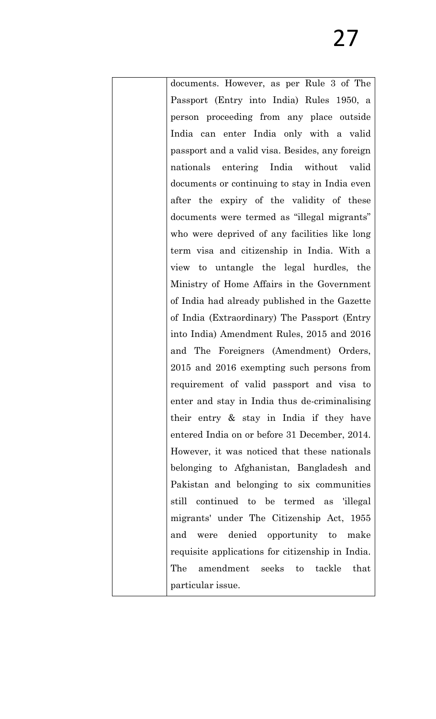documents. However, as per Rule 3 of The Passport (Entry into India) Rules 1950, a person proceeding from any place outside India can enter India only with a valid passport and a valid visa. Besides, any foreign nationals entering India without valid documents or continuing to stay in India even after the expiry of the validity of these documents were termed as "illegal migrants" who were deprived of any facilities like long term visa and citizenship in India. With a view to untangle the legal hurdles, the Ministry of Home Affairs in the Government of India had already published in the Gazette of India (Extraordinary) The Passport (Entry into India) Amendment Rules, 2015 and 2016 and The Foreigners (Amendment) Orders, 2015 and 2016 exempting such persons from requirement of valid passport and visa to enter and stay in India thus de-criminalising their entry & stay in India if they have entered India on or before 31 December, 2014. However, it was noticed that these nationals belonging to Afghanistan, Bangladesh and Pakistan and belonging to six communities still continued to be termed as 'illegal migrants' under The Citizenship Act, 1955 and were denied opportunity to make requisite applications for citizenship in India. The amendment seeks to tackle that particular issue.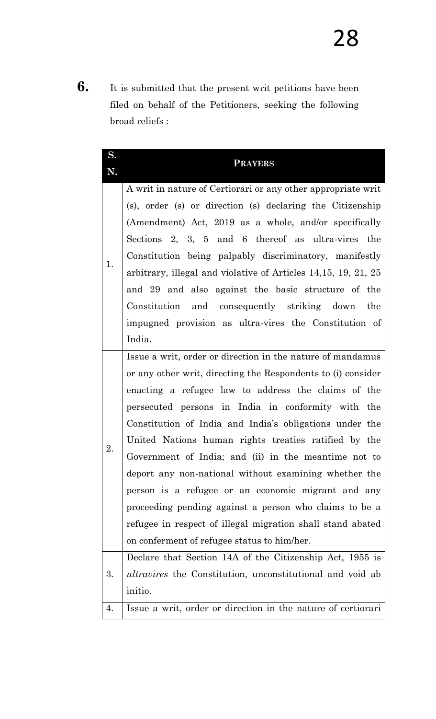**6.** It is submitted that the present writ petitions have been filed on behalf of the Petitioners, seeking the following broad reliefs :

| S. | <b>PRAYERS</b>                                                                                                                                                                                                                                                                                                                                                                                                                                                                                                                                                                                                                                                                                           |
|----|----------------------------------------------------------------------------------------------------------------------------------------------------------------------------------------------------------------------------------------------------------------------------------------------------------------------------------------------------------------------------------------------------------------------------------------------------------------------------------------------------------------------------------------------------------------------------------------------------------------------------------------------------------------------------------------------------------|
| N. |                                                                                                                                                                                                                                                                                                                                                                                                                                                                                                                                                                                                                                                                                                          |
| 1. | A writ in nature of Certiorari or any other appropriate writ<br>(s), order (s) or direction (s) declaring the Citizenship<br>(Amendment) Act, 2019 as a whole, and/or specifically<br>Sections 2, 3, 5 and 6 thereof as ultra-vires the<br>Constitution being palpably discriminatory, manifestly<br>arbitrary, illegal and violative of Articles 14,15, 19, 21, 25<br>and 29 and also against the basic structure of the<br>Constitution and consequently striking down the<br>impugned provision as ultra-vires the Constitution of<br>India.                                                                                                                                                          |
| 2. | Issue a writ, order or direction in the nature of mandamus<br>or any other writ, directing the Respondents to (i) consider<br>enacting a refugee law to address the claims of the<br>persecuted persons in India in conformity with the<br>Constitution of India and India's obligations under the<br>United Nations human rights treaties ratified by the<br>Government of India; and (ii) in the meantime not to<br>deport any non-national without examining whether the<br>person is a refugee or an economic migrant and any<br>proceeding pending against a person who claims to be a<br>refugee in respect of illegal migration shall stand abated<br>on conferment of refugee status to him/her. |
| 3. | Declare that Section 14A of the Citizenship Act, 1955 is<br><i>ultravires</i> the Constitution, unconstitutional and void ab<br>initio.                                                                                                                                                                                                                                                                                                                                                                                                                                                                                                                                                                  |
| 4. | Issue a writ, order or direction in the nature of certiorari                                                                                                                                                                                                                                                                                                                                                                                                                                                                                                                                                                                                                                             |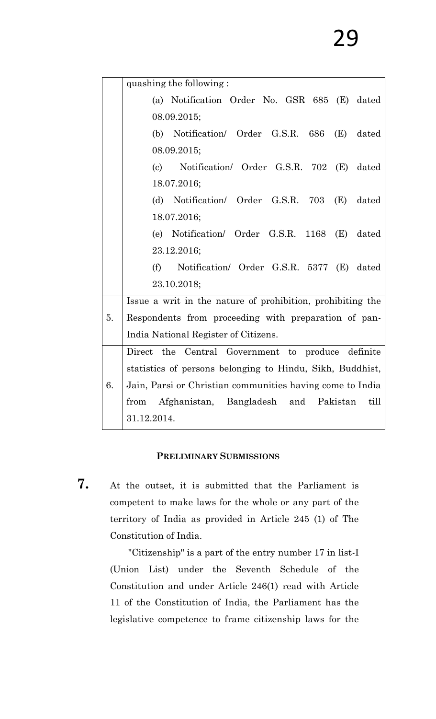|    | quashing the following:                                    |
|----|------------------------------------------------------------|
|    | (a) Notification Order No. GSR 685 (E) dated               |
|    | 08.09.2015;                                                |
|    | (b) Notification/ Order G.S.R. $686$ (E)<br>dated          |
|    | 08.09.2015;                                                |
|    | Notification/ Order G.S.R. 702 (E)<br>dated<br>(c)         |
|    | 18.07.2016;                                                |
|    | (d) Notification/ Order G.S.R. 703 $(E)$<br>dated          |
|    | 18.07.2016;                                                |
|    | (e) Notification/ Order G.S.R. 1168 (E)<br>dated           |
|    | 23.12.2016;                                                |
|    | (f)<br>Notification/ Order G.S.R. 5377 (E)<br>dated        |
|    | 23.10.2018;                                                |
|    | Issue a writ in the nature of prohibition, prohibiting the |
| 5. | Respondents from proceeding with preparation of pan-       |
|    | India National Register of Citizens.                       |
|    | Direct the Central Government to produce definite          |
|    | statistics of persons belonging to Hindu, Sikh, Buddhist,  |
| 6. | Jain, Parsi or Christian communities having come to India  |
|    | Afghanistan, Bangladesh and Pakistan<br>till<br>from       |
|    | 31.12.2014.                                                |

### **PRELIMINARY SUBMISSIONS**

**7.** At the outset, it is submitted that the Parliament is competent to make laws for the whole or any part of the territory of India as provided in Article 245 (1) of The Constitution of India.

> "Citizenship" is a part of the entry number 17 in list-I (Union List) under the Seventh Schedule of the Constitution and under Article 246(1) read with Article 11 of the Constitution of India, the Parliament has the legislative competence to frame citizenship laws for the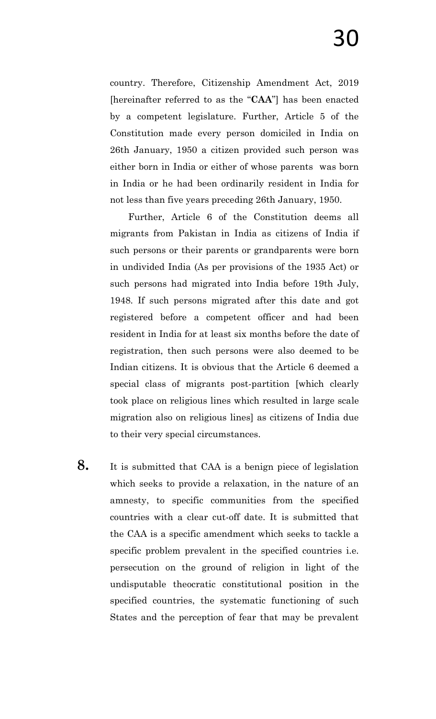country. Therefore, Citizenship Amendment Act, 2019 [hereinafter referred to as the "**CAA**"] has been enacted by a competent legislature. Further, Article 5 of the Constitution made every person domiciled in India on 26th January, 1950 a citizen provided such person was either born in India or either of whose parents was born in India or he had been ordinarily resident in India for not less than five years preceding 26th January, 1950.

Further, Article 6 of the Constitution deems all migrants from Pakistan in India as citizens of India if such persons or their parents or grandparents were born in undivided India (As per provisions of the 1935 Act) or such persons had migrated into India before 19th July, 1948. If such persons migrated after this date and got registered before a competent officer and had been resident in India for at least six months before the date of registration, then such persons were also deemed to be Indian citizens. It is obvious that the Article 6 deemed a special class of migrants post-partition [which clearly took place on religious lines which resulted in large scale migration also on religious lines] as citizens of India due to their very special circumstances.

**8.** It is submitted that CAA is a benign piece of legislation which seeks to provide a relaxation, in the nature of an amnesty, to specific communities from the specified countries with a clear cut-off date. It is submitted that the CAA is a specific amendment which seeks to tackle a specific problem prevalent in the specified countries i.e. persecution on the ground of religion in light of the undisputable theocratic constitutional position in the specified countries, the systematic functioning of such States and the perception of fear that may be prevalent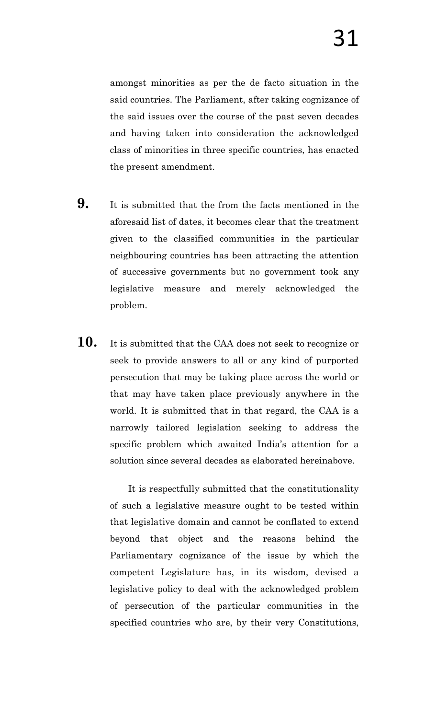amongst minorities as per the de facto situation in the said countries. The Parliament, after taking cognizance of the said issues over the course of the past seven decades and having taken into consideration the acknowledged class of minorities in three specific countries, has enacted the present amendment.

- **9.** It is submitted that the from the facts mentioned in the aforesaid list of dates, it becomes clear that the treatment given to the classified communities in the particular neighbouring countries has been attracting the attention of successive governments but no government took any legislative measure and merely acknowledged the problem.
- **10.** It is submitted that the CAA does not seek to recognize or seek to provide answers to all or any kind of purported persecution that may be taking place across the world or that may have taken place previously anywhere in the world. It is submitted that in that regard, the CAA is a narrowly tailored legislation seeking to address the specific problem which awaited India"s attention for a solution since several decades as elaborated hereinabove.

It is respectfully submitted that the constitutionality of such a legislative measure ought to be tested within that legislative domain and cannot be conflated to extend beyond that object and the reasons behind the Parliamentary cognizance of the issue by which the competent Legislature has, in its wisdom, devised a legislative policy to deal with the acknowledged problem of persecution of the particular communities in the specified countries who are, by their very Constitutions,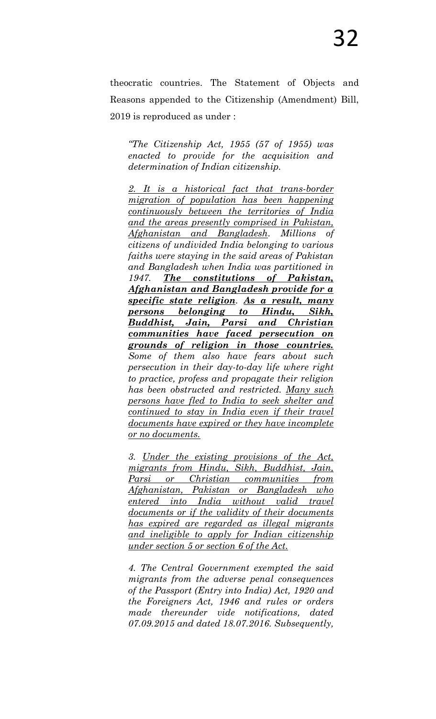theocratic countries. The Statement of Objects and Reasons appended to the Citizenship (Amendment) Bill, 2019 is reproduced as under :

*―The Citizenship Act, 1955 (57 of 1955) was enacted to provide for the acquisition and determination of Indian citizenship.* 

*2. It is a historical fact that trans-border migration of population has been happening continuously between the territories of India and the areas presently comprised in Pakistan, Afghanistan and Bangladesh. Millions of citizens of undivided India belonging to various faiths were staying in the said areas of Pakistan and Bangladesh when India was partitioned in 1947. The constitutions of Pakistan, Afghanistan and Bangladesh provide for a specific state religion. As a result, many persons belonging to Hindu, Sikh, Buddhist, Jain, Parsi and Christian communities have faced persecution on grounds of religion in those countries. Some of them also have fears about such persecution in their day-to-day life where right to practice, profess and propagate their religion has been obstructed and restricted. Many such persons have fled to India to seek shelter and continued to stay in India even if their travel documents have expired or they have incomplete or no documents.*

*3. Under the existing provisions of the Act, migrants from Hindu, Sikh, Buddhist, Jain, Parsi or Christian communities from Afghanistan, Pakistan or Bangladesh who entered into India without valid travel documents or if the validity of their documents has expired are regarded as illegal migrants and ineligible to apply for Indian citizenship under section 5 or section 6 of the Act.*

*4. The Central Government exempted the said migrants from the adverse penal consequences of the Passport (Entry into India) Act, 1920 and the Foreigners Act, 1946 and rules or orders made thereunder vide notifications, dated 07.09.2015 and dated 18.07.2016. Subsequently,*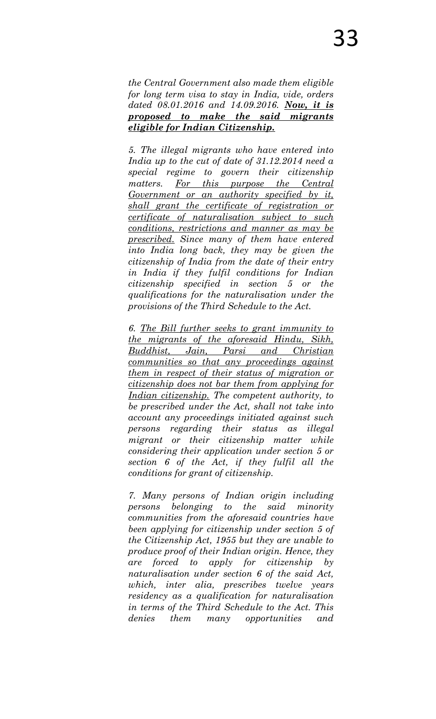*the Central Government also made them eligible for long term visa to stay in India, vide, orders dated 08.01.2016 and 14.09.2016. Now, it is proposed to make the said migrants eligible for Indian Citizenship.*

*5. The illegal migrants who have entered into India up to the cut of date of 31.12.2014 need a special regime to govern their citizenship matters. For this purpose the Central Government or an authority specified by it, shall grant the certificate of registration or certificate of naturalisation subject to such conditions, restrictions and manner as may be prescribed. Since many of them have entered into India long back, they may be given the citizenship of India from the date of their entry in India if they fulfil conditions for Indian citizenship specified in section 5 or the qualifications for the naturalisation under the provisions of the Third Schedule to the Act.* 

*6. The Bill further seeks to grant immunity to the migrants of the aforesaid Hindu, Sikh, Buddhist, Jain, Parsi and Christian communities so that any proceedings against them in respect of their status of migration or citizenship does not bar them from applying for Indian citizenship. The competent authority, to be prescribed under the Act, shall not take into account any proceedings initiated against such persons regarding their status as illegal migrant or their citizenship matter while considering their application under section 5 or section 6 of the Act, if they fulfil all the conditions for grant of citizenship.* 

*7. Many persons of Indian origin including persons belonging to the said minority communities from the aforesaid countries have been applying for citizenship under section 5 of the Citizenship Act, 1955 but they are unable to produce proof of their Indian origin. Hence, they are forced to apply for citizenship by naturalisation under section 6 of the said Act, which, inter alia, prescribes twelve years residency as a qualification for naturalisation in terms of the Third Schedule to the Act. This denies them many opportunities and*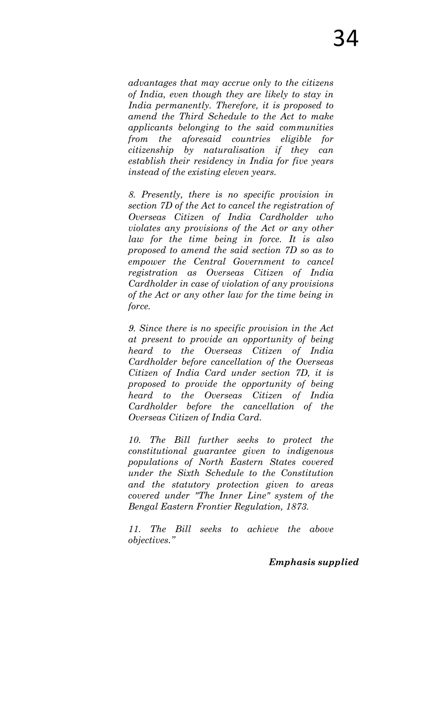*advantages that may accrue only to the citizens of India, even though they are likely to stay in India permanently. Therefore, it is proposed to amend the Third Schedule to the Act to make applicants belonging to the said communities from the aforesaid countries eligible for citizenship by naturalisation if they can establish their residency in India for five years instead of the existing eleven years.* 

*8. Presently, there is no specific provision in section 7D of the Act to cancel the registration of Overseas Citizen of India Cardholder who violates any provisions of the Act or any other law for the time being in force. It is also proposed to amend the said section 7D so as to empower the Central Government to cancel registration as Overseas Citizen of India Cardholder in case of violation of any provisions of the Act or any other law for the time being in force.* 

*9. Since there is no specific provision in the Act at present to provide an opportunity of being heard to the Overseas Citizen of India Cardholder before cancellation of the Overseas Citizen of India Card under section 7D, it is proposed to provide the opportunity of being heard to the Overseas Citizen of India Cardholder before the cancellation of the Overseas Citizen of India Card.* 

*10. The Bill further seeks to protect the constitutional guarantee given to indigenous populations of North Eastern States covered under the Sixth Schedule to the Constitution and the statutory protection given to areas covered under "The Inner Line" system of the Bengal Eastern Frontier Regulation, 1873.* 

*11. The Bill seeks to achieve the above objectives.‖*

*Emphasis supplied*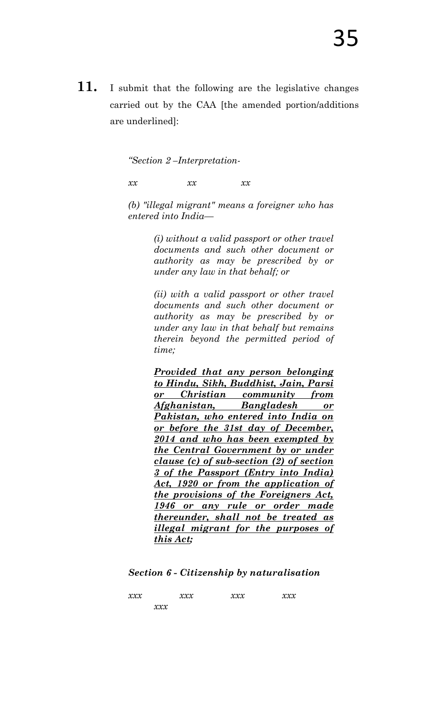**11.** I submit that the following are the legislative changes carried out by the CAA [the amended portion/additions are underlined]:

*―Section 2 –Interpretation-*

*xx xx xx* 

*(b) "illegal migrant" means a foreigner who has entered into India—*

> *(i) without a valid passport or other travel documents and such other document or authority as may be prescribed by or under any law in that behalf; or*

> *(ii) with a valid passport or other travel documents and such other document or authority as may be prescribed by or under any law in that behalf but remains therein beyond the permitted period of time;*

> *Provided that any person belonging to Hindu, Sikh, Buddhist, Jain, Parsi or Christian community from Afghanistan, Bangladesh or Pakistan, who entered into India on or before the 31st day of December, 2014 and who has been exempted by the Central Government by or under clause (c) of sub-section (2) of section 3 of the Passport (Entry into India) Act, 1920 or from the application of the provisions of the Foreigners Act, 1946 or any rule or order made thereunder, shall not be treated as illegal migrant for the purposes of this Act;*

*Section 6 - Citizenship by naturalisation* 

| xxx |       | xxx | $\mathbf{X}\mathbf{X}\mathbf{X}$ | $\mathbf{X}\mathbf{X}\mathbf{X}$ |
|-----|-------|-----|----------------------------------|----------------------------------|
|     | x x x |     |                                  |                                  |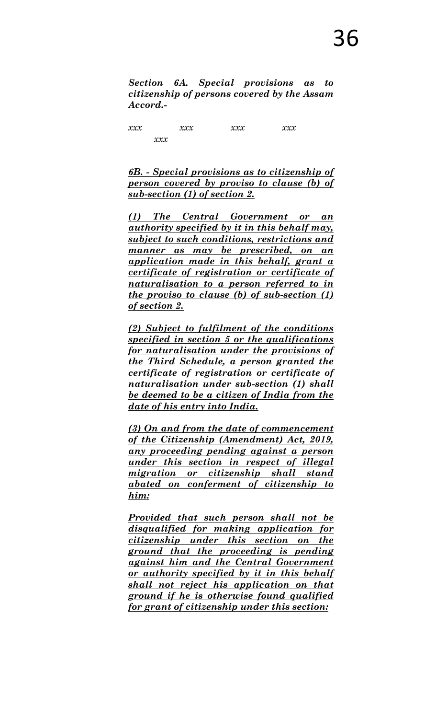*Section 6A. Special provisions as to citizenship of persons covered by the Assam Accord.-*

*xxx xxx xxx xxx xxx*

*6B. - Special provisions as to citizenship of person covered by proviso to clause (b) of sub-section (1) of section 2.*

*(1) The Central Government or an authority specified by it in this behalf may, subject to such conditions, restrictions and manner as may be prescribed, on an application made in this behalf, grant a certificate of registration or certificate of naturalisation to a person referred to in the proviso to clause (b) of sub-section (1) of section 2.* 

*(2) Subject to fulfilment of the conditions specified in section 5 or the qualifications for naturalisation under the provisions of the Third Schedule, a person granted the certificate of registration or certificate of naturalisation under sub-section (1) shall be deemed to be a citizen of India from the date of his entry into India.* 

*(3) On and from the date of commencement of the Citizenship (Amendment) Act, 2019, any proceeding pending against a person under this section in respect of illegal migration or citizenship shall stand abated on conferment of citizenship to him:* 

*Provided that such person shall not be disqualified for making application for citizenship under this section on the ground that the proceeding is pending against him and the Central Government or authority specified by it in this behalf shall not reject his application on that ground if he is otherwise found qualified for grant of citizenship under this section:*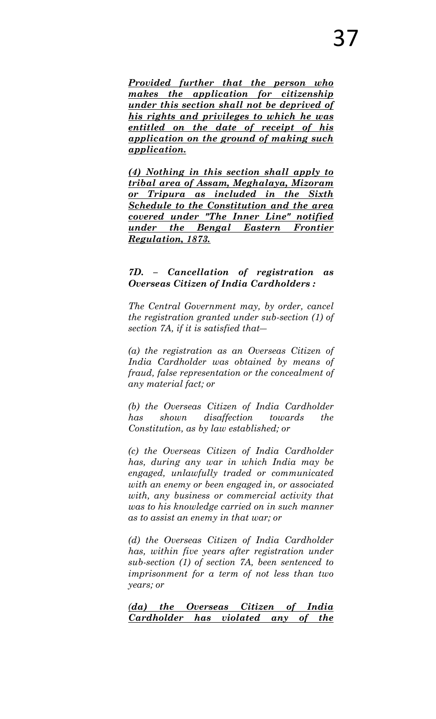*Provided further that the person who makes the application for citizenship under this section shall not be deprived of his rights and privileges to which he was entitled on the date of receipt of his application on the ground of making such application.* 

*(4) Nothing in this section shall apply to tribal area of Assam, Meghalaya, Mizoram or Tripura as included in the Sixth Schedule to the Constitution and the area covered under "The Inner Line" notified under the Bengal Eastern Frontier Regulation, 1873.*

### *7D. – Cancellation of registration as Overseas Citizen of India Cardholders :*

*The Central Government may, by order, cancel the registration granted under sub-section (1) of section 7A, if it is satisfied that―* 

*(a) the registration as an Overseas Citizen of India Cardholder was obtained by means of fraud, false representation or the concealment of any material fact; or*

*(b) the Overseas Citizen of India Cardholder has shown disaffection towards the Constitution, as by law established; or* 

*(c) the Overseas Citizen of India Cardholder has, during any war in which India may be engaged, unlawfully traded or communicated with an enemy or been engaged in, or associated with, any business or commercial activity that was to his knowledge carried on in such manner as to assist an enemy in that war; or* 

*(d) the Overseas Citizen of India Cardholder has, within five years after registration under sub-section (1) of section 7A, been sentenced to imprisonment for a term of not less than two years; or* 

*(da) the Overseas Citizen of India Cardholder has violated any of the*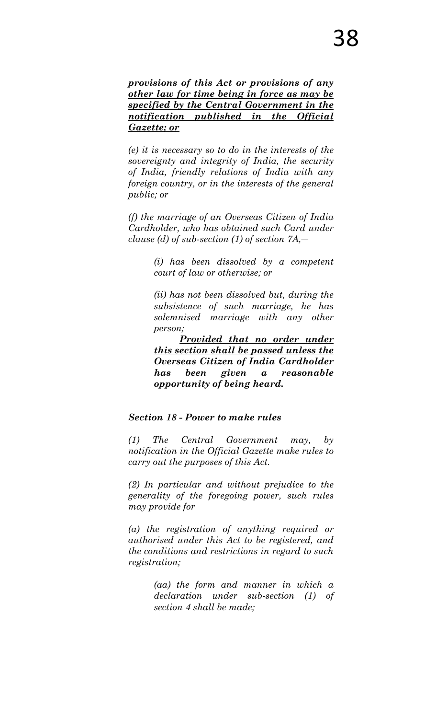*provisions of this Act or provisions of any other law for time being in force as may be specified by the Central Government in the notification published in the Official Gazette; or*

*(e) it is necessary so to do in the interests of the sovereignty and integrity of India, the security of India, friendly relations of India with any foreign country, or in the interests of the general public; or* 

*(f) the marriage of an Overseas Citizen of India Cardholder, who has obtained such Card under clause (d) of sub-section (1) of section 7A,―* 

> *(i) has been dissolved by a competent court of law or otherwise; or*

> *(ii) has not been dissolved but, during the subsistence of such marriage, he has solemnised marriage with any other person;*

> *Provided that no order under this section shall be passed unless the Overseas Citizen of India Cardholder has been given a reasonable opportunity of being heard.*

### *Section 18 - Power to make rules*

*(1) The Central Government may, by notification in the Official Gazette make rules to carry out the purposes of this Act.* 

*(2) In particular and without prejudice to the generality of the foregoing power, such rules may provide for* 

*(a) the registration of anything required or authorised under this Act to be registered, and the conditions and restrictions in regard to such registration;* 

> *(aa) the form and manner in which a declaration under sub-section (1) of section 4 shall be made;*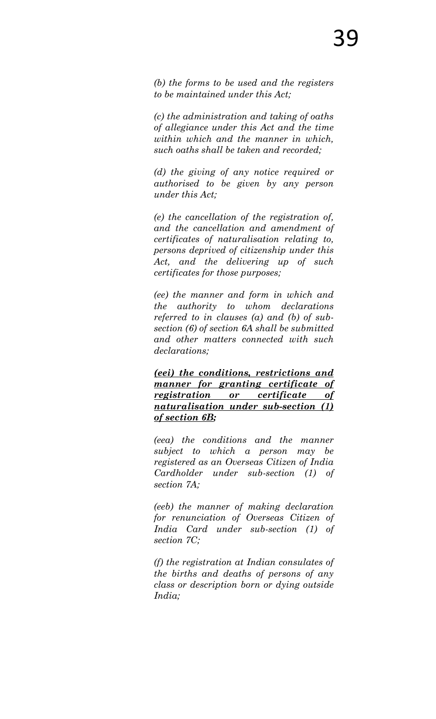*(b) the forms to be used and the registers to be maintained under this Act;* 

*(c) the administration and taking of oaths of allegiance under this Act and the time within which and the manner in which, such oaths shall be taken and recorded;* 

*(d) the giving of any notice required or authorised to be given by any person under this Act;* 

*(e) the cancellation of the registration of, and the cancellation and amendment of certificates of naturalisation relating to, persons deprived of citizenship under this Act, and the delivering up of such certificates for those purposes;* 

*(ee) the manner and form in which and the authority to whom declarations referred to in clauses (a) and (b) of subsection (6) of section 6A shall be submitted and other matters connected with such declarations;* 

*(eei) the conditions, restrictions and manner for granting certificate of registration or certificate of naturalisation under sub-section (1) of section 6B;*

*(eea) the conditions and the manner subject to which a person may be registered as an Overseas Citizen of India Cardholder under sub-section (1) of section 7A;* 

*(eeb) the manner of making declaration for renunciation of Overseas Citizen of India Card under sub-section (1) of section 7C;* 

*(f) the registration at Indian consulates of the births and deaths of persons of any class or description born or dying outside India;*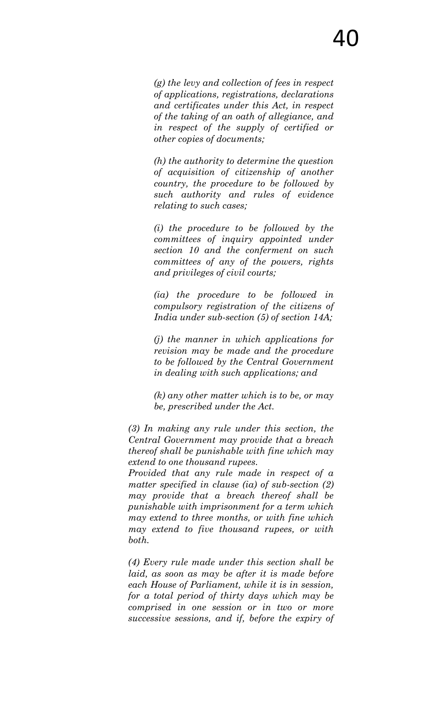*(g) the levy and collection of fees in respect of applications, registrations, declarations and certificates under this Act, in respect of the taking of an oath of allegiance, and in respect of the supply of certified or other copies of documents;* 

*(h) the authority to determine the question of acquisition of citizenship of another country, the procedure to be followed by such authority and rules of evidence relating to such cases;* 

*(i) the procedure to be followed by the committees of inquiry appointed under section 10 and the conferment on such committees of any of the powers, rights and privileges of civil courts;* 

*(ia) the procedure to be followed in compulsory registration of the citizens of India under sub-section (5) of section 14A;* 

*(j) the manner in which applications for revision may be made and the procedure to be followed by the Central Government in dealing with such applications; and* 

*(k) any other matter which is to be, or may be, prescribed under the Act.* 

*(3) In making any rule under this section, the Central Government may provide that a breach thereof shall be punishable with fine which may extend to one thousand rupees.* 

*Provided that any rule made in respect of a matter specified in clause (ia) of sub-section (2) may provide that a breach thereof shall be punishable with imprisonment for a term which may extend to three months, or with fine which may extend to five thousand rupees, or with both.* 

*(4) Every rule made under this section shall be laid, as soon as may be after it is made before each House of Parliament, while it is in session, for a total period of thirty days which may be comprised in one session or in two or more successive sessions, and if, before the expiry of*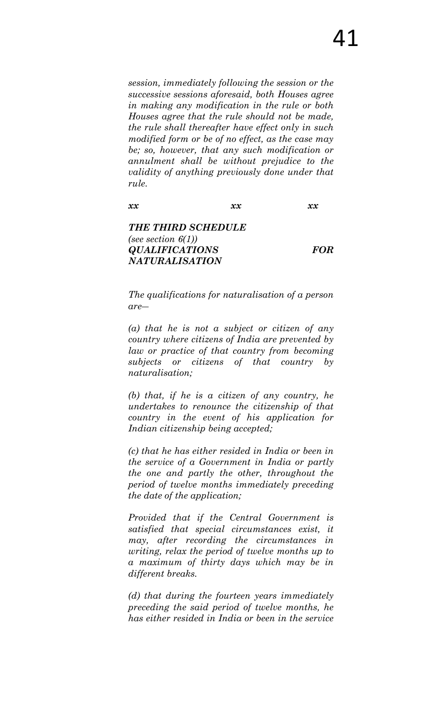*session, immediately following the session or the successive sessions aforesaid, both Houses agree in making any modification in the rule or both Houses agree that the rule should not be made, the rule shall thereafter have effect only in such modified form or be of no effect, as the case may be; so, however, that any such modification or annulment shall be without prejudice to the validity of anything previously done under that rule.*

*xx xx xx*

*THE THIRD SCHEDULE (see section 6(1)) QUALIFICATIONS FOR NATURALISATION* 

*The qualifications for naturalisation of a person are―* 

*(a) that he is not a subject or citizen of any country where citizens of India are prevented by law or practice of that country from becoming subjects or citizens of that country by naturalisation;* 

*(b) that, if he is a citizen of any country, he undertakes to renounce the citizenship of that country in the event of his application for Indian citizenship being accepted;*

*(c) that he has either resided in India or been in the service of a Government in India or partly the one and partly the other, throughout the period of twelve months immediately preceding the date of the application;* 

*Provided that if the Central Government is satisfied that special circumstances exist, it may, after recording the circumstances in writing, relax the period of twelve months up to a maximum of thirty days which may be in different breaks.* 

*(d) that during the fourteen years immediately preceding the said period of twelve months, he has either resided in India or been in the service*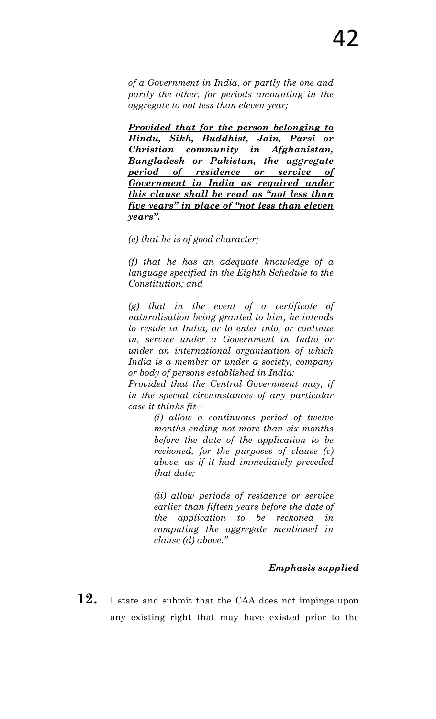*of a Government in India, or partly the one and partly the other, for periods amounting in the aggregate to not less than eleven year;* 

*Provided that for the person belonging to Hindu, Sikh, Buddhist, Jain, Parsi or Christian community in Afghanistan, Bangladesh or Pakistan, the aggregate period of residence or service of Government in India as required under this clause shall be read as ―not less than five years*" in place of "not less than eleven *years‖.* 

*(e) that he is of good character;* 

*(f) that he has an adequate knowledge of a language specified in the Eighth Schedule to the Constitution; and* 

*(g) that in the event of a certificate of naturalisation being granted to him, he intends to reside in India, or to enter into, or continue in, service under a Government in India or under an international organisation of which India is a member or under a society, company or body of persons established in India:* 

*Provided that the Central Government may, if in the special circumstances of any particular case it thinks fit―* 

> *(i) allow a continuous period of twelve months ending not more than six months before the date of the application to be reckoned, for the purposes of clause (c) above, as if it had immediately preceded that date;*

> *(ii) allow periods of residence or service earlier than fifteen years before the date of the application to be reckoned in computing the aggregate mentioned in clause (d) above.‖*

## *Emphasis supplied*

**12.** I state and submit that the CAA does not impinge upon any existing right that may have existed prior to the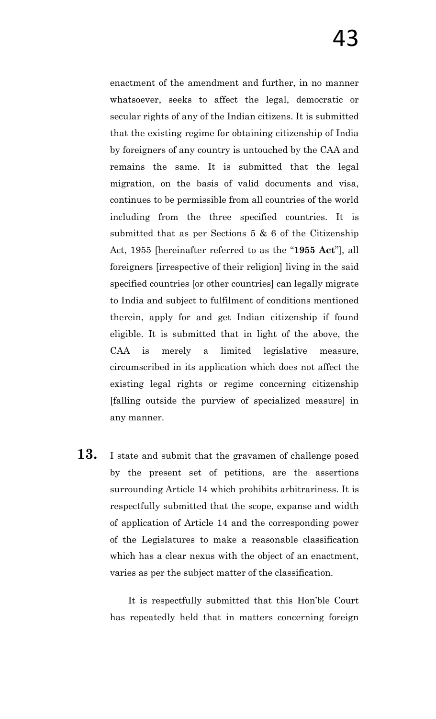enactment of the amendment and further, in no manner whatsoever, seeks to affect the legal, democratic or secular rights of any of the Indian citizens. It is submitted that the existing regime for obtaining citizenship of India by foreigners of any country is untouched by the CAA and remains the same. It is submitted that the legal migration, on the basis of valid documents and visa, continues to be permissible from all countries of the world including from the three specified countries. It is submitted that as per Sections 5 & 6 of the Citizenship Act, 1955 [hereinafter referred to as the "**1955 Act**"], all foreigners [irrespective of their religion] living in the said specified countries [or other countries] can legally migrate to India and subject to fulfilment of conditions mentioned therein, apply for and get Indian citizenship if found eligible. It is submitted that in light of the above, the CAA is merely a limited legislative measure, circumscribed in its application which does not affect the existing legal rights or regime concerning citizenship [falling outside the purview of specialized measure] in any manner.

**13.** I state and submit that the gravamen of challenge posed by the present set of petitions, are the assertions surrounding Article 14 which prohibits arbitrariness. It is respectfully submitted that the scope, expanse and width of application of Article 14 and the corresponding power of the Legislatures to make a reasonable classification which has a clear nexus with the object of an enactment, varies as per the subject matter of the classification.

> It is respectfully submitted that this Hon"ble Court has repeatedly held that in matters concerning foreign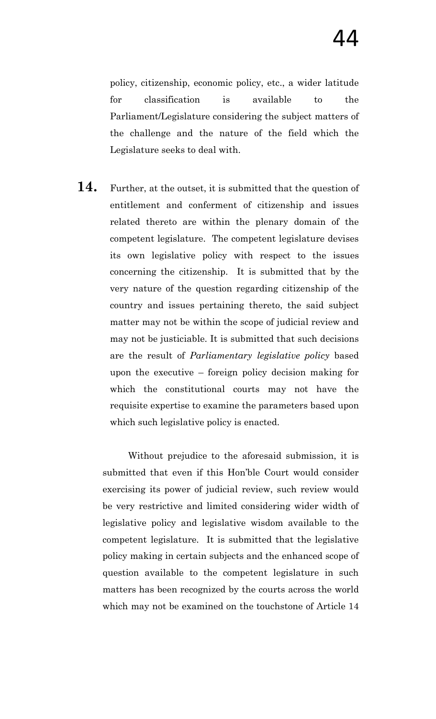policy, citizenship, economic policy, etc., a wider latitude for classification is available to the Parliament/Legislature considering the subject matters of the challenge and the nature of the field which the Legislature seeks to deal with.

**14.** Further, at the outset, it is submitted that the question of entitlement and conferment of citizenship and issues related thereto are within the plenary domain of the competent legislature. The competent legislature devises its own legislative policy with respect to the issues concerning the citizenship. It is submitted that by the very nature of the question regarding citizenship of the country and issues pertaining thereto, the said subject matter may not be within the scope of judicial review and may not be justiciable. It is submitted that such decisions are the result of *Parliamentary legislative policy* based upon the executive – foreign policy decision making for which the constitutional courts may not have the requisite expertise to examine the parameters based upon which such legislative policy is enacted.

Without prejudice to the aforesaid submission, it is submitted that even if this Hon"ble Court would consider exercising its power of judicial review, such review would be very restrictive and limited considering wider width of legislative policy and legislative wisdom available to the competent legislature. It is submitted that the legislative policy making in certain subjects and the enhanced scope of question available to the competent legislature in such matters has been recognized by the courts across the world which may not be examined on the touchstone of Article 14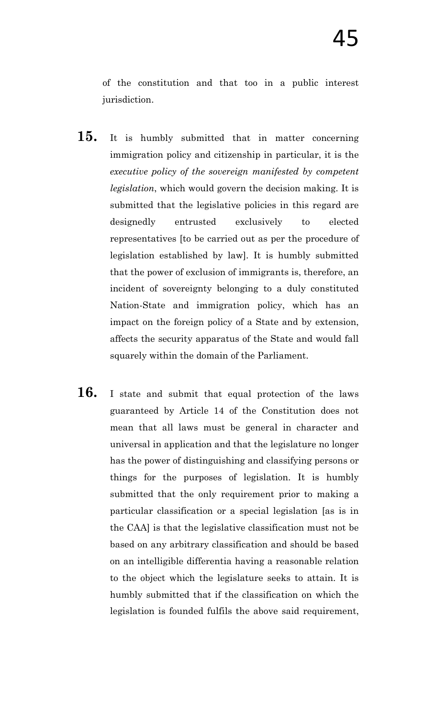of the constitution and that too in a public interest jurisdiction.

- **15.** It is humbly submitted that in matter concerning immigration policy and citizenship in particular, it is the *executive policy of the sovereign manifested by competent legislation*, which would govern the decision making. It is submitted that the legislative policies in this regard are designedly entrusted exclusively to elected representatives [to be carried out as per the procedure of legislation established by law]. It is humbly submitted that the power of exclusion of immigrants is, therefore, an incident of sovereignty belonging to a duly constituted Nation-State and immigration policy, which has an impact on the foreign policy of a State and by extension, affects the security apparatus of the State and would fall squarely within the domain of the Parliament.
- **16.** I state and submit that equal protection of the laws guaranteed by Article 14 of the Constitution does not mean that all laws must be general in character and universal in application and that the legislature no longer has the power of distinguishing and classifying persons or things for the purposes of legislation. It is humbly submitted that the only requirement prior to making a particular classification or a special legislation [as is in the CAA] is that the legislative classification must not be based on any arbitrary classification and should be based on an intelligible differentia having a reasonable relation to the object which the legislature seeks to attain. It is humbly submitted that if the classification on which the legislation is founded fulfils the above said requirement,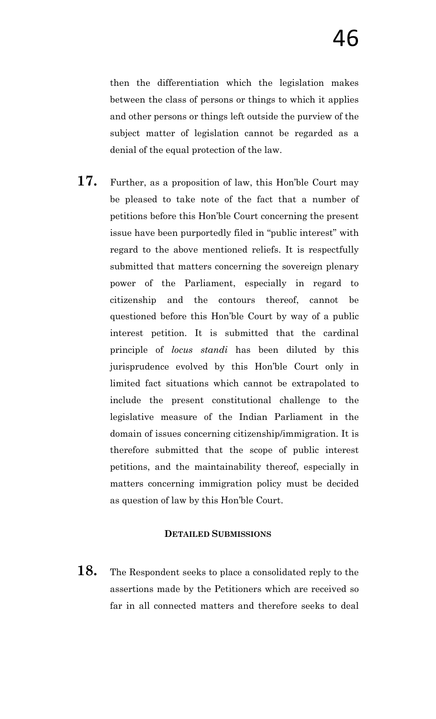then the differentiation which the legislation makes between the class of persons or things to which it applies and other persons or things left outside the purview of the subject matter of legislation cannot be regarded as a denial of the equal protection of the law.

**17.** Further, as a proposition of law, this Hon"ble Court may be pleased to take note of the fact that a number of petitions before this Hon"ble Court concerning the present issue have been purportedly filed in "public interest" with regard to the above mentioned reliefs. It is respectfully submitted that matters concerning the sovereign plenary power of the Parliament, especially in regard to citizenship and the contours thereof, cannot be questioned before this Hon"ble Court by way of a public interest petition. It is submitted that the cardinal principle of *locus standi* has been diluted by this jurisprudence evolved by this Hon"ble Court only in limited fact situations which cannot be extrapolated to include the present constitutional challenge to the legislative measure of the Indian Parliament in the domain of issues concerning citizenship/immigration. It is therefore submitted that the scope of public interest petitions, and the maintainability thereof, especially in matters concerning immigration policy must be decided as question of law by this Hon"ble Court.

# **DETAILED SUBMISSIONS**

**18.** The Respondent seeks to place a consolidated reply to the assertions made by the Petitioners which are received so far in all connected matters and therefore seeks to deal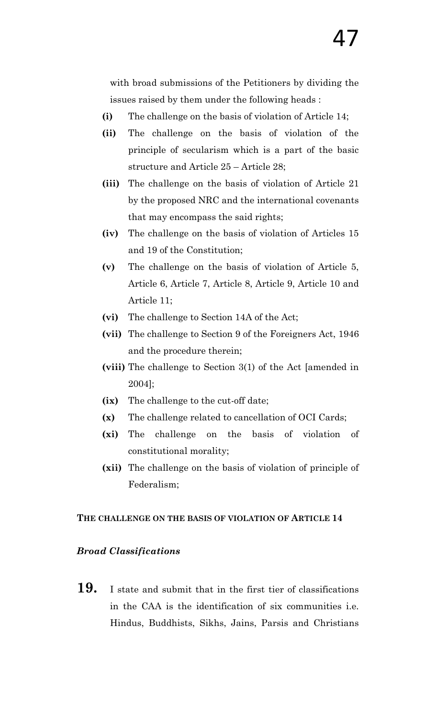with broad submissions of the Petitioners by dividing the issues raised by them under the following heads :

- **(i)** The challenge on the basis of violation of Article 14;
- **(ii)** The challenge on the basis of violation of the principle of secularism which is a part of the basic structure and Article 25 – Article 28;
- **(iii)** The challenge on the basis of violation of Article 21 by the proposed NRC and the international covenants that may encompass the said rights;
- **(iv)** The challenge on the basis of violation of Articles 15 and 19 of the Constitution;
- **(v)** The challenge on the basis of violation of Article 5, Article 6, Article 7, Article 8, Article 9, Article 10 and Article 11;
- **(vi)** The challenge to Section 14A of the Act;
- **(vii)** The challenge to Section 9 of the Foreigners Act, 1946 and the procedure therein;
- **(viii)** The challenge to Section 3(1) of the Act [amended in 2004];
- **(ix)** The challenge to the cut-off date;
- **(x)** The challenge related to cancellation of OCI Cards;
- **(xi)** The challenge on the basis of violation of constitutional morality;
- **(xii)** The challenge on the basis of violation of principle of Federalism;

### **THE CHALLENGE ON THE BASIS OF VIOLATION OF ARTICLE 14**

### *Broad Classifications*

**19.** I state and submit that in the first tier of classifications in the CAA is the identification of six communities i.e. Hindus, Buddhists, Sikhs, Jains, Parsis and Christians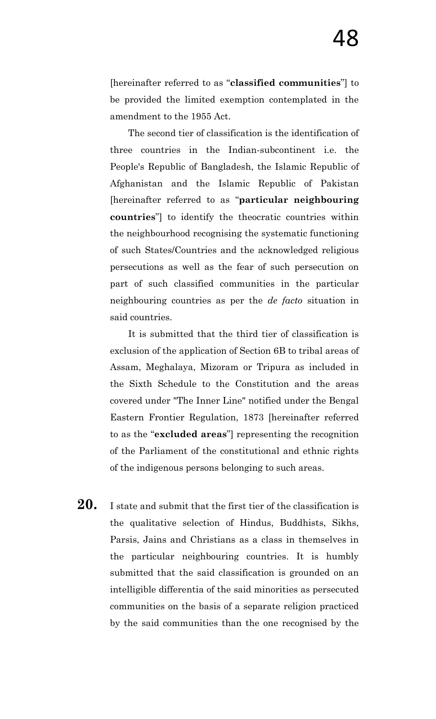[hereinafter referred to as "**classified communities**"] to be provided the limited exemption contemplated in the amendment to the 1955 Act.

The second tier of classification is the identification of three countries in the Indian-subcontinent i.e. the People's Republic of Bangladesh, the Islamic Republic of Afghanistan and the Islamic Republic of Pakistan [hereinafter referred to as "**particular neighbouring countries**"] to identify the theocratic countries within the neighbourhood recognising the systematic functioning of such States/Countries and the acknowledged religious persecutions as well as the fear of such persecution on part of such classified communities in the particular neighbouring countries as per the *de facto* situation in said countries.

It is submitted that the third tier of classification is exclusion of the application of Section 6B to tribal areas of Assam, Meghalaya, Mizoram or Tripura as included in the Sixth Schedule to the Constitution and the areas covered under "The Inner Line" notified under the Bengal Eastern Frontier Regulation, 1873 [hereinafter referred to as the "**excluded areas**"] representing the recognition of the Parliament of the constitutional and ethnic rights of the indigenous persons belonging to such areas.

20. I state and submit that the first tier of the classification is the qualitative selection of Hindus, Buddhists, Sikhs, Parsis, Jains and Christians as a class in themselves in the particular neighbouring countries. It is humbly submitted that the said classification is grounded on an intelligible differentia of the said minorities as persecuted communities on the basis of a separate religion practiced by the said communities than the one recognised by the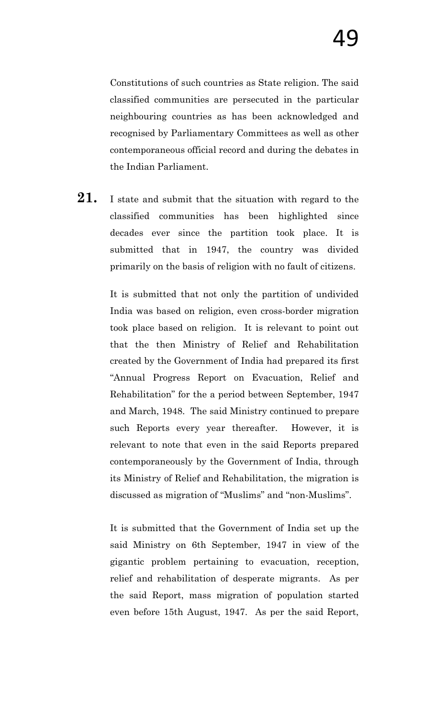Constitutions of such countries as State religion. The said classified communities are persecuted in the particular neighbouring countries as has been acknowledged and recognised by Parliamentary Committees as well as other contemporaneous official record and during the debates in the Indian Parliament.

21. I state and submit that the situation with regard to the classified communities has been highlighted since decades ever since the partition took place. It is submitted that in 1947, the country was divided primarily on the basis of religion with no fault of citizens.

> It is submitted that not only the partition of undivided India was based on religion, even cross-border migration took place based on religion. It is relevant to point out that the then Ministry of Relief and Rehabilitation created by the Government of India had prepared its first "Annual Progress Report on Evacuation, Relief and Rehabilitation" for the a period between September, 1947 and March, 1948. The said Ministry continued to prepare such Reports every year thereafter. However, it is relevant to note that even in the said Reports prepared contemporaneously by the Government of India, through its Ministry of Relief and Rehabilitation, the migration is discussed as migration of "Muslims" and "non-Muslims".

> It is submitted that the Government of India set up the said Ministry on 6th September, 1947 in view of the gigantic problem pertaining to evacuation, reception, relief and rehabilitation of desperate migrants. As per the said Report, mass migration of population started even before 15th August, 1947. As per the said Report,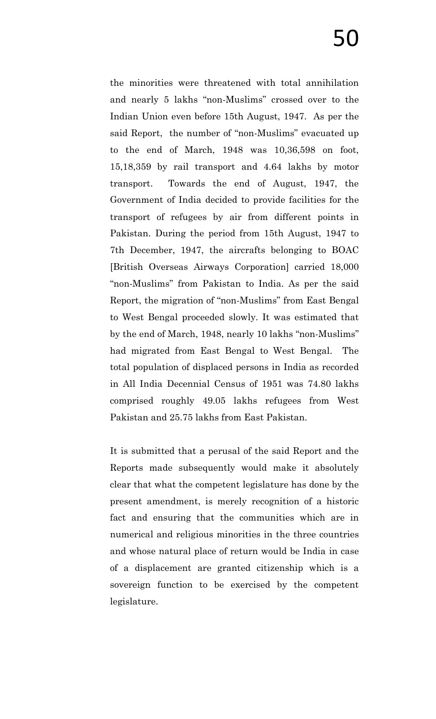the minorities were threatened with total annihilation and nearly 5 lakhs "non-Muslims" crossed over to the Indian Union even before 15th August, 1947. As per the said Report, the number of "non-Muslims" evacuated up to the end of March, 1948 was 10,36,598 on foot, 15,18,359 by rail transport and 4.64 lakhs by motor transport. Towards the end of August, 1947, the Government of India decided to provide facilities for the transport of refugees by air from different points in Pakistan. During the period from 15th August, 1947 to 7th December, 1947, the aircrafts belonging to BOAC [British Overseas Airways Corporation] carried 18,000 "non-Muslims" from Pakistan to India. As per the said Report, the migration of "non-Muslims" from East Bengal to West Bengal proceeded slowly. It was estimated that by the end of March, 1948, nearly 10 lakhs "non-Muslims" had migrated from East Bengal to West Bengal. The total population of displaced persons in India as recorded in All India Decennial Census of 1951 was 74.80 lakhs comprised roughly 49.05 lakhs refugees from West Pakistan and 25.75 lakhs from East Pakistan.

It is submitted that a perusal of the said Report and the Reports made subsequently would make it absolutely clear that what the competent legislature has done by the present amendment, is merely recognition of a historic fact and ensuring that the communities which are in numerical and religious minorities in the three countries and whose natural place of return would be India in case of a displacement are granted citizenship which is a sovereign function to be exercised by the competent legislature.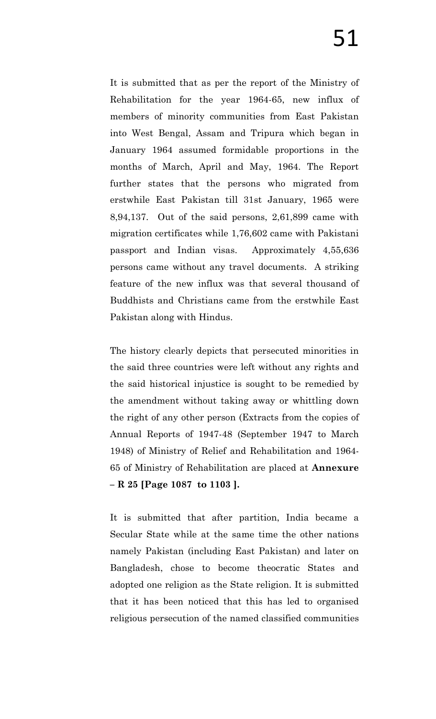It is submitted that as per the report of the Ministry of Rehabilitation for the year 1964-65, new influx of members of minority communities from East Pakistan into West Bengal, Assam and Tripura which began in January 1964 assumed formidable proportions in the months of March, April and May, 1964. The Report further states that the persons who migrated from erstwhile East Pakistan till 31st January, 1965 were 8,94,137. Out of the said persons, 2,61,899 came with migration certificates while 1,76,602 came with Pakistani passport and Indian visas. Approximately 4,55,636 persons came without any travel documents. A striking feature of the new influx was that several thousand of Buddhists and Christians came from the erstwhile East Pakistan along with Hindus.

The history clearly depicts that persecuted minorities in the said three countries were left without any rights and the said historical injustice is sought to be remedied by the amendment without taking away or whittling down the right of any other person (Extracts from the copies of Annual Reports of 1947-48 (September 1947 to March 1948) of Ministry of Relief and Rehabilitation and 1964- 65 of Ministry of Rehabilitation are placed at **Annexure – R 25 [Page 1087 to 1103 ].**

It is submitted that after partition, India became a Secular State while at the same time the other nations namely Pakistan (including East Pakistan) and later on Bangladesh, chose to become theocratic States and adopted one religion as the State religion. It is submitted that it has been noticed that this has led to organised religious persecution of the named classified communities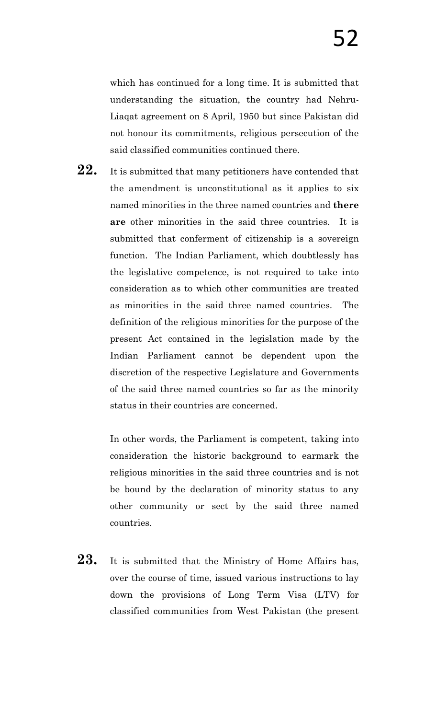which has continued for a long time. It is submitted that understanding the situation, the country had Nehru-Liaqat agreement on 8 April, 1950 but since Pakistan did not honour its commitments, religious persecution of the said classified communities continued there.

22. It is submitted that many petitioners have contended that the amendment is unconstitutional as it applies to six named minorities in the three named countries and **there are** other minorities in the said three countries. It is submitted that conferment of citizenship is a sovereign function. The Indian Parliament, which doubtlessly has the legislative competence, is not required to take into consideration as to which other communities are treated as minorities in the said three named countries. The definition of the religious minorities for the purpose of the present Act contained in the legislation made by the Indian Parliament cannot be dependent upon the discretion of the respective Legislature and Governments of the said three named countries so far as the minority status in their countries are concerned.

> In other words, the Parliament is competent, taking into consideration the historic background to earmark the religious minorities in the said three countries and is not be bound by the declaration of minority status to any other community or sect by the said three named countries.

23. It is submitted that the Ministry of Home Affairs has, over the course of time, issued various instructions to lay down the provisions of Long Term Visa (LTV) for classified communities from West Pakistan (the present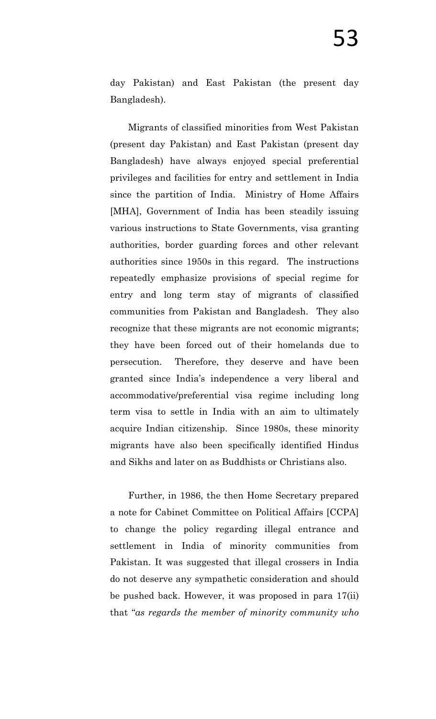day Pakistan) and East Pakistan (the present day Bangladesh).

Migrants of classified minorities from West Pakistan (present day Pakistan) and East Pakistan (present day Bangladesh) have always enjoyed special preferential privileges and facilities for entry and settlement in India since the partition of India. Ministry of Home Affairs [MHA], Government of India has been steadily issuing various instructions to State Governments, visa granting authorities, border guarding forces and other relevant authorities since 1950s in this regard. The instructions repeatedly emphasize provisions of special regime for entry and long term stay of migrants of classified communities from Pakistan and Bangladesh. They also recognize that these migrants are not economic migrants; they have been forced out of their homelands due to persecution. Therefore, they deserve and have been granted since India"s independence a very liberal and accommodative/preferential visa regime including long term visa to settle in India with an aim to ultimately acquire Indian citizenship. Since 1980s, these minority migrants have also been specifically identified Hindus and Sikhs and later on as Buddhists or Christians also.

Further, in 1986, the then Home Secretary prepared a note for Cabinet Committee on Political Affairs [CCPA] to change the policy regarding illegal entrance and settlement in India of minority communities from Pakistan. It was suggested that illegal crossers in India do not deserve any sympathetic consideration and should be pushed back. However, it was proposed in para 17(ii) that "*as regards the member of minority community who*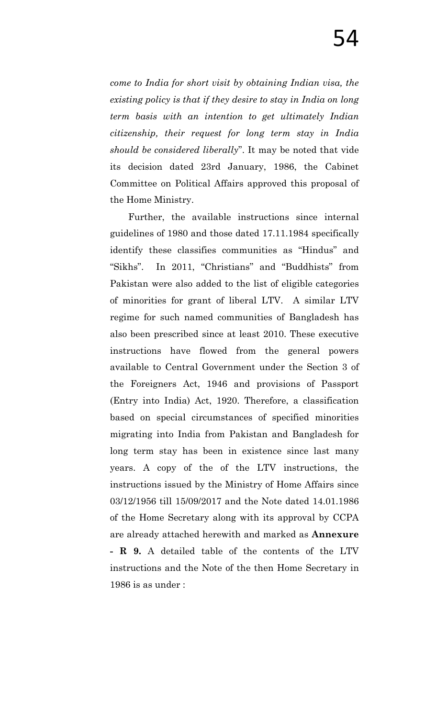*come to India for short visit by obtaining Indian visa, the existing policy is that if they desire to stay in India on long term basis with an intention to get ultimately Indian citizenship, their request for long term stay in India should be considered liberally*". It may be noted that vide its decision dated 23rd January, 1986, the Cabinet Committee on Political Affairs approved this proposal of the Home Ministry.

Further, the available instructions since internal guidelines of 1980 and those dated 17.11.1984 specifically identify these classifies communities as "Hindus" and "Sikhs". In 2011, "Christians" and "Buddhists" from Pakistan were also added to the list of eligible categories of minorities for grant of liberal LTV. A similar LTV regime for such named communities of Bangladesh has also been prescribed since at least 2010. These executive instructions have flowed from the general powers available to Central Government under the Section 3 of the Foreigners Act, 1946 and provisions of Passport (Entry into India) Act, 1920. Therefore, a classification based on special circumstances of specified minorities migrating into India from Pakistan and Bangladesh for long term stay has been in existence since last many years. A copy of the of the LTV instructions, the instructions issued by the Ministry of Home Affairs since 03/12/1956 till 15/09/2017 and the Note dated 14.01.1986 of the Home Secretary along with its approval by CCPA are already attached herewith and marked as **Annexure - R 9.** A detailed table of the contents of the LTV instructions and the Note of the then Home Secretary in 1986 is as under :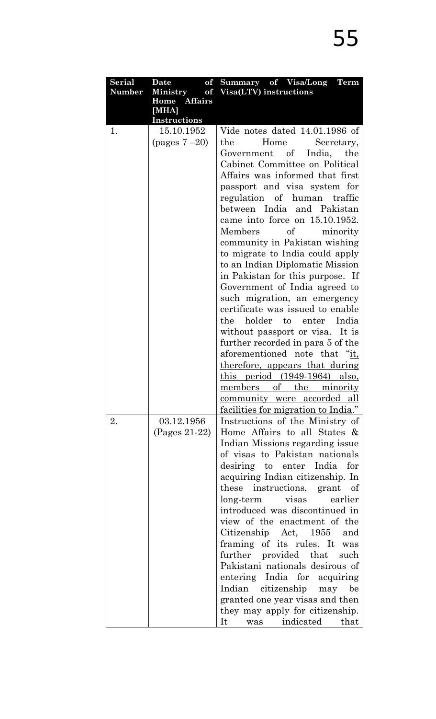| <b>Serial</b> | Date<br>of                   | Summary of Visa/Long Term                             |
|---------------|------------------------------|-------------------------------------------------------|
| <b>Number</b> | <b>Ministry</b>              | of Visa(LTV) instructions                             |
|               | Home Affairs                 |                                                       |
|               | [MHA]<br><b>Instructions</b> |                                                       |
| 1.            | 15.10.1952                   | Vide notes dated 14.01.1986 of                        |
|               | (pages $7-20$ )              | Home<br>the<br>Secretary,                             |
|               |                              | Government of<br>India.<br>the                        |
|               |                              | Cabinet Committee on Political                        |
|               |                              | Affairs was informed that first                       |
|               |                              | passport and visa system for                          |
|               |                              | regulation of human traffic                           |
|               |                              | between India and Pakistan                            |
|               |                              | came into force on 15.10.1952.                        |
|               |                              | Members<br>of<br>minority                             |
|               |                              | community in Pakistan wishing                         |
|               |                              | to migrate to India could apply                       |
|               |                              | to an Indian Diplomatic Mission                       |
|               |                              | in Pakistan for this purpose. If                      |
|               |                              | Government of India agreed to                         |
|               |                              | such migration, an emergency                          |
|               |                              | certificate was issued to enable                      |
|               |                              | holder to<br>enter India<br>the                       |
|               |                              | without passport or visa. It is                       |
|               |                              | further recorded in para 5 of the                     |
|               |                              | aforementioned note that "it,                         |
|               |                              | <u>therefore, appears that during</u>                 |
|               |                              | $\frac{\text{this period}}{\text{(1949-1964)}}$ also, |
|               |                              | members of the minority                               |
|               |                              | <u>community</u> were accorded all                    |
|               |                              | facilities for migration to India."                   |
| 2.            | 03.12.1956                   | Instructions of the Ministry of                       |
|               | (Pages 21-22)                | Home Affairs to all States &                          |
|               |                              | Indian Missions regarding issue                       |
|               |                              | of visas to Pakistan nationals                        |
|               |                              | desiring to enter India<br>for                        |
|               |                              | acquiring Indian citizenship. In                      |
|               |                              | these instructions, grant of                          |
|               |                              | long-term visas<br>earlier                            |
|               |                              | introduced was discontinued in                        |
|               |                              | view of the enactment of the                          |
|               |                              | Citizenship Act, 1955 and                             |
|               |                              | framing of its rules. It was                          |
|               |                              | further provided that<br>such                         |
|               |                              | Pakistani nationals desirous of                       |
|               |                              | entering India for acquiring                          |
|               |                              | Indian citizenship<br>may be                          |
|               |                              | granted one year visas and then                       |
|               |                              | they may apply for citizenship.                       |
|               |                              | It was indicated<br>that                              |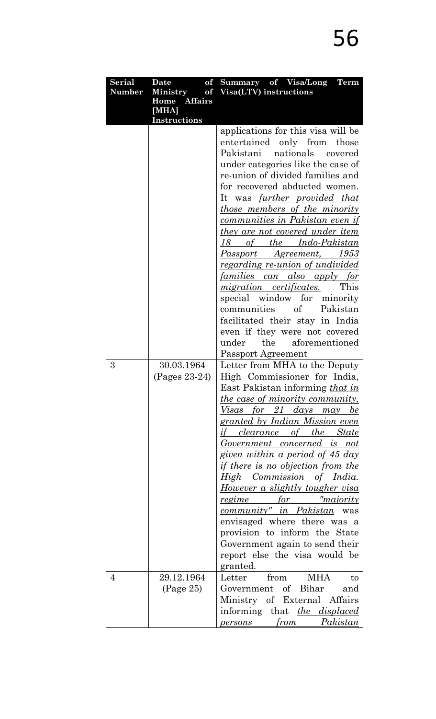| <b>Serial</b> | Date<br>of                      | Summary of Visa/Long Term                                                    |
|---------------|---------------------------------|------------------------------------------------------------------------------|
| <b>Number</b> | <b>Ministry</b><br>Home Affairs | of Visa(LTV) instructions                                                    |
|               | [MHA]                           |                                                                              |
|               | <b>Instructions</b>             |                                                                              |
|               |                                 | applications for this visa will be                                           |
|               |                                 | entertained only from those                                                  |
|               |                                 | Pakistani<br>nationals<br>covered                                            |
|               |                                 | under categories like the case of                                            |
|               |                                 | re-union of divided families and                                             |
|               |                                 | for recovered abducted women.                                                |
|               |                                 | It was <u>further provided that</u>                                          |
|               |                                 | <i>those members of the minority</i>                                         |
|               |                                 | communities in Pakistan even if                                              |
|               |                                 | <u>they are not covered under item</u>                                       |
|               |                                 | of the Indo-Pakistan<br>18                                                   |
|               |                                 | Passport Agreement, 1953                                                     |
|               |                                 | <u>regarding re-union of undivided</u><br><u>families can also apply for</u> |
|               |                                 | <i>migration certificates.</i><br>This                                       |
|               |                                 | special window for minority                                                  |
|               |                                 | communities of Pakistan                                                      |
|               |                                 | facilitated their stay in India                                              |
|               |                                 | even if they were not covered                                                |
|               |                                 | the<br>aforementioned<br>under                                               |
|               |                                 | Passport Agreement                                                           |
| 3             | 30.03.1964                      | Letter from MHA to the Deputy                                                |
|               | $(Pages 23-24)$                 | High Commissioner for India,                                                 |
|               |                                 | East Pakistan informing that in                                              |
|               |                                 | <i>the case of minority community,</i>                                       |
|               |                                 | Visas for 21 days may be                                                     |
|               |                                 | <u>granted by Indian Mission even</u>                                        |
|               |                                 | <u>if clearance of the State</u>                                             |
|               |                                 | <u>Government concerned is not</u>                                           |
|               |                                 | given within a period of 45 day                                              |
|               |                                 | <u>if there is no objection from the</u>                                     |
|               |                                 | <u>High Commission of India.</u>                                             |
|               |                                 | <u>However a slightly tougher visa</u>                                       |
|               |                                 | <u>regime for "majority</u><br><i>community" in Pakistan</i> was             |
|               |                                 | envisaged where there was a                                                  |
|               |                                 | provision to inform the State                                                |
|               |                                 | Government again to send their                                               |
|               |                                 | report else the visa would be                                                |
|               |                                 | granted.                                                                     |
| 4             | 29.12.1964                      | from MHA<br>Letter<br>to                                                     |
|               | (Page 25)                       | Government of Bihar<br>and                                                   |
|               |                                 | Ministry of External Affairs                                                 |
|               |                                 | informing that the displaced                                                 |
|               |                                 | from Pakistan<br><i>persons</i>                                              |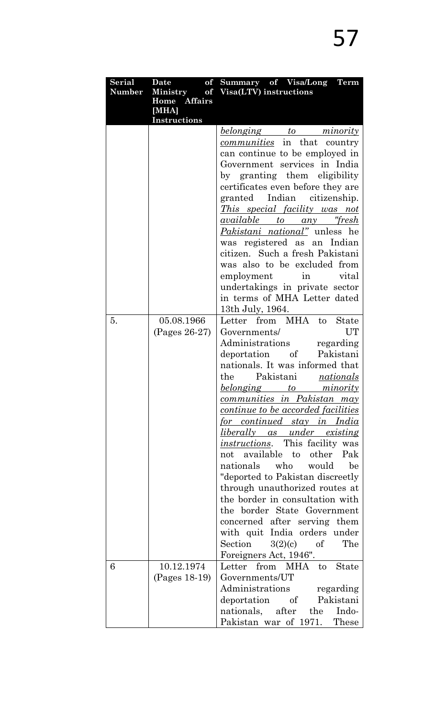| <b>Serial</b> | Date and Date<br>of   | Summary of Visa/Long Term                                 |
|---------------|-----------------------|-----------------------------------------------------------|
| Number        |                       | Ministry of Visa(LTV) instructions                        |
|               | Home Affairs<br>[MHA] |                                                           |
|               | <b>Instructions</b>   |                                                           |
|               |                       | <u>belonging to minority</u>                              |
|               |                       | <i>communities</i> in that country                        |
|               |                       | can continue to be employed in                            |
|               |                       | Government services in India                              |
|               |                       | by granting them eligibility                              |
|               |                       | certificates even before they are                         |
|               |                       | granted Indian citizenship.                               |
|               |                       | <i>This special facility was not</i>                      |
|               |                       | <i><u>available to any "fresh</u></i>                     |
|               |                       | <i>Pakistani national</i> " unless he                     |
|               |                       | was registered as an Indian                               |
|               |                       | citizen. Such a fresh Pakistani                           |
|               |                       | was also to be excluded from                              |
|               |                       | employment in vital                                       |
|               |                       | undertakings in private sector                            |
|               |                       | in terms of MHA Letter dated                              |
|               |                       | 13th July, 1964.                                          |
| 5.            | 05.08.1966            | Letter from MHA to<br><b>State</b>                        |
|               | $(Pages 26-27)$       | UT<br>Governments/                                        |
|               |                       | Administrations regarding                                 |
|               |                       | deportation of Pakistani                                  |
|               |                       | nationals. It was informed that                           |
|               |                       | the<br>Pakistani nationals                                |
|               |                       | belonging to minority                                     |
|               |                       | communities in Pakistan may                               |
|               |                       | <u>continue to be accorded facilities</u>                 |
|               |                       | <u>for continued stay in India</u>                        |
|               |                       | <u>liberally as under existing</u>                        |
|               |                       | <i>instructions</i> . This facility was                   |
|               |                       | not available to other Pak                                |
|               |                       | nationals who would<br>be                                 |
|               |                       | "deported to Pakistan discreetly                          |
|               |                       | through unauthorized routes at                            |
|               |                       | the border in consultation with                           |
|               |                       | the border State Government                               |
|               |                       | concerned after serving them                              |
|               |                       | with quit India orders under                              |
|               |                       | The<br>Section<br>3(2)(c)<br>of                           |
|               |                       | Foreigners Act, 1946".                                    |
| 6             | 10.12.1974            | Letter from MHA to State                                  |
|               | (Pages 18-19)         | Governments/UT                                            |
|               |                       | Administrations regarding                                 |
|               |                       | deportation of Pakistani                                  |
|               |                       | nationals, after the Indo-<br>Pakistan war of 1971. These |
|               |                       |                                                           |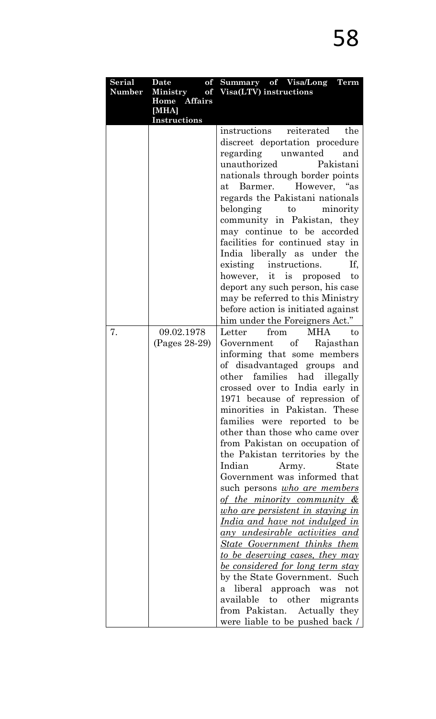| <b>Serial</b> | of<br>Date            | Summary of Visa/Long Term                   |
|---------------|-----------------------|---------------------------------------------|
| <b>Number</b> | <b>Ministry</b>       | of Visa(LTV) instructions                   |
|               | Home Affairs<br>[MHA] |                                             |
|               | <b>Instructions</b>   |                                             |
|               |                       | instructions reiterated<br>the              |
|               |                       | discreet deportation procedure              |
|               |                       | unwanted<br>regarding<br>and                |
|               |                       | unauthorized<br>Pakistani                   |
|               |                       | nationals through border points             |
|               |                       | Barmer. However, "as<br>$\operatorname{at}$ |
|               |                       | regards the Pakistani nationals             |
|               |                       | belonging<br>minority<br>to                 |
|               |                       | community in Pakistan, they                 |
|               |                       | may continue to be accorded                 |
|               |                       | facilities for continued stay in            |
|               |                       | India liberally as under the                |
|               |                       | If.<br>existing instructions.               |
|               |                       | however, it is proposed to                  |
|               |                       | deport any such person, his case            |
|               |                       | may be referred to this Ministry            |
|               |                       | before action is initiated against          |
|               |                       | him under the Foreigners Act."              |
| 7.            | 09.02.1978            | Letter<br>from<br>MHA<br>to                 |
|               | (Pages 28-29)         | Government of Rajasthan                     |
|               |                       | informing that some members                 |
|               |                       | of disadvantaged groups and                 |
|               |                       | other families had<br>illegally             |
|               |                       | crossed over to India early in              |
|               |                       | 1971 because of repression of               |
|               |                       | minorities in Pakistan. These               |
|               |                       | families were reported to be                |
|               |                       | other than those who came over              |
|               |                       | from Pakistan on occupation of              |
|               |                       | the Pakistan territories by the             |
|               |                       | Indian<br>State<br>Army.                    |
|               |                       | Government was informed that                |
|               |                       | such persons <i>who are members</i>         |
|               |                       | <u>of the minority community &amp;</u>      |
|               |                       | <u>who are persistent in staying in</u>     |
|               |                       | <u>India and have not indulged in</u>       |
|               |                       | <u>any undesirable activities and</u>       |
|               |                       | <b>State Government thinks them</b>         |
|               |                       | <u>to be deserving cases, they may</u>      |
|               |                       | <u>be considered for long term stay</u>     |
|               |                       | by the State Government. Such               |
|               |                       | a liberal approach was<br>not               |
|               |                       | available to other migrants                 |
|               |                       | from Pakistan. Actually they                |
|               |                       | were liable to be pushed back /             |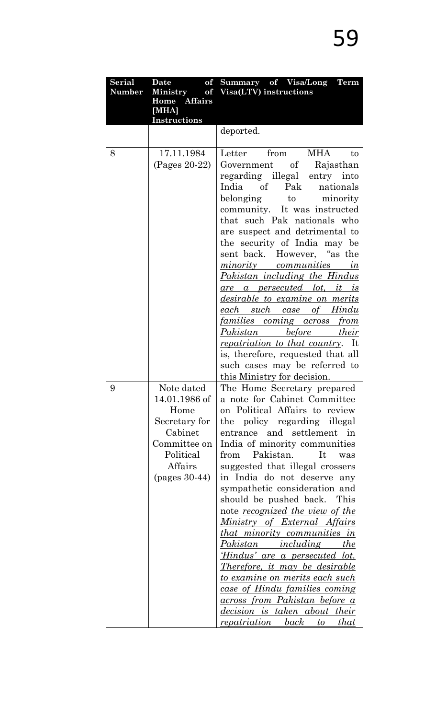| Serial | of<br>Date      | Summary of Visa/Long Term                                               |
|--------|-----------------|-------------------------------------------------------------------------|
| Number |                 | Ministry of Visa(LTV) instructions                                      |
|        | Home Affairs    |                                                                         |
|        | [MHA]           |                                                                         |
|        | Instructions    |                                                                         |
|        |                 | deported.                                                               |
| 8      | 17.11.1984      | Letter from MHA<br>to                                                   |
|        | $(Pages 20-22)$ | Government of Rajasthan                                                 |
|        |                 | regarding illegal entry into                                            |
|        |                 | India of Pak nationals                                                  |
|        |                 | belonging to minority                                                   |
|        |                 | community. It was instructed                                            |
|        |                 | that such Pak nationals who                                             |
|        |                 | are suspect and detrimental to                                          |
|        |                 | the security of India may be                                            |
|        |                 | sent back. However, "as the                                             |
|        |                 | minority communities in                                                 |
|        |                 | <u>Pakistan including the Hindus</u>                                    |
|        |                 | <u>are a persecuted lot, it is</u>                                      |
|        |                 | <i>desirable to examine on merits</i><br><u>each such case of Hindu</u> |
|        |                 | <u>families coming across from </u>                                     |
|        |                 | <u>Pakistan before their</u>                                            |
|        |                 | <i>repatriation to that country.</i> It                                 |
|        |                 | is, therefore, requested that all                                       |
|        |                 | such cases may be referred to                                           |
|        |                 | this Ministry for decision.                                             |
| 9      | Note dated      | The Home Secretary prepared                                             |
|        | 14.01.1986 of   | a note for Cabinet Committee                                            |
|        | Home            | on Political Affairs to review                                          |
|        | Secretary for   | the policy regarding illegal                                            |
|        | Cabinet         | entrance and settlement in                                              |
|        | Committee on    | India of minority communities                                           |
|        | Political       | Pakistan.<br>It<br>from<br>was                                          |
|        | Affairs         | suggested that illegal crossers                                         |
|        | $(pages 30-44)$ | in India do not deserve any                                             |
|        |                 | sympathetic consideration and<br>should be pushed back. This            |
|        |                 | note <u>recognized the view of the</u>                                  |
|        |                 | <u>Ministry of External Affairs</u>                                     |
|        |                 | <i>that minority communities in</i>                                     |
|        |                 | <u>Pakistan including the</u>                                           |
|        |                 | 'Hindus' are a persecuted lot.                                          |
|        |                 | <u>Therefore, it may be desirable</u>                                   |
|        |                 | <u>to examine on merits each such </u>                                  |
|        |                 | case of Hindu families coming                                           |
|        |                 | <u>across from Pakistan before a</u>                                    |
|        |                 | <i>decision is taken about their</i>                                    |
|        |                 | repatriation back to that                                               |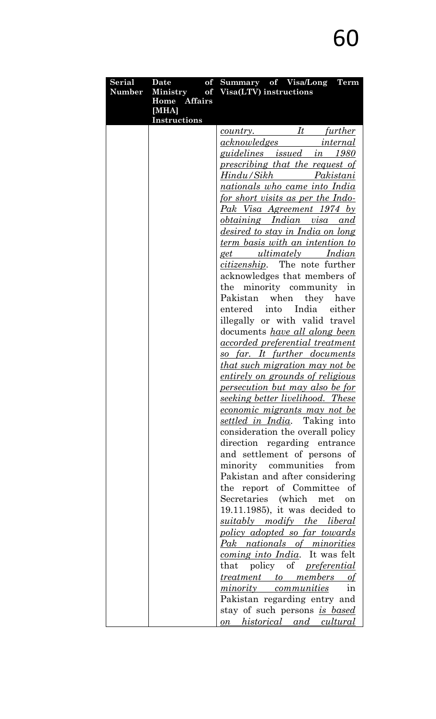| <b>Serial</b> | of<br>Date            | Summary of Visa/Long Term                |
|---------------|-----------------------|------------------------------------------|
| Number        | <b>Ministry</b>       | of Visa(LTV) instructions                |
|               | Home Affairs          |                                          |
|               | [MHA]<br>Instructions |                                          |
|               |                       | country. It further                      |
|               |                       | <i><u>acknowledges internal</u></i>      |
|               |                       | guidelines issued in 1980                |
|               |                       | prescribing that the request of          |
|               |                       |                                          |
|               |                       | nationals who came into India            |
|               |                       | <u>for short visits as per the Indo-</u> |
|               |                       | <u>Pak Visa Agreement 1974 by</u>        |
|               |                       | <i>obtaining Indian visa and</i>         |
|               |                       | desired to stay in India on long         |
|               |                       | <u>term basis with an intention to</u>   |
|               |                       | get ultimately Indian                    |
|               |                       | <i>citizenship</i> . The note further    |
|               |                       | acknowledges that members of             |
|               |                       | the minority community in                |
|               |                       | when<br>Pakistan<br>they have            |
|               |                       | entered into India either                |
|               |                       | illegally or with valid travel           |
|               |                       | documents <i>have all along been</i>     |
|               |                       | <u>accorded</u> preferential treatment   |
|               |                       | <u>so far. It further documents</u>      |
|               |                       | <u>that such migration may not be</u>    |
|               |                       | <i>entirely on grounds of religious</i>  |
|               |                       | persecution but may also be for          |
|               |                       | seeking better livelihood. These         |
|               |                       | <u>economic migrants may not be</u>      |
|               |                       | settled in India. Taking into            |
|               |                       | consideration the overall policy         |
|               |                       | direction regarding entrance             |
|               |                       | and settlement of persons of             |
|               |                       | from<br>minority communities             |
|               |                       | Pakistan and after considering           |
|               |                       | the report of Committee of               |
|               |                       | Secretaries (which met<br>on             |
|               |                       | $19.11.1985$ , it was decided to         |
|               |                       | <i>suitably</i> modify the liberal       |
|               |                       | <u>policy adopted so far towards</u>     |
|               |                       | Pak nationals of minorities              |
|               |                       | <i>coming into India</i> . It was felt   |
|               |                       | that policy of <i>preferential</i>       |
|               |                       | <u>treatment to members of</u>           |
|               |                       | <i>minority communities</i><br>1n        |
|               |                       | Pakistan regarding entry and             |
|               |                       | stay of such persons is based            |
|               |                       | <u>on historical and cultural</u>        |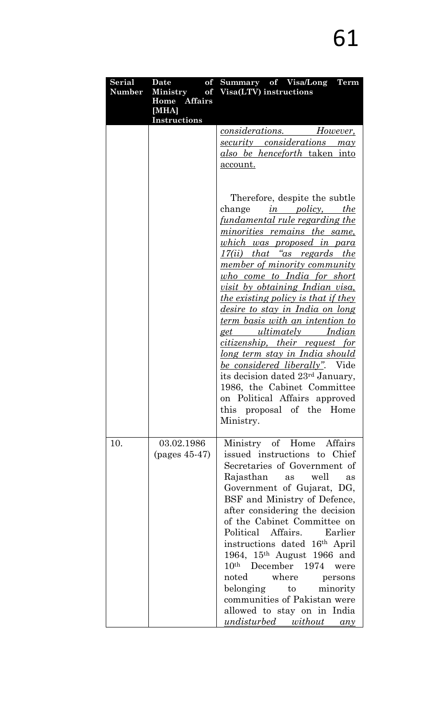| <b>Serial</b><br><b>Number</b> | Date and Date<br>of<br>Home Affairs<br>[MHA] | Summary of Visa/Long Term<br>Ministry of Visa(LTV) instructions                                                                                                                                                                                                                                                                                                                                                                                                                                                                                                                                                                                                                                                                                                                                     |
|--------------------------------|----------------------------------------------|-----------------------------------------------------------------------------------------------------------------------------------------------------------------------------------------------------------------------------------------------------------------------------------------------------------------------------------------------------------------------------------------------------------------------------------------------------------------------------------------------------------------------------------------------------------------------------------------------------------------------------------------------------------------------------------------------------------------------------------------------------------------------------------------------------|
|                                | Instructions                                 | <u>considerations. However,</u><br>security considerations may<br><u>also be henceforth taken into</u><br>account.                                                                                                                                                                                                                                                                                                                                                                                                                                                                                                                                                                                                                                                                                  |
|                                |                                              | Therefore, despite the subtle<br>change<br><i>in policy</i> , <i>the</i><br><u>fundamental rule regarding the</u><br><u>minorities remains the same,</u><br><u>which was proposed in para</u><br>17(ii) that "as regards the<br><u>member of minority community</u><br><u>who come to India for short</u><br><u>visit by obtaining Indian visa,</u><br><u>the existing policy is that if they</u><br><u>desire to stay in India on long</u><br><u>term basis with an intention to</u><br><u>get ultimately Indian</u><br><i>citizenship, their request for</i><br><u>long term stay in India should</u><br>be considered liberally". Vide<br>its decision dated 23 <sup>rd</sup> January,<br>1986, the Cabinet Committee<br>on Political Affairs approved<br>this proposal of the Home<br>Ministry. |
| 10.                            | 03.02.1986<br>$(pages 45-47)$                | Ministry of Home Affairs<br>issued instructions to Chief<br>Secretaries of Government of<br>well<br>Rajasthan<br>as<br>as<br>Government of Gujarat, DG,<br>BSF and Ministry of Defence,<br>after considering the decision<br>of the Cabinet Committee on<br>Political Affairs. Earlier<br>instructions dated 16 <sup>th</sup> April<br>1964, $15^{th}$ August 1966 and<br>10 <sup>th</sup> December 1974 were<br>noted where<br>persons<br>belonging to<br>minority<br>communities of Pakistan were<br>allowed to stay on in India<br><u>undisturbed without any</u>                                                                                                                                                                                                                                |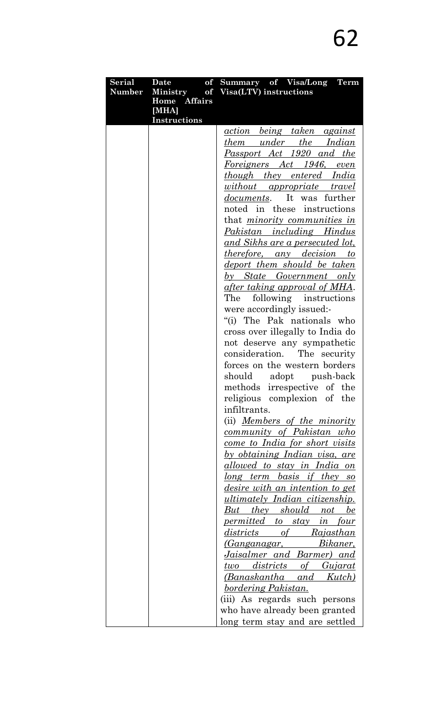| <b>Serial</b> | Date                  | of Summary of Visa/Long Term                                 |
|---------------|-----------------------|--------------------------------------------------------------|
| <b>Number</b> | <b>Ministry</b>       | of Visa(LTV) instructions                                    |
|               | Home Affairs<br>[MHA] |                                                              |
|               | <b>Instructions</b>   |                                                              |
|               |                       | <u>action being taken against</u>                            |
|               |                       | <i>them under the Indian</i>                                 |
|               |                       | <u>Passport Act 1920 and the </u>                            |
|               |                       | Foreigners Act 1946, even                                    |
|               |                       | <u>though they entered India</u>                             |
|               |                       | without appropriate travel                                   |
|               |                       | documents. It was further                                    |
|               |                       | noted in these instructions                                  |
|               |                       | that <i>minority communities in</i>                          |
|               |                       | Pakistan including Hindus                                    |
|               |                       | <u>and Sikhs are a persecuted lot, </u>                      |
|               |                       | <i>therefore, any decision to</i>                            |
|               |                       | <u>deport them should be taken</u>                           |
|               |                       | <u>by State Government only</u>                              |
|               |                       | <u>after taking approval of MHA</u> .                        |
|               |                       | The<br>following instructions                                |
|               |                       | were accordingly issued:-                                    |
|               |                       | "(i) The Pak nationals who                                   |
|               |                       | cross over illegally to India do                             |
|               |                       | not deserve any sympathetic                                  |
|               |                       | consideration. The security                                  |
|               |                       | forces on the western borders                                |
|               |                       | should<br>adopt push-back                                    |
|               |                       | methods irrespective of the                                  |
|               |                       | religious complexion of the                                  |
|               |                       | infiltrants.                                                 |
|               |                       | (ii) <i>Members of the minority</i>                          |
|               |                       | <u>community of Pakistan who</u>                             |
|               |                       | <u>come to India for short visits</u>                        |
|               |                       | <u>by obtaining Indian visa, are</u>                         |
|               |                       | <u>allowed to stay in India on</u>                           |
|               |                       | long term basis if they so                                   |
|               |                       | <u>desire with an intention to get</u>                       |
|               |                       | <u>ultimately Indian citizenship.</u>                        |
|               |                       | <u>But they should not</u><br>be                             |
|               |                       | <i>permitted to stay in four</i>                             |
|               |                       | districts of Rajasthan                                       |
|               |                       | Bikaner,<br>(G <u>anganagar,</u>                             |
|               |                       | <u>Jaisalmer and Barmer) and </u>                            |
|               |                       | <u>two</u> districts of Gujarat                              |
|               |                       | <u>(Banaskantha and Kutch)</u><br><u>bordering Pakistan.</u> |
|               |                       | (iii) As regards such persons                                |
|               |                       | who have already been granted                                |
|               |                       | long term stay and are settled                               |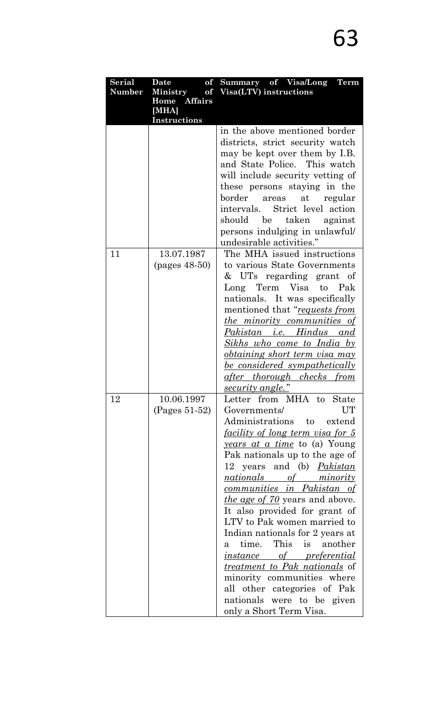| <b>Serial</b> | <b>Date</b><br>of            | Summary of Visa/Long Term                  |
|---------------|------------------------------|--------------------------------------------|
| Number        | <b>Ministry</b>              | of Visa(LTV) instructions                  |
|               | Home Affairs                 |                                            |
|               | [MHA]<br><b>Instructions</b> |                                            |
|               |                              | in the above mentioned border              |
|               |                              | districts, strict security watch           |
|               |                              | may be kept over them by I.B.              |
|               |                              | and State Police. This watch               |
|               |                              | will include security vetting of           |
|               |                              | these persons staying in the               |
|               |                              | border areas at regular                    |
|               |                              | intervals. Strict level action             |
|               |                              | should be taken against                    |
|               |                              | persons indulging in unlawful/             |
|               |                              | undesirable activities."                   |
| 11            | 13.07.1987                   | The MHA issued instructions                |
|               | $(pages 48-50)$              | to various State Governments               |
|               |                              | & UTs regarding grant of                   |
|               |                              | Long Term Visa to Pak                      |
|               |                              | nationals. It was specifically             |
|               |                              | mentioned that "requests from              |
|               |                              | <u>the minority communities of</u>         |
|               |                              | Pakistan i.e. Hindus and                   |
|               |                              | <u>Sikhs who come to India by</u>          |
|               |                              | <i>obtaining short term visa may</i>       |
|               |                              | <u>be considered sympathetically</u>       |
|               |                              | <u>after thorough checks from</u>          |
|               |                              | <u>security angle."</u>                    |
| 12            | 10.06.1997                   | Letter from MHA to State                   |
|               | $(Pages 51-52)$              | <b>UT</b><br>Governments/                  |
|               |                              | Administrations to extend                  |
|               |                              | <u>facility of long term visa for 5</u>    |
|               |                              | <i><u>years at a time</u></i> to (a) Young |
|               |                              | Pak nationals up to the age of             |
|               |                              | 12 years and (b) <i>Pakistan</i>           |
|               |                              | nationals of minority                      |
|               |                              | <u>communities in Pakistan of</u>          |
|               |                              | the age of 70 years and above.             |
|               |                              | It also provided for grant of              |
|               |                              | LTV to Pak women married to                |
|               |                              | Indian nationals for 2 years at            |
|               |                              | This is another<br>time.<br>a              |
|               |                              | <u>instance of preferential</u>            |
|               |                              | treatment to Pak nationals of              |
|               |                              | minority communities where                 |
|               |                              | all other categories of Pak                |
|               |                              | nationals were to be given                 |
|               |                              | only a Short Term Visa.                    |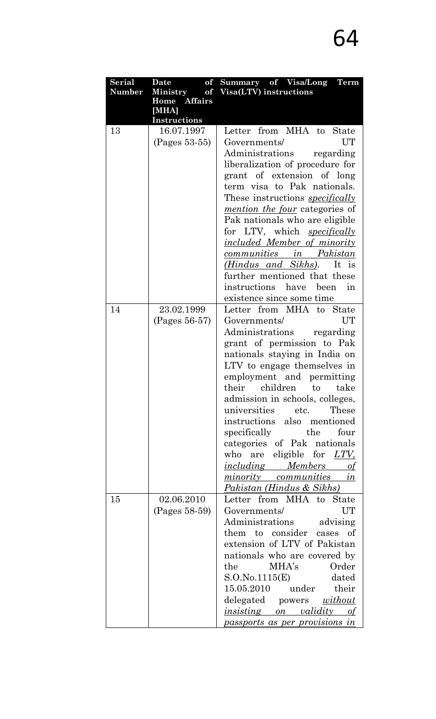| <b>Serial</b> | Date and Date<br>of          | Summary of Visa/Long Term                                    |
|---------------|------------------------------|--------------------------------------------------------------|
| Number        |                              | Ministry of Visa(LTV) instructions                           |
|               | Home Affairs                 |                                                              |
|               | [MHA]<br><b>Instructions</b> |                                                              |
| 13            | 16.07.1997                   | Letter from MHA to State                                     |
|               | (Pages 53-55)                | UT<br>Governments/                                           |
|               |                              | Administrations regarding                                    |
|               |                              | liberalization of procedure for                              |
|               |                              | grant of extension of long                                   |
|               |                              | term visa to Pak nationals.                                  |
|               |                              | These instructions <i>specifically</i>                       |
|               |                              | <i>mention the four</i> categories of                        |
|               |                              | Pak nationals who are eligible                               |
|               |                              | for LTV, which <i>specifically</i>                           |
|               |                              | <u>included Member of minority</u>                           |
|               |                              | communities in Pakistan                                      |
|               |                              | ( <i>Hindus and Sikhs</i> ). It is                           |
|               |                              | further mentioned that these                                 |
|               |                              | instructions have<br>been<br>in                              |
|               |                              | existence since some time                                    |
| 14            | 23.02.1999                   | Letter from MHA to State                                     |
|               | (Pages 56-57)                | UT<br>Governments/                                           |
|               |                              | Administrations regarding                                    |
|               |                              | grant of permission to Pak                                   |
|               |                              | nationals staying in India on                                |
|               |                              | LTV to engage themselves in                                  |
|               |                              | employment and permitting                                    |
|               |                              | their children to take                                       |
|               |                              | admission in schools, colleges,                              |
|               |                              | universities<br>These<br>etc.<br>instructions also mentioned |
|               |                              | specifically the<br>four                                     |
|               |                              | categories of Pak nationals                                  |
|               |                              | who are eligible for LTV,                                    |
|               |                              | <i>including Members</i><br>of                               |
|               |                              | <i>minority communities</i><br>in                            |
|               |                              | <u> Pakistan (Hindus &amp; Sikhs)</u>                        |
| 15            | 02.06.2010                   | Letter from MHA to State                                     |
|               | (Pages 58-59)                | UT<br>Governments/                                           |
|               |                              | Administrations advising                                     |
|               |                              | them to consider cases of                                    |
|               |                              | extension of LTV of Pakistan                                 |
|               |                              | nationals who are covered by                                 |
|               |                              | Order<br>MHA's<br>the                                        |
|               |                              | S.O.No.1115(E)<br>dated                                      |
|               |                              | 15.05.2010 under their                                       |
|               |                              | delegated powers <u>without</u>                              |
|               |                              | <i>insisting</i> on <i>validity</i><br>οf                    |
|               |                              | <u>passports as per provisions in</u>                        |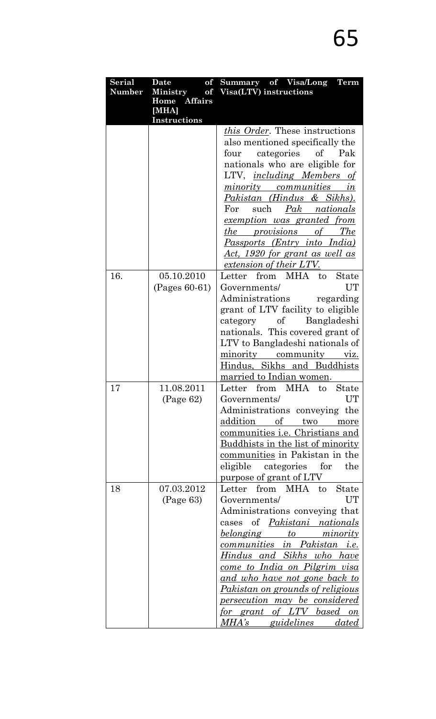| <b>Serial</b> | <b>Date</b><br>of            | Summary of Visa/Long<br><b>Term</b>                                     |
|---------------|------------------------------|-------------------------------------------------------------------------|
| <b>Number</b> | <b>Ministry</b>              | of Visa(LTV) instructions                                               |
|               | Home Affairs                 |                                                                         |
|               | [MHA]<br><b>Instructions</b> |                                                                         |
|               |                              | this Order. These instructions                                          |
|               |                              | also mentioned specifically the                                         |
|               |                              | categories<br>$\sigma f$<br>Pak<br>four                                 |
|               |                              | nationals who are eligible for                                          |
|               |                              |                                                                         |
|               |                              | LTV, <i>including Members of</i>                                        |
|               |                              | <i>minority</i><br>communities<br>$\iota$ n                             |
|               |                              | Pakistan (Hindus & Sikhs).<br>For<br>such                               |
|               |                              | Pak nationals                                                           |
|               |                              | <u>exemption was granted from</u>                                       |
|               |                              | <i>the provisions</i><br>of The                                         |
|               |                              | Passports (Entry into India)                                            |
|               |                              | <u>Act, 1920 for grant as well as</u>                                   |
|               |                              | extension of their LTV.                                                 |
| 16.           | 05.10.2010                   | from MHA to<br>Letter<br><b>State</b>                                   |
|               | $(Pages 60-61)$              | UT<br>Governments/                                                      |
|               |                              | Administrations<br>regarding                                            |
|               |                              | grant of LTV facility to eligible                                       |
|               |                              | Bangladeshi<br>of<br>category                                           |
|               |                              | nationals. This covered grant of                                        |
|               |                              | LTV to Bangladeshi nationals of                                         |
|               |                              | minority community viz.                                                 |
|               |                              | Hindus, Sikhs and Buddhists                                             |
|               |                              | married to Indian women.                                                |
| 17            | 11.08.2011                   | from<br>MHA<br><b>State</b><br>Letter<br>to                             |
|               | (Page 62)                    | Governments/<br>UT                                                      |
|               |                              | Administrations conveying<br>the                                        |
|               |                              | addition<br>$\Omega$<br>two<br>more                                     |
|               |                              | communities i.e. Christians and                                         |
|               |                              | Buddhists in the list of minority                                       |
|               |                              | communities in Pakistan in the                                          |
|               |                              | eligible<br>for<br>categories<br>the                                    |
|               |                              | purpose of grant of LTV                                                 |
| 18            | 07.03.2012                   | from MHA to<br>Letter<br><b>State</b>                                   |
|               | (Page 63)                    | <b>UT</b><br>Governments/                                               |
|               |                              | Administrations conveying that                                          |
|               |                              | of Pakistani nationals<br>cases                                         |
|               |                              | <u>belonging</u><br>to minority                                         |
|               |                              | <u>communities in Pakistan i.e.</u><br><u>Hindus and Sikhs who have</u> |
|               |                              | <u>come to India on Pilgrim visa</u>                                    |
|               |                              | <u>and who have not gone back to</u>                                    |
|               |                              | <i>Pakistan on grounds of religious</i>                                 |
|               |                              | <u>persecution may be considered</u>                                    |
|               |                              | <u>for grant of LTV based on</u>                                        |
|               |                              | $MHA's \_\_$<br><i>guidelines dated</i>                                 |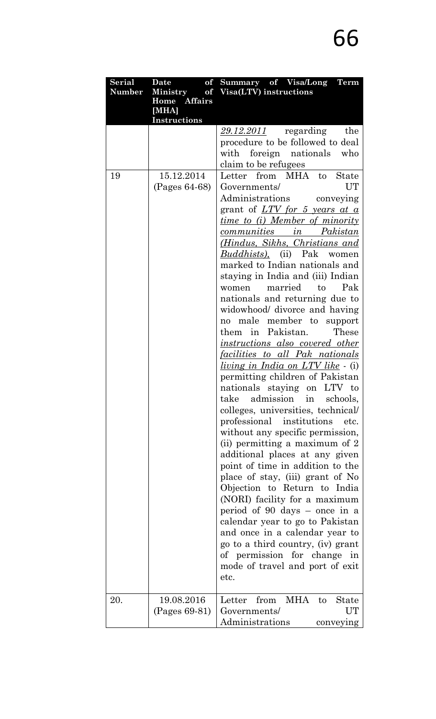| Serial | <b>Date</b><br>of               | Summary of Visa/Long Term                                        |
|--------|---------------------------------|------------------------------------------------------------------|
| Number | <b>Ministry</b><br>Home Affairs | of Visa(LTV) instructions                                        |
|        | [MHA]                           |                                                                  |
|        | Instructions                    |                                                                  |
|        |                                 | regarding<br><u>29.12.2011</u><br>the                            |
|        |                                 | procedure to be followed to deal                                 |
|        |                                 | with<br>foreign nationals who                                    |
|        |                                 | claim to be refugees                                             |
| 19     | 15.12.2014                      | from MHA to<br>Letter<br><b>State</b>                            |
|        | (Pages 64-68)                   | UT<br>Governments/                                               |
|        |                                 | Administrations conveying                                        |
|        |                                 | grant of <u>LTV for 5 years at a</u>                             |
|        |                                 | <i>time to (i) Member of minority</i>                            |
|        |                                 | communities in Pakistan                                          |
|        |                                 | ( <i>Hindus, Sikhs, Christians and</i>                           |
|        |                                 | <i>Buddhists</i> ), (ii) Pak women                               |
|        |                                 | marked to Indian nationals and                                   |
|        |                                 | staying in India and (iii) Indian                                |
|        |                                 | Pak<br>married<br>to<br>women                                    |
|        |                                 | nationals and returning due to                                   |
|        |                                 | widowhood/ divorce and having                                    |
|        |                                 | male member to<br>support<br>no                                  |
|        |                                 | them in Pakistan.<br>These                                       |
|        |                                 | <i>instructions also covered other</i>                           |
|        |                                 | <u>facilities to all Pak nationals</u>                           |
|        |                                 | <i>living in India on LTV like</i> - (i)                         |
|        |                                 | permitting children of Pakistan                                  |
|        |                                 | nationals staying on LTV to                                      |
|        |                                 | take<br>admission in<br>schools,                                 |
|        |                                 | colleges, universities, technical/                               |
|        |                                 | professional institutions<br>etc.                                |
|        |                                 | without any specific permission,                                 |
|        |                                 | (ii) permitting a maximum of 2                                   |
|        |                                 | additional places at any given                                   |
|        |                                 | point of time in addition to the                                 |
|        |                                 | place of stay, (iii) grant of No<br>Objection to Return to India |
|        |                                 | (NORI) facility for a maximum                                    |
|        |                                 | period of 90 days $-$ once in a                                  |
|        |                                 | calendar year to go to Pakistan                                  |
|        |                                 | and once in a calendar year to                                   |
|        |                                 | go to a third country, (iv) grant                                |
|        |                                 | of permission for change<br>in                                   |
|        |                                 | mode of travel and port of exit                                  |
|        |                                 | etc.                                                             |
|        |                                 |                                                                  |
| 20.    | 19.08.2016                      | from MHA<br>Letter<br>to<br>State                                |
|        | (Pages 69-81)                   | UT<br>Governments/                                               |
|        |                                 | Administrations<br>conveying                                     |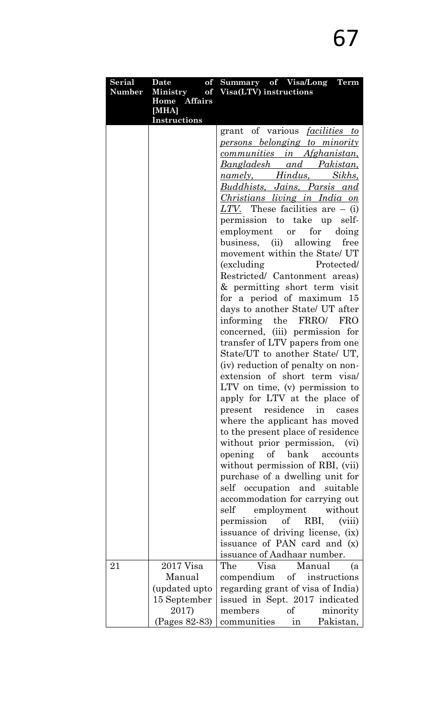| <b>Serial</b> | Date                          | of Summary of Visa/Long Term                                        |
|---------------|-------------------------------|---------------------------------------------------------------------|
| <b>Number</b> | <b>Ministry</b>               | of Visa(LTV) instructions                                           |
|               | Home Affairs                  |                                                                     |
|               | [MHA]<br><b>Instructions</b>  |                                                                     |
|               |                               | grant of various <i>facilities to</i>                               |
|               |                               |                                                                     |
|               |                               | <u>persons belonging to minority</u><br>communities in Afghanistan, |
|               |                               |                                                                     |
|               |                               | Bangladesh and Pakistan,                                            |
|               |                               | <u>namely, Hindus, Sikhs,</u>                                       |
|               |                               | <u>Buddhists, Jains, Parsis and </u>                                |
|               |                               | <i>Christians living in India on</i>                                |
|               |                               | LTV. These facilities are $-$ (i)                                   |
|               |                               | permission to take up self-                                         |
|               |                               | employment or for doing                                             |
|               |                               | business, (ii) allowing free                                        |
|               |                               | movement within the State/UT                                        |
|               |                               | (excluding Protected)                                               |
|               |                               | Restricted/ Cantonment areas)                                       |
|               |                               | & permitting short term visit                                       |
|               |                               | for a period of maximum 15                                          |
|               |                               | days to another State/ UT after                                     |
|               |                               | informing the FRRO/ FRO                                             |
|               |                               | concerned, (iii) permission for                                     |
|               |                               | transfer of LTV papers from one                                     |
|               |                               | State/UT to another State/ UT,                                      |
|               |                               | (iv) reduction of penalty on non-                                   |
|               |                               | extension of short term visa                                        |
|               |                               | LTV on time, (v) permission to                                      |
|               |                               | apply for LTV at the place of                                       |
|               |                               | $\overline{\text{in}}$<br>present residence<br>cases                |
|               |                               | where the applicant has moved                                       |
|               |                               | to the present place of residence                                   |
|               |                               | without prior permission,<br>(vi)                                   |
|               |                               | opening<br>of bank<br>accounts                                      |
|               |                               | without permission of RBI, (vii)                                    |
|               |                               | purchase of a dwelling unit for                                     |
|               |                               | self occupation and suitable                                        |
|               |                               | accommodation for carrying out<br>self                              |
|               |                               | employment without                                                  |
|               |                               | permission<br>of RBI,<br>(viii)                                     |
|               |                               | issuance of driving license, (ix)<br>issuance of PAN card and (x)   |
|               |                               |                                                                     |
| 21            | $2017$ Visa                   | issuance of Aadhaar number.<br>The Visa Manual                      |
|               | Manual                        | (a                                                                  |
|               |                               | compendium of instructions                                          |
|               | (updated upto<br>15 September | regarding grant of visa of India)                                   |
|               |                               | issued in Sept. 2017 indicated                                      |
|               | 2017)                         | members<br>minority<br>οf                                           |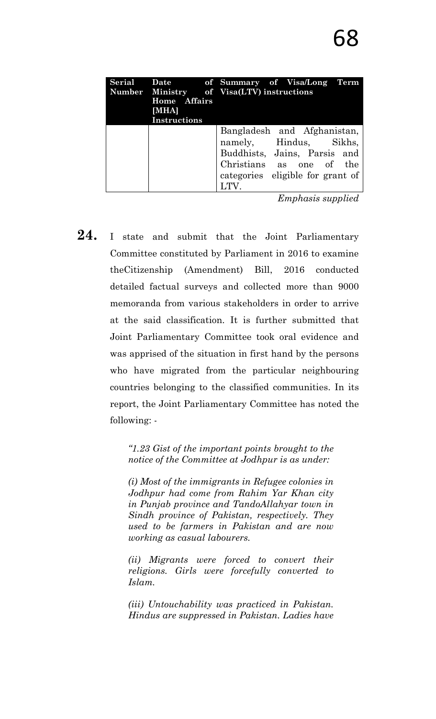|                     | Serial Date of Summary of Visa/Long Term<br>Number Ministry of Visa(LTV) instructions |
|---------------------|---------------------------------------------------------------------------------------|
| Home Affairs        |                                                                                       |
| [MHA]               |                                                                                       |
| <b>Instructions</b> |                                                                                       |
|                     | Bangladesh and Afghanistan,                                                           |
|                     | namely, Hindus, Sikhs,                                                                |
|                     | Buddhists, Jains, Parsis and                                                          |
|                     | Christians as one of the                                                              |
|                     | categories eligible for grant of                                                      |
|                     | LTV.                                                                                  |

*Emphasis supplied*

24. I state and submit that the Joint Parliamentary Committee constituted by Parliament in 2016 to examine theCitizenship (Amendment) Bill, 2016 conducted detailed factual surveys and collected more than 9000 memoranda from various stakeholders in order to arrive at the said classification. It is further submitted that Joint Parliamentary Committee took oral evidence and was apprised of the situation in first hand by the persons who have migrated from the particular neighbouring countries belonging to the classified communities. In its report, the Joint Parliamentary Committee has noted the following: -

> *―1.23 Gist of the important points brought to the notice of the Committee at Jodhpur is as under:*

> *(i) Most of the immigrants in Refugee colonies in Jodhpur had come from Rahim Yar Khan city in Punjab province and TandoAllahyar town in Sindh province of Pakistan, respectively. They used to be farmers in Pakistan and are now working as casual labourers.*

> *(ii) Migrants were forced to convert their religions. Girls were forcefully converted to Islam.*

> *(iii) Untouchability was practiced in Pakistan. Hindus are suppressed in Pakistan. Ladies have*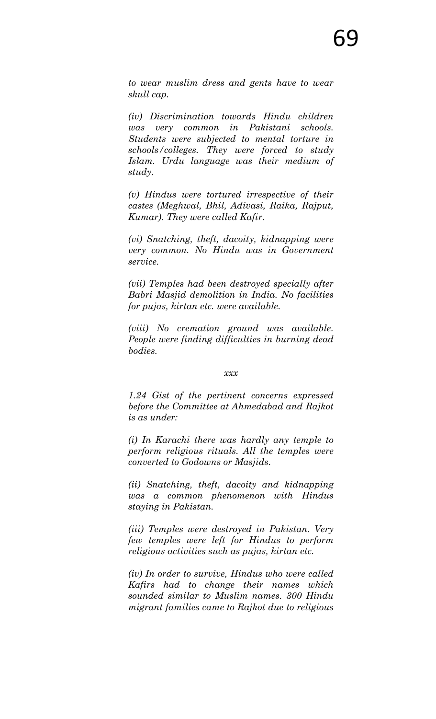*to wear muslim dress and gents have to wear skull cap.* 

*(iv) Discrimination towards Hindu children was very common in Pakistani schools. Students were subjected to mental torture in schools/colleges. They were forced to study Islam. Urdu language was their medium of study.* 

*(v) Hindus were tortured irrespective of their castes (Meghwal, Bhil, Adivasi, Raika, Rajput, Kumar). They were called Kafir.* 

*(vi) Snatching, theft, dacoity, kidnapping were very common. No Hindu was in Government service.* 

*(vii) Temples had been destroyed specially after Babri Masjid demolition in India. No facilities for pujas, kirtan etc. were available.* 

*(viii) No cremation ground was available. People were finding difficulties in burning dead bodies.* 

#### *xxx*

*1.24 Gist of the pertinent concerns expressed before the Committee at Ahmedabad and Rajkot is as under:* 

*(i) In Karachi there was hardly any temple to perform religious rituals. All the temples were converted to Godowns or Masjids.* 

*(ii) Snatching, theft, dacoity and kidnapping was a common phenomenon with Hindus staying in Pakistan.* 

*(iii) Temples were destroyed in Pakistan. Very few temples were left for Hindus to perform religious activities such as pujas, kirtan etc.* 

*(iv) In order to survive, Hindus who were called Kafirs had to change their names which sounded similar to Muslim names. 300 Hindu migrant families came to Rajkot due to religious*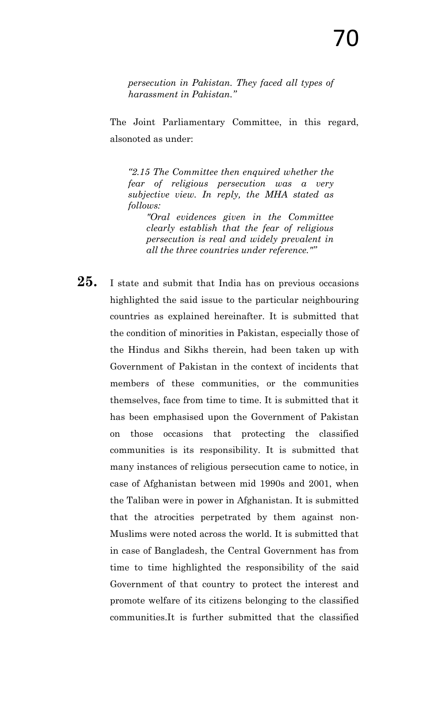*persecution in Pakistan. They faced all types of harassment in Pakistan.‖*

The Joint Parliamentary Committee, in this regard, alsonoted as under:

*―2.15 The Committee then enquired whether the fear of religious persecution was a very subjective view. In reply, the MHA stated as follows:*

*"Oral evidences given in the Committee clearly establish that the fear of religious persecution is real and widely prevalent in all the three countries under reference."‖*

25. I state and submit that India has on previous occasions highlighted the said issue to the particular neighbouring countries as explained hereinafter. It is submitted that the condition of minorities in Pakistan, especially those of the Hindus and Sikhs therein, had been taken up with Government of Pakistan in the context of incidents that members of these communities, or the communities themselves, face from time to time. It is submitted that it has been emphasised upon the Government of Pakistan on those occasions that protecting the classified communities is its responsibility. It is submitted that many instances of religious persecution came to notice, in case of Afghanistan between mid 1990s and 2001, when the Taliban were in power in Afghanistan. It is submitted that the atrocities perpetrated by them against non-Muslims were noted across the world. It is submitted that in case of Bangladesh, the Central Government has from time to time highlighted the responsibility of the said Government of that country to protect the interest and promote welfare of its citizens belonging to the classified communities.It is further submitted that the classified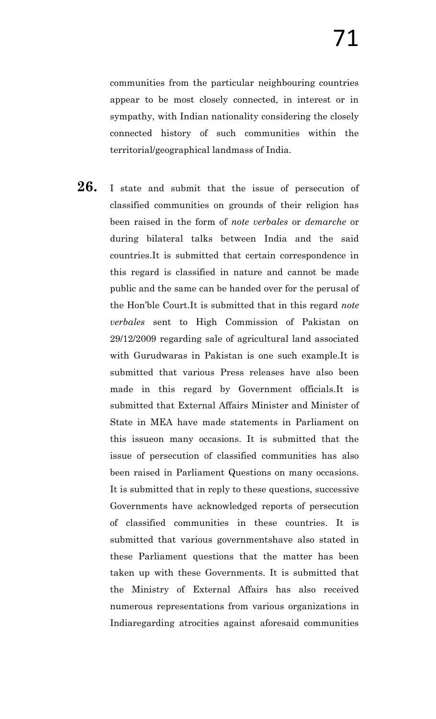communities from the particular neighbouring countries appear to be most closely connected, in interest or in sympathy, with Indian nationality considering the closely connected history of such communities within the territorial/geographical landmass of India.

**26.** I state and submit that the issue of persecution of classified communities on grounds of their religion has been raised in the form of *note verbales* or *demarche* or during bilateral talks between India and the said countries.It is submitted that certain correspondence in this regard is classified in nature and cannot be made public and the same can be handed over for the perusal of the Hon"ble Court.It is submitted that in this regard *note verbales* sent to High Commission of Pakistan on 29/12/2009 regarding sale of agricultural land associated with Gurudwaras in Pakistan is one such example.It is submitted that various Press releases have also been made in this regard by Government officials.It is submitted that External Affairs Minister and Minister of State in MEA have made statements in Parliament on this issueon many occasions. It is submitted that the issue of persecution of classified communities has also been raised in Parliament Questions on many occasions. It is submitted that in reply to these questions, successive Governments have acknowledged reports of persecution of classified communities in these countries. It is submitted that various governmentshave also stated in these Parliament questions that the matter has been taken up with these Governments. It is submitted that the Ministry of External Affairs has also received numerous representations from various organizations in Indiaregarding atrocities against aforesaid communities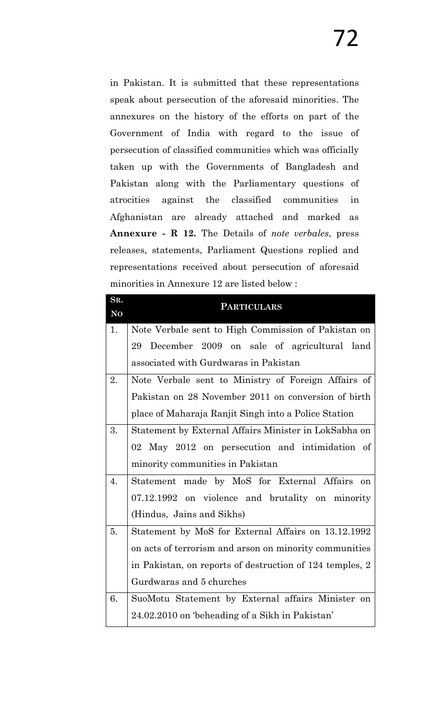in Pakistan. It is submitted that these representations speak about persecution of the aforesaid minorities. The annexures on the history of the efforts on part of the Government of India with regard to the issue of persecution of classified communities which was officially taken up with the Governments of Bangladesh and Pakistan along with the Parliamentary questions of atrocities against the classified communities in Afghanistan are already attached and marked as **Annexure - R 12.** The Details of *note verbales*, press releases, statements, Parliament Questions replied and representations received about persecution of aforesaid minorities in Annexure 12 are listed below :

| SR.            | <b>PARTICULARS</b>                                       |
|----------------|----------------------------------------------------------|
| N <sub>O</sub> |                                                          |
| 1.             | Note Verbale sent to High Commission of Pakistan on      |
|                | December 2009 on sale of agricultural land<br>29         |
|                | associated with Gurdwaras in Pakistan                    |
| 2.             | Note Verbale sent to Ministry of Foreign Affairs of      |
|                | Pakistan on 28 November 2011 on conversion of birth      |
|                | place of Maharaja Ranjit Singh into a Police Station     |
| 3.             | Statement by External Affairs Minister in LokSabha on    |
|                | 02 May 2012 on persecution and intimidation of           |
|                | minority communities in Pakistan                         |
| 4.             | Statement made by MoS for External Affairs<br>on         |
|                | 07.12.1992 on violence and brutality on minority         |
|                | (Hindus, Jains and Sikhs)                                |
| 5.             | Statement by MoS for External Affairs on 13.12.1992      |
|                | on acts of terrorism and arson on minority communities   |
|                | in Pakistan, on reports of destruction of 124 temples, 2 |
|                | Gurdwaras and 5 churches                                 |
| 6.             | SuoMotu Statement by External affairs Minister on        |
|                | 24.02.2010 on 'beheading of a Sikh in Pakistan'          |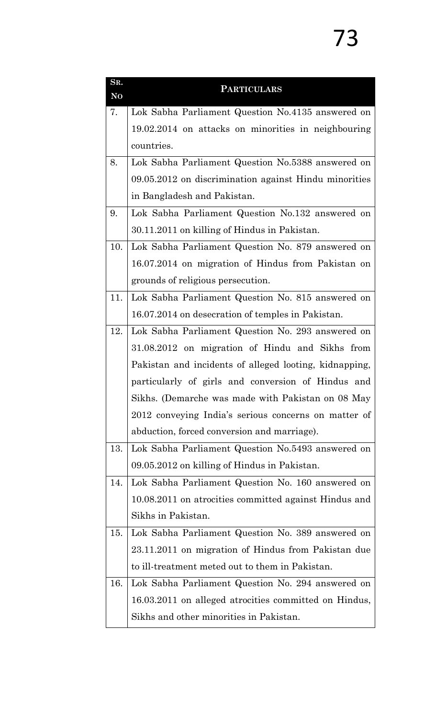| SR.<br>N <sub>O</sub> | <b>PARTICULARS</b>                                     |  |  |
|-----------------------|--------------------------------------------------------|--|--|
| 7.                    | Lok Sabha Parliament Question No.4135 answered on      |  |  |
|                       | 19.02.2014 on attacks on minorities in neighbouring    |  |  |
|                       | countries.                                             |  |  |
| 8.                    | Lok Sabha Parliament Question No.5388 answered on      |  |  |
|                       | 09.05.2012 on discrimination against Hindu minorities  |  |  |
|                       | in Bangladesh and Pakistan.                            |  |  |
| 9.                    | Lok Sabha Parliament Question No.132 answered on       |  |  |
|                       | 30.11.2011 on killing of Hindus in Pakistan.           |  |  |
| 10.                   | Lok Sabha Parliament Question No. 879 answered on      |  |  |
|                       | 16.07.2014 on migration of Hindus from Pakistan on     |  |  |
|                       | grounds of religious persecution.                      |  |  |
| 11.                   | Lok Sabha Parliament Question No. 815 answered on      |  |  |
|                       | 16.07.2014 on desecration of temples in Pakistan.      |  |  |
| 12.                   | Lok Sabha Parliament Question No. 293 answered on      |  |  |
|                       | 31.08.2012 on migration of Hindu and Sikhs from        |  |  |
|                       | Pakistan and incidents of alleged looting, kidnapping, |  |  |
|                       | particularly of girls and conversion of Hindus and     |  |  |
|                       | Sikhs. (Demarche was made with Pakistan on 08 May      |  |  |
|                       | 2012 conveying India's serious concerns on matter of   |  |  |
|                       | abduction, forced conversion and marriage).            |  |  |
| 13.                   | Lok Sabha Parliament Question No.5493 answered on      |  |  |
|                       | 09.05.2012 on killing of Hindus in Pakistan.           |  |  |
| 14.                   | Lok Sabha Parliament Question No. 160 answered on      |  |  |
|                       | 10.08.2011 on atrocities committed against Hindus and  |  |  |
|                       | Sikhs in Pakistan.                                     |  |  |
| 15.                   | Lok Sabha Parliament Question No. 389 answered on      |  |  |
|                       | 23.11.2011 on migration of Hindus from Pakistan due    |  |  |
|                       | to ill-treatment meted out to them in Pakistan.        |  |  |
| 16.                   | Lok Sabha Parliament Question No. 294 answered on      |  |  |
|                       | 16.03.2011 on alleged atrocities committed on Hindus,  |  |  |
|                       | Sikhs and other minorities in Pakistan.                |  |  |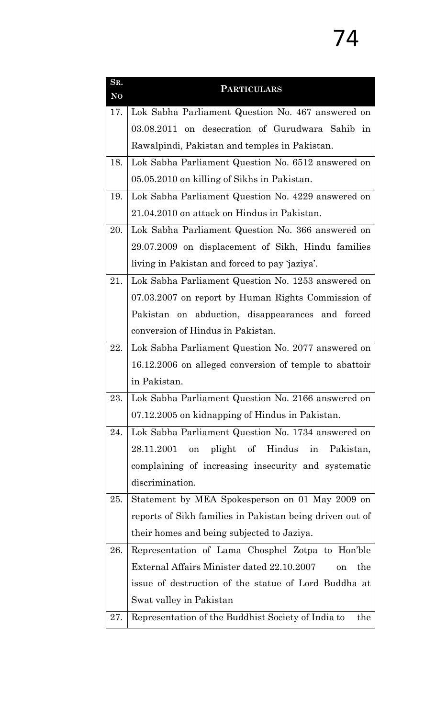| SR.<br>N <sub>O</sub> | <b>PARTICULARS</b>                                        |  |  |
|-----------------------|-----------------------------------------------------------|--|--|
| 17.                   | Lok Sabha Parliament Question No. 467 answered on         |  |  |
|                       | 03.08.2011 on desecration of Gurudwara Sahib in           |  |  |
|                       | Rawalpindi, Pakistan and temples in Pakistan.             |  |  |
| 18.                   | Lok Sabha Parliament Question No. 6512 answered on        |  |  |
|                       | 05.05.2010 on killing of Sikhs in Pakistan.               |  |  |
| 19.                   | Lok Sabha Parliament Question No. 4229 answered on        |  |  |
|                       | 21.04.2010 on attack on Hindus in Pakistan.               |  |  |
| 20.                   | Lok Sabha Parliament Question No. 366 answered on         |  |  |
|                       | 29.07.2009 on displacement of Sikh, Hindu families        |  |  |
|                       | living in Pakistan and forced to pay 'jaziya'.            |  |  |
| 21.                   | Lok Sabha Parliament Question No. 1253 answered on        |  |  |
|                       | 07.03.2007 on report by Human Rights Commission of        |  |  |
|                       | Pakistan on abduction, disappearances and forced          |  |  |
|                       | conversion of Hindus in Pakistan.                         |  |  |
| 22.                   | Lok Sabha Parliament Question No. 2077 answered on        |  |  |
|                       | 16.12.2006 on alleged conversion of temple to abattoir    |  |  |
|                       | in Pakistan.                                              |  |  |
| 23.                   | Lok Sabha Parliament Question No. 2166 answered on        |  |  |
|                       | 07.12.2005 on kidnapping of Hindus in Pakistan.           |  |  |
| 24.                   | Lok Sabha Parliament Question No. 1734 answered on        |  |  |
|                       | 28.11.2001<br>plight of Hindus<br>in<br>Pakistan,<br>on   |  |  |
|                       | complaining of increasing insecurity and systematic       |  |  |
|                       | discrimination.                                           |  |  |
| 25.                   | Statement by MEA Spokesperson on 01 May 2009 on           |  |  |
|                       | reports of Sikh families in Pakistan being driven out of  |  |  |
|                       | their homes and being subjected to Jaziya.                |  |  |
| 26.                   | Representation of Lama Chosphel Zotpa to Hon'ble          |  |  |
|                       | External Affairs Minister dated 22.10.2007<br>the<br>on   |  |  |
|                       | issue of destruction of the statue of Lord Buddha at      |  |  |
|                       | Swat valley in Pakistan                                   |  |  |
| 27.                   | Representation of the Buddhist Society of India to<br>the |  |  |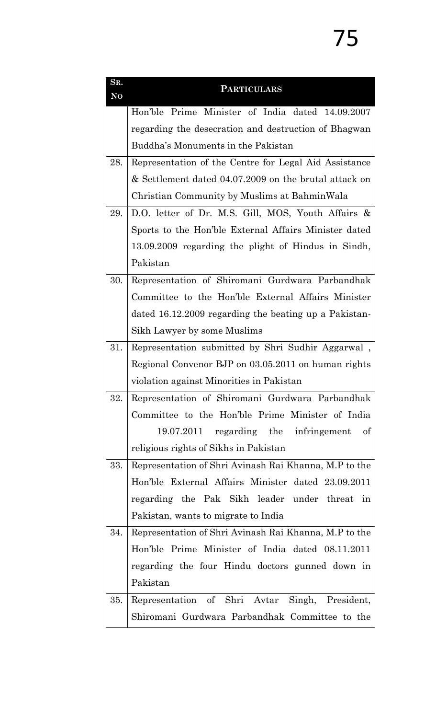| SR.<br>N <sub>O</sub> | <b>PARTICULARS</b>                                    |  |  |
|-----------------------|-------------------------------------------------------|--|--|
|                       | Hon'ble Prime Minister of India dated 14.09.2007      |  |  |
|                       | regarding the desecration and destruction of Bhagwan  |  |  |
|                       | Buddha's Monuments in the Pakistan                    |  |  |
| 28.                   | Representation of the Centre for Legal Aid Assistance |  |  |
|                       | & Settlement dated 04.07.2009 on the brutal attack on |  |  |
|                       | Christian Community by Muslims at BahminWala          |  |  |
| 29.                   | D.O. letter of Dr. M.S. Gill, MOS, Youth Affairs &    |  |  |
|                       | Sports to the Hon'ble External Affairs Minister dated |  |  |
|                       | 13.09.2009 regarding the plight of Hindus in Sindh,   |  |  |
|                       | Pakistan                                              |  |  |
| 30.                   | Representation of Shiromani Gurdwara Parbandhak       |  |  |
|                       | Committee to the Hon'ble External Affairs Minister    |  |  |
|                       | dated 16.12.2009 regarding the beating up a Pakistan- |  |  |
|                       | Sikh Lawyer by some Muslims                           |  |  |
| 31.                   | Representation submitted by Shri Sudhir Aggarwal,     |  |  |
|                       | Regional Convenor BJP on 03.05.2011 on human rights   |  |  |
|                       | violation against Minorities in Pakistan              |  |  |
| 32.                   | Representation of Shiromani Gurdwara Parbandhak       |  |  |
|                       | Committee to the Hon'ble Prime Minister of India      |  |  |
|                       | 19.07.2011 regarding the infringement<br>of           |  |  |
|                       | religious rights of Sikhs in Pakistan                 |  |  |
| 33.                   | Representation of Shri Avinash Rai Khanna, M.P to the |  |  |
|                       | Hon'ble External Affairs Minister dated 23.09.2011    |  |  |
|                       | regarding the Pak Sikh leader under threat in         |  |  |
|                       | Pakistan, wants to migrate to India                   |  |  |
| 34.                   | Representation of Shri Avinash Rai Khanna, M.P to the |  |  |
|                       | Hon'ble Prime Minister of India dated 08.11.2011      |  |  |
|                       | regarding the four Hindu doctors gunned down in       |  |  |
|                       | Pakistan                                              |  |  |
| 35.                   | Representation of Shri Avtar Singh, President,        |  |  |
|                       | Shiromani Gurdwara Parbandhak Committee to the        |  |  |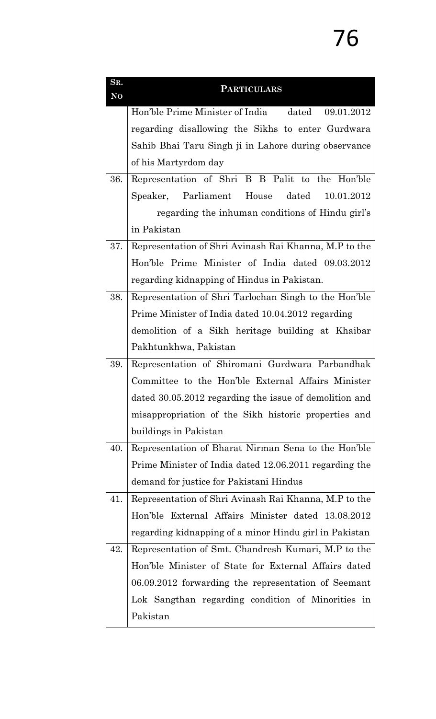| SR.<br>N <sub>O</sub> | <b>PARTICULARS</b>                                     |  |  |  |  |
|-----------------------|--------------------------------------------------------|--|--|--|--|
|                       | Hon'ble Prime Minister of India dated<br>09.01.2012    |  |  |  |  |
|                       | regarding disallowing the Sikhs to enter Gurdwara      |  |  |  |  |
|                       |                                                        |  |  |  |  |
|                       | Sahib Bhai Taru Singh ji in Lahore during observance   |  |  |  |  |
|                       | of his Martyrdom day                                   |  |  |  |  |
| 36.                   | Representation of Shri B B Palit to the Hon'ble        |  |  |  |  |
|                       | Speaker, Parliament House<br>dated<br>10.01.2012       |  |  |  |  |
|                       | regarding the inhuman conditions of Hindu girl's       |  |  |  |  |
|                       | in Pakistan                                            |  |  |  |  |
| 37.                   | Representation of Shri Avinash Rai Khanna, M.P to the  |  |  |  |  |
|                       | Hon'ble Prime Minister of India dated 09.03.2012       |  |  |  |  |
|                       | regarding kidnapping of Hindus in Pakistan.            |  |  |  |  |
| 38.                   | Representation of Shri Tarlochan Singh to the Hon'ble  |  |  |  |  |
|                       | Prime Minister of India dated 10.04.2012 regarding     |  |  |  |  |
|                       | demolition of a Sikh heritage building at Khaibar      |  |  |  |  |
|                       | Pakhtunkhwa, Pakistan                                  |  |  |  |  |
| 39.                   | Representation of Shiromani Gurdwara Parbandhak        |  |  |  |  |
|                       | Committee to the Hon'ble External Affairs Minister     |  |  |  |  |
|                       | dated 30.05.2012 regarding the issue of demolition and |  |  |  |  |
|                       | misappropriation of the Sikh historic properties and   |  |  |  |  |
|                       | buildings in Pakistan                                  |  |  |  |  |
| 40.                   | Representation of Bharat Nirman Sena to the Hon'ble    |  |  |  |  |
|                       | Prime Minister of India dated 12.06.2011 regarding the |  |  |  |  |
|                       | demand for justice for Pakistani Hindus                |  |  |  |  |
| 41.                   | Representation of Shri Avinash Rai Khanna, M.P to the  |  |  |  |  |
|                       | Hon'ble External Affairs Minister dated 13.08.2012     |  |  |  |  |
|                       | regarding kidnapping of a minor Hindu girl in Pakistan |  |  |  |  |
| 42.                   | Representation of Smt. Chandresh Kumari, M.P to the    |  |  |  |  |
|                       | Hon'ble Minister of State for External Affairs dated   |  |  |  |  |
|                       | 06.09.2012 forwarding the representation of Seemant    |  |  |  |  |
|                       | Lok Sangthan regarding condition of Minorities in      |  |  |  |  |
|                       | Pakistan                                               |  |  |  |  |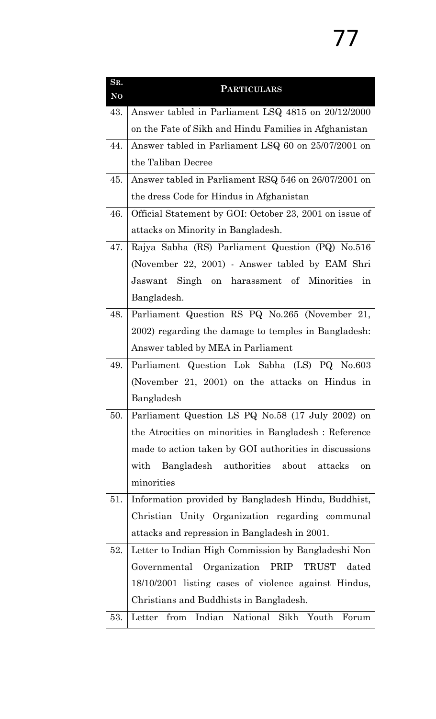| SR.<br>N <sub>O</sub> | <b>PARTICULARS</b>                                      |  |  |
|-----------------------|---------------------------------------------------------|--|--|
| 43.                   | Answer tabled in Parliament LSQ 4815 on 20/12/2000      |  |  |
|                       | on the Fate of Sikh and Hindu Families in Afghanistan   |  |  |
| 44.                   | Answer tabled in Parliament LSQ 60 on 25/07/2001 on     |  |  |
|                       | the Taliban Decree                                      |  |  |
| 45.                   | Answer tabled in Parliament RSQ 546 on 26/07/2001 on    |  |  |
|                       | the dress Code for Hindus in Afghanistan                |  |  |
| 46.                   | Official Statement by GOI: October 23, 2001 on issue of |  |  |
|                       | attacks on Minority in Bangladesh.                      |  |  |
| 47.                   | Rajya Sabha (RS) Parliament Question (PQ) No.516        |  |  |
|                       | (November 22, 2001) - Answer tabled by EAM Shri         |  |  |
|                       | Jaswant Singh on harassment of Minorities<br>in         |  |  |
|                       | Bangladesh.                                             |  |  |
| 48.                   | Parliament Question RS PQ No.265 (November 21,          |  |  |
|                       | 2002) regarding the damage to temples in Bangladesh:    |  |  |
|                       | Answer tabled by MEA in Parliament                      |  |  |
| 49.                   | Parliament Question Lok Sabha (LS) PQ No.603            |  |  |
|                       | (November 21, 2001) on the attacks on Hindus in         |  |  |
|                       | Bangladesh                                              |  |  |
| 50.                   | Parliament Question LS PQ No.58 (17 July 2002) on       |  |  |
|                       | the Atrocities on minorities in Bangladesh : Reference  |  |  |
|                       | made to action taken by GOI authorities in discussions  |  |  |
|                       | Bangladesh authorities about<br>with<br>attacks<br>on   |  |  |
|                       | minorities                                              |  |  |
| 51.                   | Information provided by Bangladesh Hindu, Buddhist,     |  |  |
|                       | Christian Unity Organization regarding communal         |  |  |
|                       | attacks and repression in Bangladesh in 2001.           |  |  |
| 52.                   | Letter to Indian High Commission by Bangladeshi Non     |  |  |
|                       | Governmental Organization PRIP TRUST dated              |  |  |
|                       | 18/10/2001 listing cases of violence against Hindus,    |  |  |
|                       | Christians and Buddhists in Bangladesh.                 |  |  |
| 53.                   | Letter from Indian National Sikh Youth Forum            |  |  |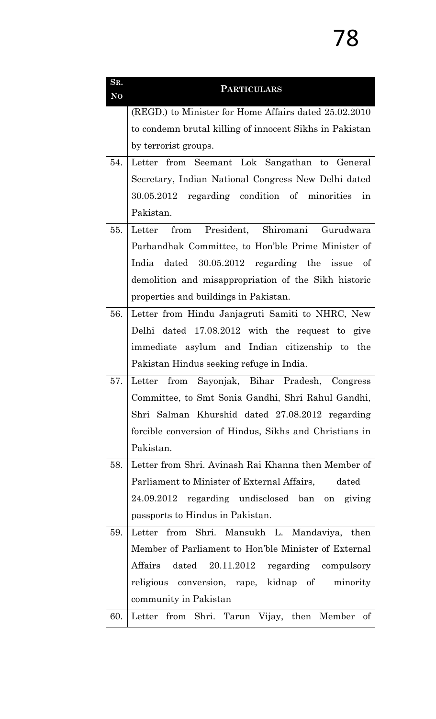| SR.<br>N <sub>O</sub> | <b>PARTICULARS</b>                                      |  |  |
|-----------------------|---------------------------------------------------------|--|--|
|                       | (REGD.) to Minister for Home Affairs dated 25.02.2010   |  |  |
|                       | to condemn brutal killing of innocent Sikhs in Pakistan |  |  |
|                       | by terrorist groups.                                    |  |  |
| 54.                   | Letter from Seemant Lok Sangathan to General            |  |  |
|                       | Secretary, Indian National Congress New Delhi dated     |  |  |
|                       | 30.05.2012 regarding condition of minorities<br>in      |  |  |
|                       | Pakistan.                                               |  |  |
| 55.                   | from President, Shiromani<br>Gurudwara<br>Letter        |  |  |
|                       | Parbandhak Committee, to Hon'ble Prime Minister of      |  |  |
|                       | India dated 30.05.2012 regarding the issue of           |  |  |
|                       | demolition and misappropriation of the Sikh historic    |  |  |
|                       | properties and buildings in Pakistan.                   |  |  |
| 56.                   | Letter from Hindu Janjagruti Samiti to NHRC, New        |  |  |
|                       | Delhi dated 17.08.2012 with the request to give         |  |  |
|                       | immediate asylum and Indian citizenship to the          |  |  |
|                       | Pakistan Hindus seeking refuge in India.                |  |  |
| 57.                   | from Sayonjak, Bihar Pradesh, Congress<br>Letter        |  |  |
|                       | Committee, to Smt Sonia Gandhi, Shri Rahul Gandhi,      |  |  |
|                       | Shri Salman Khurshid dated 27.08.2012 regarding         |  |  |
|                       | forcible conversion of Hindus, Sikhs and Christians in  |  |  |
|                       | Pakistan.                                               |  |  |
| 58.                   | Letter from Shri. Avinash Rai Khanna then Member of     |  |  |
|                       | Parliament to Minister of External Affairs,<br>dated    |  |  |
|                       | 24.09.2012 regarding undisclosed ban on giving          |  |  |
|                       | passports to Hindus in Pakistan.                        |  |  |
| 59.                   | Letter from Shri. Mansukh L. Mandaviya, then            |  |  |
|                       | Member of Parliament to Hon'ble Minister of External    |  |  |
|                       | Affairs dated 20.11.2012 regarding compulsory           |  |  |
|                       | religious conversion, rape, kidnap of<br>minority       |  |  |
|                       | community in Pakistan                                   |  |  |
| 60.                   | Letter from Shri. Tarun Vijay, then Member<br>of        |  |  |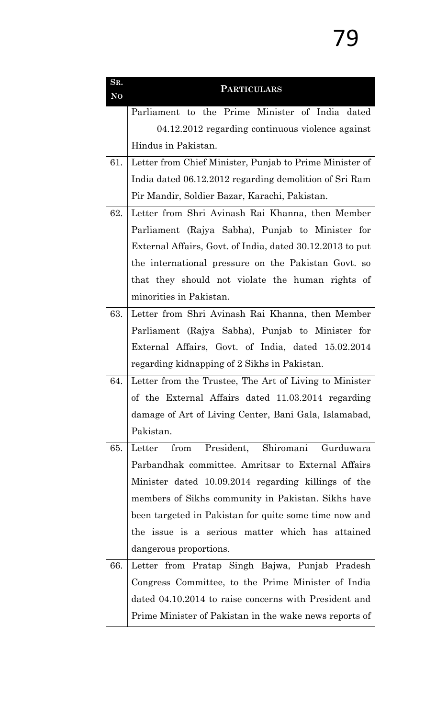| SR.<br>N <sub>O</sub> | <b>PARTICULARS</b>                                        |  |  |  |
|-----------------------|-----------------------------------------------------------|--|--|--|
|                       | Parliament to the Prime Minister of India dated           |  |  |  |
|                       | 04.12.2012 regarding continuous violence against          |  |  |  |
|                       | Hindus in Pakistan.                                       |  |  |  |
| 61.                   | Letter from Chief Minister, Punjab to Prime Minister of   |  |  |  |
|                       | India dated 06.12.2012 regarding demolition of Sri Ram    |  |  |  |
|                       | Pir Mandir, Soldier Bazar, Karachi, Pakistan.             |  |  |  |
| 62.                   | Letter from Shri Avinash Rai Khanna, then Member          |  |  |  |
|                       | Parliament (Rajya Sabha), Punjab to Minister for          |  |  |  |
|                       | External Affairs, Govt. of India, dated 30.12.2013 to put |  |  |  |
|                       | the international pressure on the Pakistan Govt. so       |  |  |  |
|                       | that they should not violate the human rights of          |  |  |  |
|                       | minorities in Pakistan.                                   |  |  |  |
| 63.                   | Letter from Shri Avinash Rai Khanna, then Member          |  |  |  |
|                       | Parliament (Rajya Sabha), Punjab to Minister for          |  |  |  |
|                       | External Affairs, Govt. of India, dated 15.02.2014        |  |  |  |
|                       | regarding kidnapping of 2 Sikhs in Pakistan.              |  |  |  |
| 64.                   | Letter from the Trustee, The Art of Living to Minister    |  |  |  |
|                       | of the External Affairs dated 11.03.2014 regarding        |  |  |  |
|                       | damage of Art of Living Center, Bani Gala, Islamabad,     |  |  |  |
|                       | Pakistan.                                                 |  |  |  |
| 65.                   | President, Shiromani<br>Gurduwara<br>Letter<br>from       |  |  |  |
|                       | Parbandhak committee. Amritsar to External Affairs        |  |  |  |
|                       | Minister dated 10.09.2014 regarding killings of the       |  |  |  |
|                       | members of Sikhs community in Pakistan. Sikhs have        |  |  |  |
|                       | been targeted in Pakistan for quite some time now and     |  |  |  |
|                       | the issue is a serious matter which has attained          |  |  |  |
|                       | dangerous proportions.                                    |  |  |  |
| 66.                   | Letter from Pratap Singh Bajwa, Punjab Pradesh            |  |  |  |
|                       | Congress Committee, to the Prime Minister of India        |  |  |  |
|                       | dated 04.10.2014 to raise concerns with President and     |  |  |  |
|                       | Prime Minister of Pakistan in the wake news reports of    |  |  |  |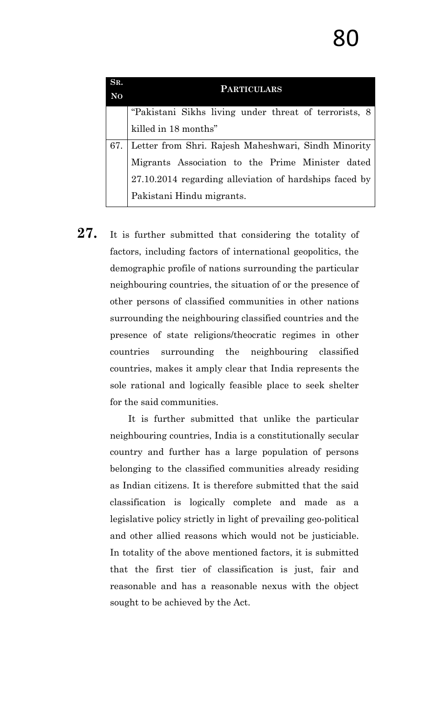| SR.            | <b>PARTICULARS</b>                                     |  |  |
|----------------|--------------------------------------------------------|--|--|
| N <sub>0</sub> |                                                        |  |  |
|                | "Pakistani Sikhs living under threat of terrorists, 8  |  |  |
|                | killed in 18 months"                                   |  |  |
| 67.            | Letter from Shri. Rajesh Maheshwari, Sindh Minority    |  |  |
|                | Migrants Association to the Prime Minister dated       |  |  |
|                | 27.10.2014 regarding alleviation of hardships faced by |  |  |
|                | Pakistani Hindu migrants.                              |  |  |

27. It is further submitted that considering the totality of factors, including factors of international geopolitics, the demographic profile of nations surrounding the particular neighbouring countries, the situation of or the presence of other persons of classified communities in other nations surrounding the neighbouring classified countries and the presence of state religions/theocratic regimes in other countries surrounding the neighbouring classified countries, makes it amply clear that India represents the sole rational and logically feasible place to seek shelter for the said communities.

> It is further submitted that unlike the particular neighbouring countries, India is a constitutionally secular country and further has a large population of persons belonging to the classified communities already residing as Indian citizens. It is therefore submitted that the said classification is logically complete and made as a legislative policy strictly in light of prevailing geo-political and other allied reasons which would not be justiciable. In totality of the above mentioned factors, it is submitted that the first tier of classification is just, fair and reasonable and has a reasonable nexus with the object sought to be achieved by the Act.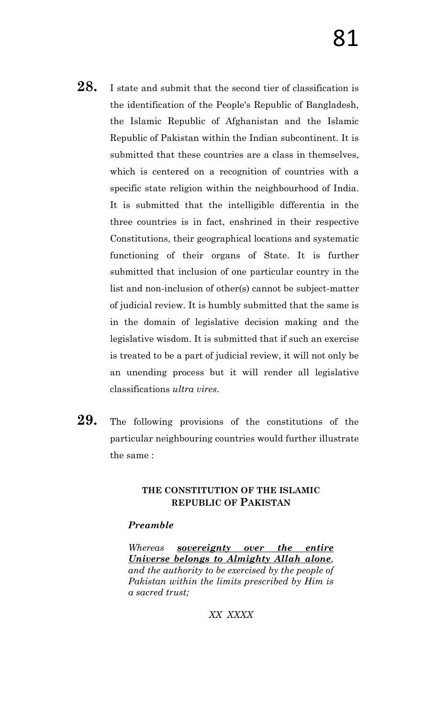- 28. I state and submit that the second tier of classification is the identification of the People's Republic of Bangladesh, the Islamic Republic of Afghanistan and the Islamic Republic of Pakistan within the Indian subcontinent. It is submitted that these countries are a class in themselves, which is centered on a recognition of countries with a specific state religion within the neighbourhood of India. It is submitted that the intelligible differentia in the three countries is in fact, enshrined in their respective Constitutions, their geographical locations and systematic functioning of their organs of State. It is further submitted that inclusion of one particular country in the list and non-inclusion of other(s) cannot be subject-matter of judicial review. It is humbly submitted that the same is in the domain of legislative decision making and the legislative wisdom. It is submitted that if such an exercise is treated to be a part of judicial review, it will not only be an unending process but it will render all legislative classifications *ultra vires*.
- **29.** The following provisions of the constitutions of the particular neighbouring countries would further illustrate the same :

## **THE CONSTITUTION OF THE ISLAMIC REPUBLIC OF PAKISTAN**

## *Preamble*

*Whereas sovereignty over the entire Universe belongs to Almighty Allah alone, and the authority to be exercised by the people of Pakistan within the limits prescribed by Him is a sacred trust;*

## *XX XXXX*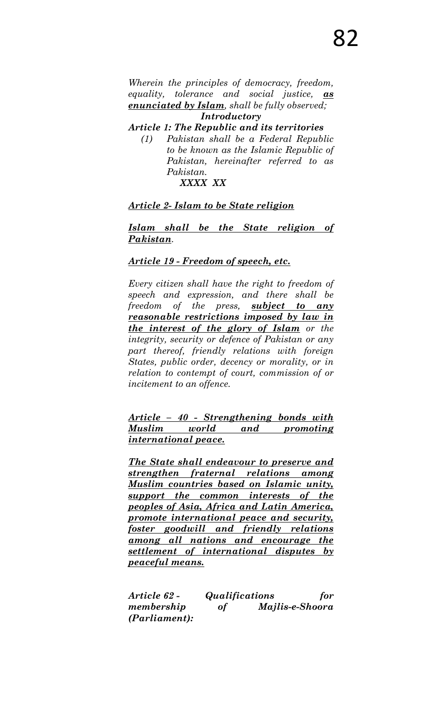*Wherein the principles of democracy, freedom, equality, tolerance and social justice, as enunciated by Islam, shall be fully observed; Introductory*

*Article 1: The Republic and its territories*

*(1) Pakistan shall be a Federal Republic to be known as the Islamic Republic of Pakistan, hereinafter referred to as Pakistan.*

## *XXXX XX*

### *Article 2- Islam to be State religion*

*Islam shall be the State religion of Pakistan.*

## *Article 19 - Freedom of speech, etc.*

*Every citizen shall have the right to freedom of speech and expression, and there shall be freedom of the press, subject to any reasonable restrictions imposed by law in the interest of the glory of Islam or the integrity, security or defence of Pakistan or any part thereof, friendly relations with foreign States, public order, decency or morality, or in relation to contempt of court, commission of or incitement to an offence.*

*Article – 40 - Strengthening bonds with Muslim world and promoting international peace.* 

*The State shall endeavour to preserve and strengthen fraternal relations among Muslim countries based on Islamic unity, support the common interests of the peoples of Asia, Africa and Latin America, promote international peace and security, foster goodwill and friendly relations among all nations and encourage the settlement of international disputes by peaceful means.*

*Article 62 - Qualifications for membership of Majlis-e-Shoora (Parliament):*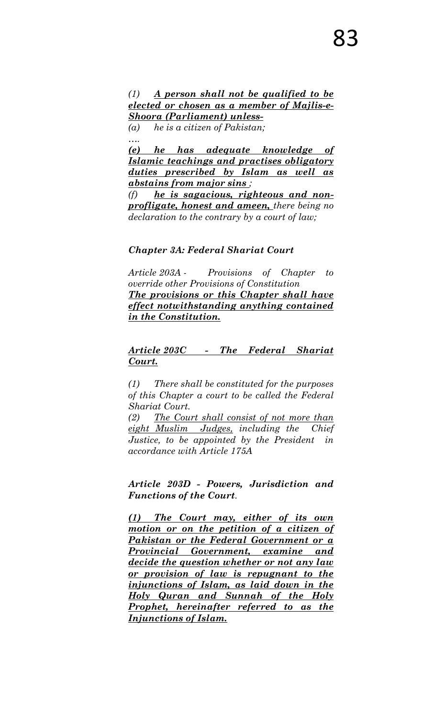*(1) A person shall not be qualified to be elected or chosen as a member of Majlis-e-Shoora (Parliament) unless-*

*(a) he is a citizen of Pakistan; ….*

*(e) he has adequate knowledge of Islamic teachings and practises obligatory duties prescribed by Islam as well as abstains from major sins ;* 

*(f) he is sagacious, righteous and nonprofligate, honest and ameen, there being no declaration to the contrary by a court of law;*

### *Chapter 3A: Federal Shariat Court*

*Article 203A - Provisions of Chapter to override other Provisions of Constitution The provisions or this Chapter shall have effect notwithstanding anything contained in the Constitution.* 

*Article 203C - The Federal Shariat Court.*

*(1) There shall be constituted for the purposes of this Chapter a court to be called the Federal Shariat Court.* 

*(2) The Court shall consist of not more than eight Muslim Judges, including the Chief Justice, to be appointed by the President in accordance with Article 175A* 

*Article 203D - Powers, Jurisdiction and Functions of the Court.*

*(1) The Court may, either of its own motion or on the petition of a citizen of Pakistan or the Federal Government or a Provincial Government, examine and decide the question whether or not any law or provision of law is repugnant to the injunctions of Islam, as laid down in the Holy Quran and Sunnah of the Holy Prophet, hereinafter referred to as the Injunctions of Islam.*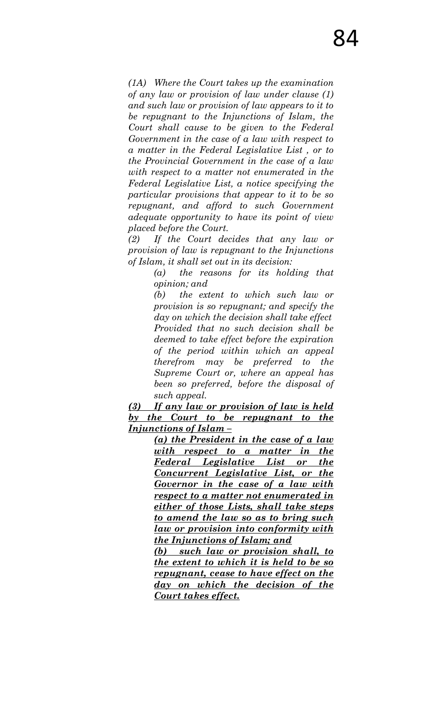*(1A) Where the Court takes up the examination of any law or provision of law under clause (1) and such law or provision of law appears to it to be repugnant to the Injunctions of Islam, the Court shall cause to be given to the Federal Government in the case of a law with respect to a matter in the Federal Legislative List , or to the Provincial Government in the case of a law with respect to a matter not enumerated in the Federal Legislative List, a notice specifying the particular provisions that appear to it to be so repugnant, and afford to such Government adequate opportunity to have its point of view placed before the Court.* 

*(2) If the Court decides that any law or provision of law is repugnant to the Injunctions of Islam, it shall set out in its decision:* 

> *(a) the reasons for its holding that opinion; and*

*(b) the extent to which such law or provision is so repugnant; and specify the day on which the decision shall take effect Provided that no such decision shall be deemed to take effect before the expiration of the period within which an appeal therefrom may be preferred to the Supreme Court or, where an appeal has been so preferred, before the disposal of such appeal.*

*(3) If any law or provision of law is held by the Court to be repugnant to the Injunctions of Islam –*

> *(a) the President in the case of a law with respect to a matter in the Federal Legislative List or the Concurrent Legislative List, or the Governor in the case of a law with respect to a matter not enumerated in either of those Lists, shall take steps to amend the law so as to bring such law or provision into conformity with the Injunctions of Islam; and*

> *(b) such law or provision shall, to the extent to which it is held to be so repugnant, cease to have effect on the day on which the decision of the Court takes effect.*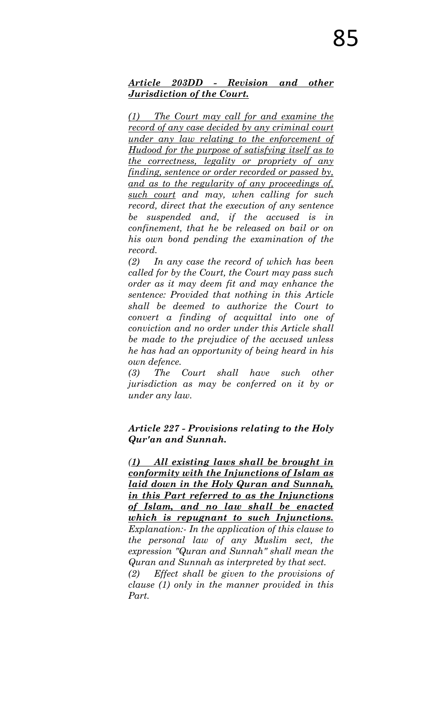## *Article 203DD - Revision and other Jurisdiction of the Court.*

*(1) The Court may call for and examine the record of any case decided by any criminal court under any law relating to the enforcement of Hudood for the purpose of satisfying itself as to the correctness, legality or propriety of any finding, sentence or order recorded or passed by, and as to the regularity of any proceedings of, such court and may, when calling for such record, direct that the execution of any sentence be suspended and, if the accused is in confinement, that he be released on bail or on his own bond pending the examination of the record.* 

*(2) In any case the record of which has been called for by the Court, the Court may pass such order as it may deem fit and may enhance the sentence: Provided that nothing in this Article shall be deemed to authorize the Court to convert a finding of acquittal into one of conviction and no order under this Article shall be made to the prejudice of the accused unless he has had an opportunity of being heard in his own defence.* 

*(3) The Court shall have such other jurisdiction as may be conferred on it by or under any law.*

*Article 227 - Provisions relating to the Holy Qur'an and Sunnah.* 

*(1) All existing laws shall be brought in conformity with the Injunctions of Islam as laid down in the Holy Quran and Sunnah, in this Part referred to as the Injunctions of Islam, and no law shall be enacted which is repugnant to such Injunctions. Explanation:- In the application of this clause to the personal law of any Muslim sect, the expression "Quran and Sunnah" shall mean the Quran and Sunnah as interpreted by that sect. (2) Effect shall be given to the provisions of clause (1) only in the manner provided in this* 

*Part.*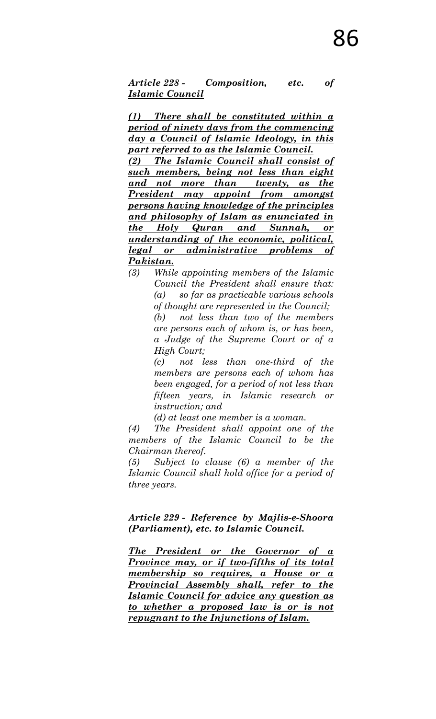*Article 228 - Composition, etc. of Islamic Council*

*(1) There shall be constituted within a period of ninety days from the commencing day a Council of Islamic Ideology, in this part referred to as the Islamic Council.* 

*(2) The Islamic Council shall consist of such members, being not less than eight and not more than twenty, as the President may appoint from amongst persons having knowledge of the principles and philosophy of Islam as enunciated in the Holy Quran and Sunnah, or understanding of the economic, political, legal or administrative problems of Pakistan.* 

*(3) While appointing members of the Islamic Council the President shall ensure that: (a) so far as practicable various schools of thought are represented in the Council; (b) not less than two of the members are persons each of whom is, or has been, a Judge of the Supreme Court or of a High Court;* 

> *(c) not less than one-third of the members are persons each of whom has been engaged, for a period of not less than fifteen years, in Islamic research or instruction; and*

*(d) at least one member is a woman.*

*(4) The President shall appoint one of the members of the Islamic Council to be the Chairman thereof.* 

*(5) Subject to clause (6) a member of the Islamic Council shall hold office for a period of three years.* 

### *Article 229 - Reference by Majlis-e-Shoora (Parliament), etc. to Islamic Council.*

*The President or the Governor of a Province may, or if two-fifths of its total membership so requires, a House or a Provincial Assembly shall, refer to the Islamic Council for advice any question as to whether a proposed law is or is not repugnant to the Injunctions of Islam.*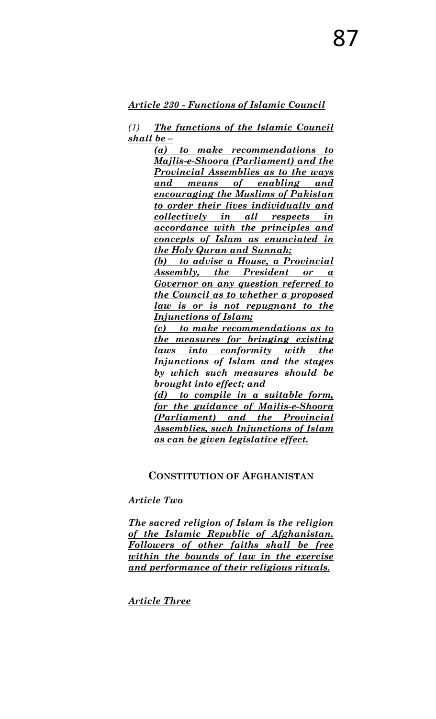*Article 230 - Functions of Islamic Council*

*(1) The functions of the Islamic Council shall be –*

> *(a) to make recommendations to Majlis-e-Shoora (Parliament) and the Provincial Assemblies as to the ways and means of enabling and encouraging the Muslims of Pakistan to order their lives individually and collectively in all respects in accordance with the principles and concepts of Islam as enunciated in the Holy Quran and Sunnah;*

> *(b) to advise a House, a Provincial Assembly, the President or a Governor on any question referred to the Council as to whether a proposed law is or is not repugnant to the Injunctions of Islam;*

> *(c) to make recommendations as to the measures for bringing existing laws into conformity with the Injunctions of Islam and the stages by which such measures should be brought into effect; and*

> *(d) to compile in a suitable form, for the guidance of Majlis-e-Shoora (Parliament) and the Provincial Assemblies, such Injunctions of Islam as can be given legislative effect.*

## **CONSTITUTION OF AFGHANISTAN**

### *Article Two*

*The sacred religion of Islam is the religion of the Islamic Republic of Afghanistan. Followers of other faiths shall be free within the bounds of law in the exercise and performance of their religious rituals.* 

*Article Three*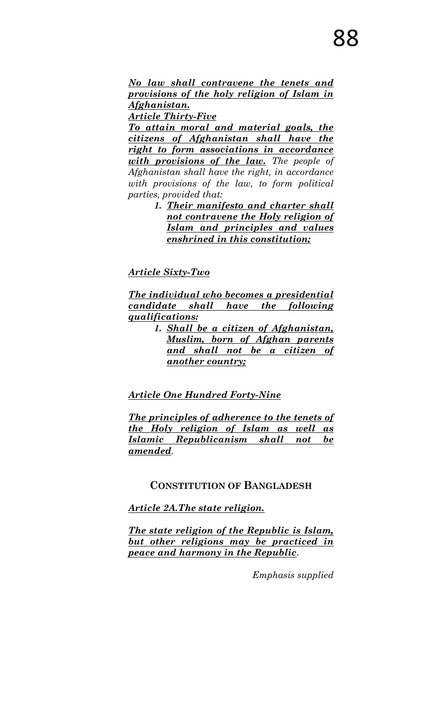*No law shall contravene the tenets and provisions of the holy religion of Islam in Afghanistan.* 

*Article Thirty-Five* 

*To attain moral and material goals, the citizens of Afghanistan shall have the right to form associations in accordance with provisions of the law. The people of Afghanistan shall have the right, in accordance with provisions of the law, to form political parties, provided that:* 

> *1. Their manifesto and charter shall not contravene the Holy religion of Islam and principles and values enshrined in this constitution;*

*Article Sixty-Two* 

*The individual who becomes a presidential candidate shall have the following qualifications:* 

*1. Shall be a citizen of Afghanistan, Muslim, born of Afghan parents and shall not be a citizen of another country;* 

## *Article One Hundred Forty-Nine*

*The principles of adherence to the tenets of the Holy religion of Islam as well as Islamic Republicanism shall not be amended.*

### **CONSTITUTION OF BANGLADESH**

*Article 2A.The state religion.*

*The state religion of the Republic is Islam, but other religions may be practiced in peace and harmony in the Republic.* 

*Emphasis supplied*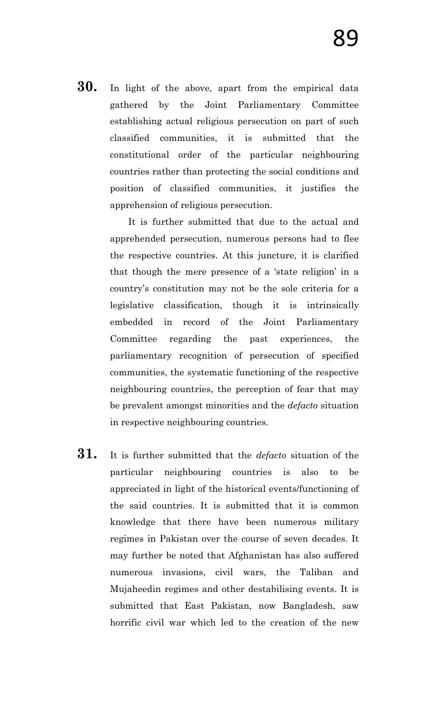**30.** In light of the above, apart from the empirical data gathered by the Joint Parliamentary Committee establishing actual religious persecution on part of such classified communities, it is submitted that the constitutional order of the particular neighbouring countries rather than protecting the social conditions and position of classified communities, it justifies the apprehension of religious persecution.

> It is further submitted that due to the actual and apprehended persecution, numerous persons had to flee the respective countries. At this juncture, it is clarified that though the mere presence of a "state religion" in a country"s constitution may not be the sole criteria for a legislative classification, though it is intrinsically embedded in record of the Joint Parliamentary Committee regarding the past experiences, the parliamentary recognition of persecution of specified communities, the systematic functioning of the respective neighbouring countries, the perception of fear that may be prevalent amongst minorities and the *defacto* situation in respective neighbouring countries.

**31.** It is further submitted that the *defacto* situation of the particular neighbouring countries is also to be appreciated in light of the historical events/functioning of the said countries. It is submitted that it is common knowledge that there have been numerous military regimes in Pakistan over the course of seven decades. It may further be noted that Afghanistan has also suffered numerous invasions, civil wars, the Taliban and Mujaheedin regimes and other destabilising events. It is submitted that East Pakistan, now Bangladesh, saw horrific civil war which led to the creation of the new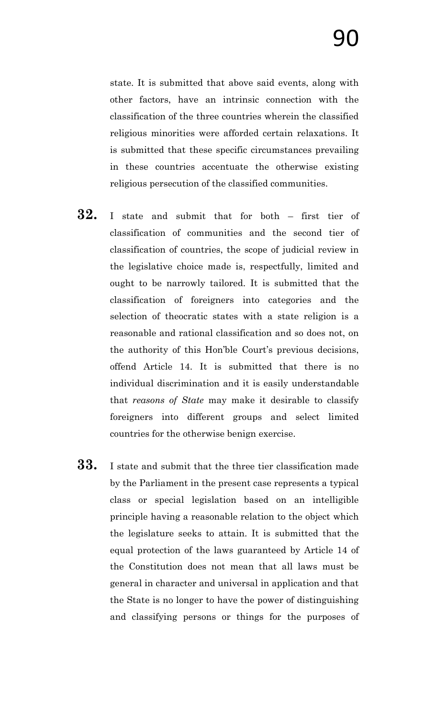state. It is submitted that above said events, along with other factors, have an intrinsic connection with the classification of the three countries wherein the classified religious minorities were afforded certain relaxations. It is submitted that these specific circumstances prevailing in these countries accentuate the otherwise existing religious persecution of the classified communities.

- **32.** I state and submit that for both first tier of classification of communities and the second tier of classification of countries, the scope of judicial review in the legislative choice made is, respectfully, limited and ought to be narrowly tailored. It is submitted that the classification of foreigners into categories and the selection of theocratic states with a state religion is a reasonable and rational classification and so does not, on the authority of this Hon'ble Court's previous decisions, offend Article 14. It is submitted that there is no individual discrimination and it is easily understandable that *reasons of State* may make it desirable to classify foreigners into different groups and select limited countries for the otherwise benign exercise.
- **33.** I state and submit that the three tier classification made by the Parliament in the present case represents a typical class or special legislation based on an intelligible principle having a reasonable relation to the object which the legislature seeks to attain. It is submitted that the equal protection of the laws guaranteed by Article 14 of the Constitution does not mean that all laws must be general in character and universal in application and that the State is no longer to have the power of distinguishing and classifying persons or things for the purposes of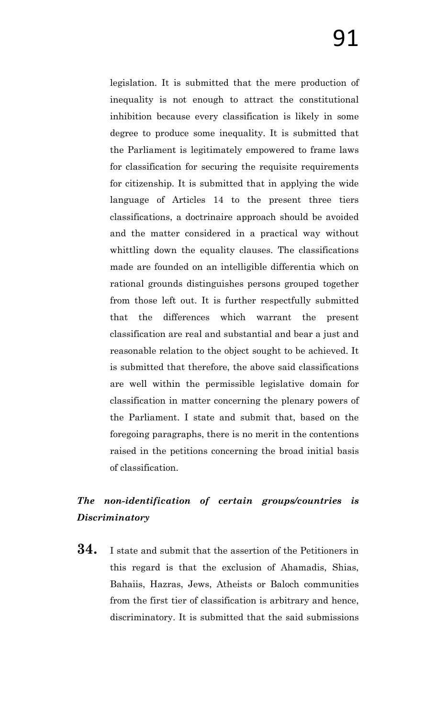legislation. It is submitted that the mere production of inequality is not enough to attract the constitutional inhibition because every classification is likely in some degree to produce some inequality. It is submitted that the Parliament is legitimately empowered to frame laws for classification for securing the requisite requirements for citizenship. It is submitted that in applying the wide language of Articles 14 to the present three tiers classifications, a doctrinaire approach should be avoided and the matter considered in a practical way without whittling down the equality clauses. The classifications made are founded on an intelligible differentia which on rational grounds distinguishes persons grouped together from those left out. It is further respectfully submitted that the differences which warrant the present classification are real and substantial and bear a just and reasonable relation to the object sought to be achieved. It is submitted that therefore, the above said classifications are well within the permissible legislative domain for classification in matter concerning the plenary powers of the Parliament. I state and submit that, based on the foregoing paragraphs, there is no merit in the contentions raised in the petitions concerning the broad initial basis of classification.

## *The non-identification of certain groups/countries is Discriminatory*

**34.** I state and submit that the assertion of the Petitioners in this regard is that the exclusion of Ahamadis, Shias, Bahaiis, Hazras, Jews, Atheists or Baloch communities from the first tier of classification is arbitrary and hence, discriminatory. It is submitted that the said submissions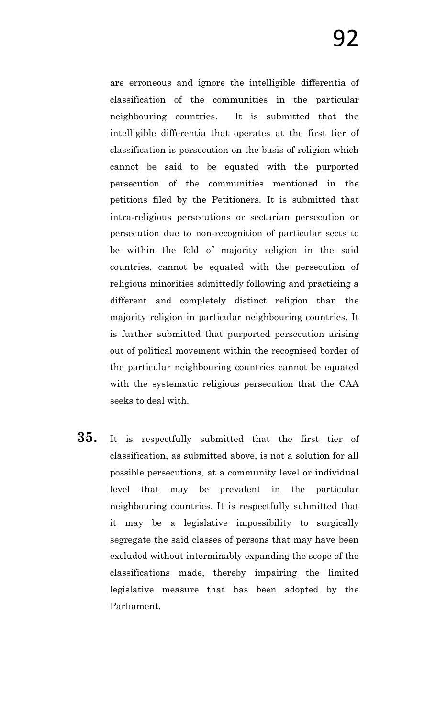are erroneous and ignore the intelligible differentia of classification of the communities in the particular neighbouring countries. It is submitted that the intelligible differentia that operates at the first tier of classification is persecution on the basis of religion which cannot be said to be equated with the purported persecution of the communities mentioned in the petitions filed by the Petitioners. It is submitted that intra-religious persecutions or sectarian persecution or persecution due to non-recognition of particular sects to be within the fold of majority religion in the said countries, cannot be equated with the persecution of religious minorities admittedly following and practicing a different and completely distinct religion than the majority religion in particular neighbouring countries. It is further submitted that purported persecution arising out of political movement within the recognised border of the particular neighbouring countries cannot be equated with the systematic religious persecution that the CAA seeks to deal with.

**35.** It is respectfully submitted that the first tier of classification, as submitted above, is not a solution for all possible persecutions, at a community level or individual level that may be prevalent in the particular neighbouring countries. It is respectfully submitted that it may be a legislative impossibility to surgically segregate the said classes of persons that may have been excluded without interminably expanding the scope of the classifications made, thereby impairing the limited legislative measure that has been adopted by the Parliament.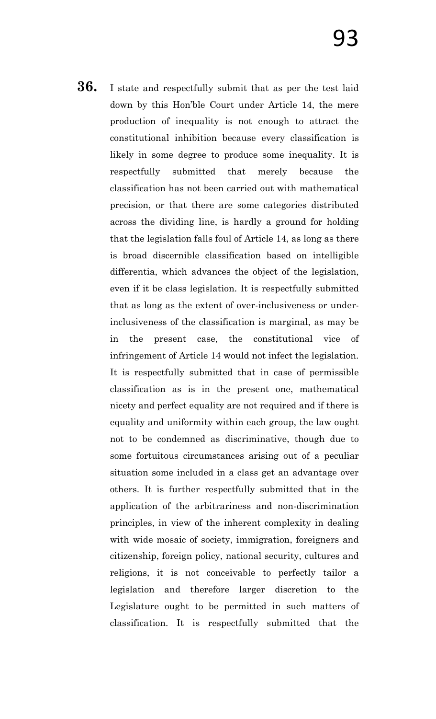**36.** I state and respectfully submit that as per the test laid down by this Hon"ble Court under Article 14, the mere production of inequality is not enough to attract the constitutional inhibition because every classification is likely in some degree to produce some inequality. It is respectfully submitted that merely because the classification has not been carried out with mathematical precision, or that there are some categories distributed across the dividing line, is hardly a ground for holding that the legislation falls foul of Article 14, as long as there is broad discernible classification based on intelligible differentia, which advances the object of the legislation, even if it be class legislation. It is respectfully submitted that as long as the extent of over-inclusiveness or underinclusiveness of the classification is marginal, as may be in the present case, the constitutional vice of infringement of Article 14 would not infect the legislation. It is respectfully submitted that in case of permissible classification as is in the present one, mathematical nicety and perfect equality are not required and if there is equality and uniformity within each group, the law ought not to be condemned as discriminative, though due to some fortuitous circumstances arising out of a peculiar situation some included in a class get an advantage over others. It is further respectfully submitted that in the application of the arbitrariness and non-discrimination principles, in view of the inherent complexity in dealing with wide mosaic of society, immigration, foreigners and citizenship, foreign policy, national security, cultures and religions, it is not conceivable to perfectly tailor a legislation and therefore larger discretion to the Legislature ought to be permitted in such matters of classification. It is respectfully submitted that the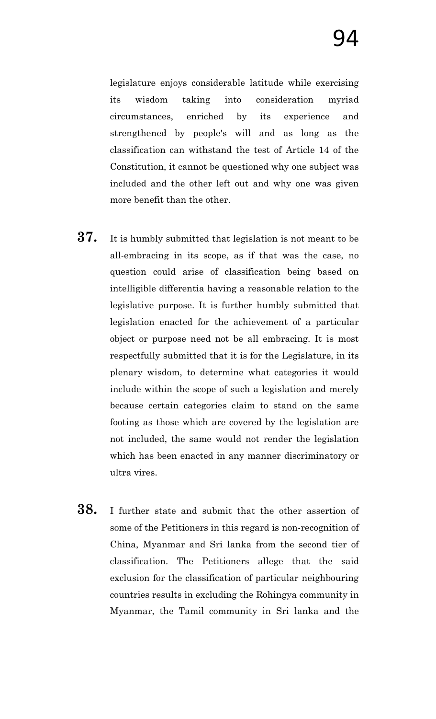legislature enjoys considerable latitude while exercising its wisdom taking into consideration myriad circumstances, enriched by its experience and strengthened by people's will and as long as the classification can withstand the test of Article 14 of the Constitution, it cannot be questioned why one subject was included and the other left out and why one was given more benefit than the other.

- **37.** It is humbly submitted that legislation is not meant to be all-embracing in its scope, as if that was the case, no question could arise of classification being based on intelligible differentia having a reasonable relation to the legislative purpose. It is further humbly submitted that legislation enacted for the achievement of a particular object or purpose need not be all embracing. It is most respectfully submitted that it is for the Legislature, in its plenary wisdom, to determine what categories it would include within the scope of such a legislation and merely because certain categories claim to stand on the same footing as those which are covered by the legislation are not included, the same would not render the legislation which has been enacted in any manner discriminatory or ultra vires.
- **38.** I further state and submit that the other assertion of some of the Petitioners in this regard is non-recognition of China, Myanmar and Sri lanka from the second tier of classification. The Petitioners allege that the said exclusion for the classification of particular neighbouring countries results in excluding the Rohingya community in Myanmar, the Tamil community in Sri lanka and the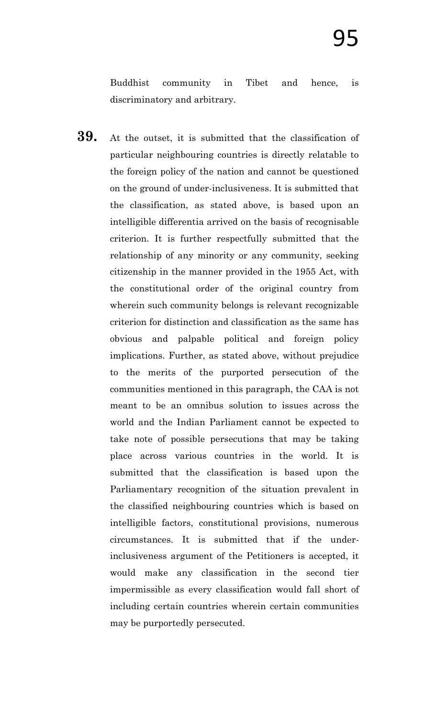Buddhist community in Tibet and hence, is discriminatory and arbitrary.

**39.** At the outset, it is submitted that the classification of particular neighbouring countries is directly relatable to the foreign policy of the nation and cannot be questioned on the ground of under-inclusiveness. It is submitted that the classification, as stated above, is based upon an intelligible differentia arrived on the basis of recognisable criterion. It is further respectfully submitted that the relationship of any minority or any community, seeking citizenship in the manner provided in the 1955 Act, with the constitutional order of the original country from wherein such community belongs is relevant recognizable criterion for distinction and classification as the same has obvious and palpable political and foreign policy implications. Further, as stated above, without prejudice to the merits of the purported persecution of the communities mentioned in this paragraph, the CAA is not meant to be an omnibus solution to issues across the world and the Indian Parliament cannot be expected to take note of possible persecutions that may be taking place across various countries in the world. It is submitted that the classification is based upon the Parliamentary recognition of the situation prevalent in the classified neighbouring countries which is based on intelligible factors, constitutional provisions, numerous circumstances. It is submitted that if the underinclusiveness argument of the Petitioners is accepted, it would make any classification in the second tier impermissible as every classification would fall short of including certain countries wherein certain communities may be purportedly persecuted.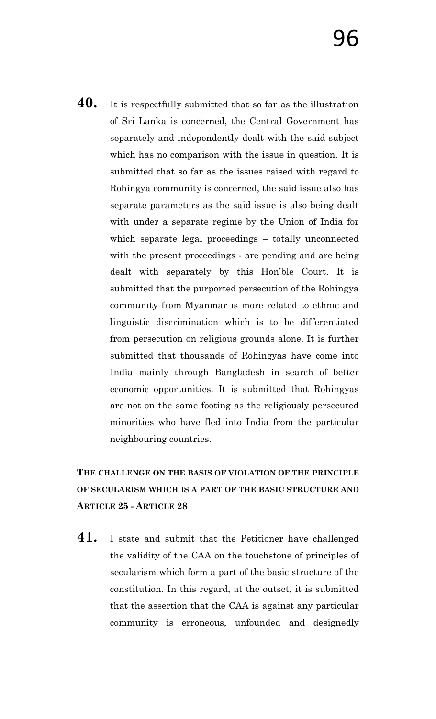**40.** It is respectfully submitted that so far as the illustration of Sri Lanka is concerned, the Central Government has separately and independently dealt with the said subject which has no comparison with the issue in question. It is submitted that so far as the issues raised with regard to Rohingya community is concerned, the said issue also has separate parameters as the said issue is also being dealt with under a separate regime by the Union of India for which separate legal proceedings – totally unconnected with the present proceedings - are pending and are being dealt with separately by this Hon"ble Court. It is submitted that the purported persecution of the Rohingya community from Myanmar is more related to ethnic and linguistic discrimination which is to be differentiated from persecution on religious grounds alone. It is further submitted that thousands of Rohingyas have come into India mainly through Bangladesh in search of better economic opportunities. It is submitted that Rohingyas are not on the same footing as the religiously persecuted minorities who have fled into India from the particular neighbouring countries.

## **THE CHALLENGE ON THE BASIS OF VIOLATION OF THE PRINCIPLE OF SECULARISM WHICH IS A PART OF THE BASIC STRUCTURE AND ARTICLE 25 - ARTICLE 28**

**41.** I state and submit that the Petitioner have challenged the validity of the CAA on the touchstone of principles of secularism which form a part of the basic structure of the constitution. In this regard, at the outset, it is submitted that the assertion that the CAA is against any particular community is erroneous, unfounded and designedly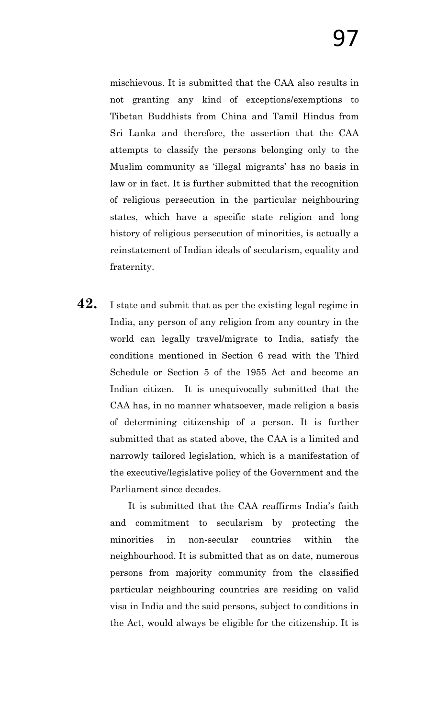mischievous. It is submitted that the CAA also results in not granting any kind of exceptions/exemptions to Tibetan Buddhists from China and Tamil Hindus from Sri Lanka and therefore, the assertion that the CAA attempts to classify the persons belonging only to the Muslim community as "illegal migrants" has no basis in law or in fact. It is further submitted that the recognition of religious persecution in the particular neighbouring states, which have a specific state religion and long history of religious persecution of minorities, is actually a reinstatement of Indian ideals of secularism, equality and fraternity.

**42.** I state and submit that as per the existing legal regime in India, any person of any religion from any country in the world can legally travel/migrate to India, satisfy the conditions mentioned in Section 6 read with the Third Schedule or Section 5 of the 1955 Act and become an Indian citizen. It is unequivocally submitted that the CAA has, in no manner whatsoever, made religion a basis of determining citizenship of a person. It is further submitted that as stated above, the CAA is a limited and narrowly tailored legislation, which is a manifestation of the executive/legislative policy of the Government and the Parliament since decades.

> It is submitted that the CAA reaffirms India's faith and commitment to secularism by protecting the minorities in non-secular countries within the neighbourhood. It is submitted that as on date, numerous persons from majority community from the classified particular neighbouring countries are residing on valid visa in India and the said persons, subject to conditions in the Act, would always be eligible for the citizenship. It is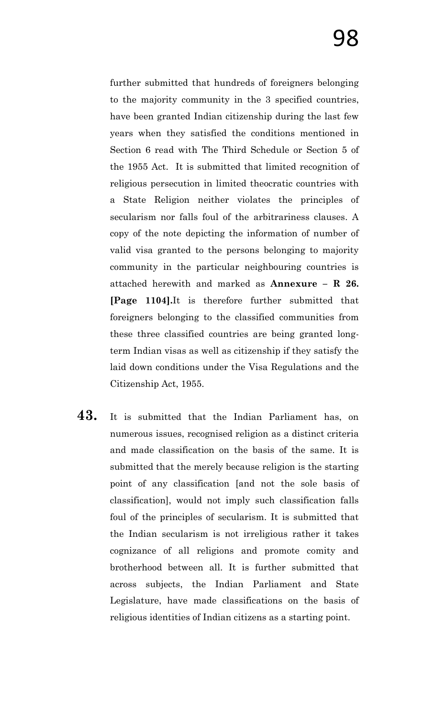further submitted that hundreds of foreigners belonging to the majority community in the 3 specified countries, have been granted Indian citizenship during the last few years when they satisfied the conditions mentioned in Section 6 read with The Third Schedule or Section 5 of the 1955 Act. It is submitted that limited recognition of religious persecution in limited theocratic countries with a State Religion neither violates the principles of secularism nor falls foul of the arbitrariness clauses. A copy of the note depicting the information of number of valid visa granted to the persons belonging to majority community in the particular neighbouring countries is attached herewith and marked as **Annexure – R 26. [Page 1104].**It is therefore further submitted that foreigners belonging to the classified communities from these three classified countries are being granted longterm Indian visas as well as citizenship if they satisfy the laid down conditions under the Visa Regulations and the Citizenship Act, 1955.

**43.** It is submitted that the Indian Parliament has, on numerous issues, recognised religion as a distinct criteria and made classification on the basis of the same. It is submitted that the merely because religion is the starting point of any classification [and not the sole basis of classification], would not imply such classification falls foul of the principles of secularism. It is submitted that the Indian secularism is not irreligious rather it takes cognizance of all religions and promote comity and brotherhood between all. It is further submitted that across subjects, the Indian Parliament and State Legislature, have made classifications on the basis of religious identities of Indian citizens as a starting point.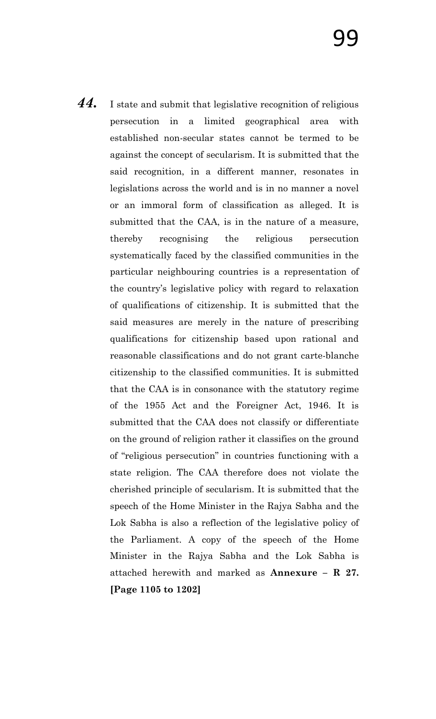*44.* I state and submit that legislative recognition of religious persecution in a limited geographical area with established non-secular states cannot be termed to be against the concept of secularism. It is submitted that the said recognition, in a different manner, resonates in legislations across the world and is in no manner a novel or an immoral form of classification as alleged. It is submitted that the CAA, is in the nature of a measure, thereby recognising the religious persecution systematically faced by the classified communities in the particular neighbouring countries is a representation of the country"s legislative policy with regard to relaxation of qualifications of citizenship. It is submitted that the said measures are merely in the nature of prescribing qualifications for citizenship based upon rational and reasonable classifications and do not grant carte-blanche citizenship to the classified communities. It is submitted that the CAA is in consonance with the statutory regime of the 1955 Act and the Foreigner Act, 1946. It is submitted that the CAA does not classify or differentiate on the ground of religion rather it classifies on the ground of "religious persecution" in countries functioning with a state religion. The CAA therefore does not violate the cherished principle of secularism. It is submitted that the speech of the Home Minister in the Rajya Sabha and the Lok Sabha is also a reflection of the legislative policy of the Parliament. A copy of the speech of the Home Minister in the Rajya Sabha and the Lok Sabha is attached herewith and marked as **Annexure – R 27. [Page 1105 to 1202]**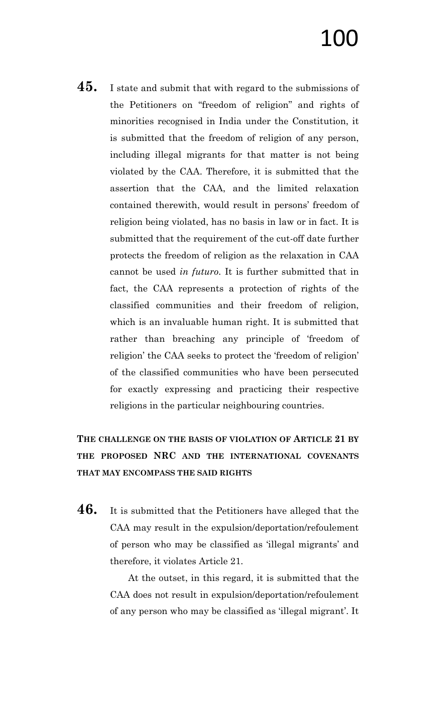**45.** I state and submit that with regard to the submissions of the Petitioners on "freedom of religion" and rights of minorities recognised in India under the Constitution, it is submitted that the freedom of religion of any person, including illegal migrants for that matter is not being violated by the CAA. Therefore, it is submitted that the assertion that the CAA, and the limited relaxation contained therewith, would result in persons" freedom of religion being violated, has no basis in law or in fact. It is submitted that the requirement of the cut-off date further protects the freedom of religion as the relaxation in CAA cannot be used *in futuro*. It is further submitted that in fact, the CAA represents a protection of rights of the classified communities and their freedom of religion, which is an invaluable human right. It is submitted that rather than breaching any principle of "freedom of religion' the CAA seeks to protect the 'freedom of religion' of the classified communities who have been persecuted for exactly expressing and practicing their respective religions in the particular neighbouring countries.

**THE CHALLENGE ON THE BASIS OF VIOLATION OF ARTICLE 21 BY THE PROPOSED NRC AND THE INTERNATIONAL COVENANTS THAT MAY ENCOMPASS THE SAID RIGHTS**

**46.** It is submitted that the Petitioners have alleged that the CAA may result in the expulsion/deportation/refoulement of person who may be classified as "illegal migrants" and therefore, it violates Article 21.

> At the outset, in this regard, it is submitted that the CAA does not result in expulsion/deportation/refoulement of any person who may be classified as 'illegal migrant'. It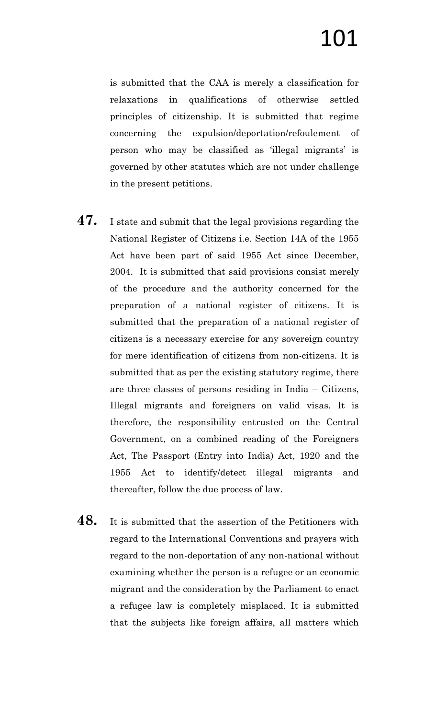is submitted that the CAA is merely a classification for relaxations in qualifications of otherwise settled principles of citizenship. It is submitted that regime concerning the expulsion/deportation/refoulement of person who may be classified as 'illegal migrants' is governed by other statutes which are not under challenge in the present petitions.

- **47.** I state and submit that the legal provisions regarding the National Register of Citizens i.e. Section 14A of the 1955 Act have been part of said 1955 Act since December, 2004. It is submitted that said provisions consist merely of the procedure and the authority concerned for the preparation of a national register of citizens. It is submitted that the preparation of a national register of citizens is a necessary exercise for any sovereign country for mere identification of citizens from non-citizens. It is submitted that as per the existing statutory regime, there are three classes of persons residing in India – Citizens, Illegal migrants and foreigners on valid visas. It is therefore, the responsibility entrusted on the Central Government, on a combined reading of the Foreigners Act, The Passport (Entry into India) Act, 1920 and the 1955 Act to identify/detect illegal migrants and thereafter, follow the due process of law.
- **48.** It is submitted that the assertion of the Petitioners with regard to the International Conventions and prayers with regard to the non-deportation of any non-national without examining whether the person is a refugee or an economic migrant and the consideration by the Parliament to enact a refugee law is completely misplaced. It is submitted that the subjects like foreign affairs, all matters which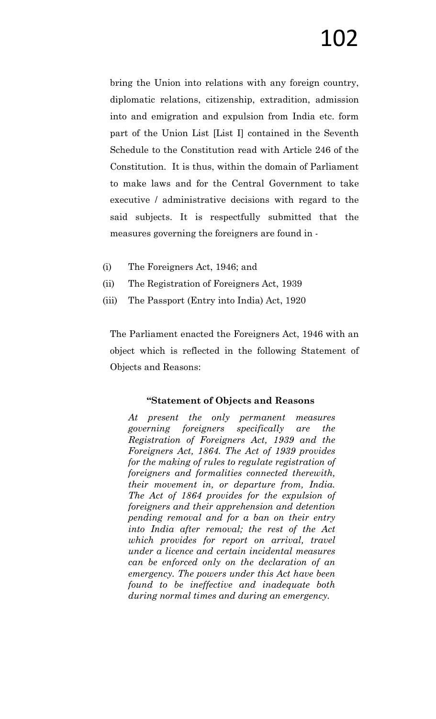bring the Union into relations with any foreign country, diplomatic relations, citizenship, extradition, admission into and emigration and expulsion from India etc. form part of the Union List [List I] contained in the Seventh Schedule to the Constitution read with Article 246 of the Constitution. It is thus, within the domain of Parliament to make laws and for the Central Government to take executive / administrative decisions with regard to the said subjects. It is respectfully submitted that the measures governing the foreigners are found in -

- (i) The Foreigners Act, 1946; and
- (ii) The Registration of Foreigners Act, 1939
- (iii) The Passport (Entry into India) Act, 1920

The Parliament enacted the Foreigners Act, 1946 with an object which is reflected in the following Statement of Objects and Reasons:

### **"Statement of Objects and Reasons**

*At present the only permanent measures governing foreigners specifically are the Registration of Foreigners Act, 1939 and the Foreigners Act, 1864. The Act of 1939 provides for the making of rules to regulate registration of foreigners and formalities connected therewith, their movement in, or departure from, India. The Act of 1864 provides for the expulsion of foreigners and their apprehension and detention pending removal and for a ban on their entry into India after removal; the rest of the Act which provides for report on arrival, travel under a licence and certain incidental measures can be enforced only on the declaration of an emergency. The powers under this Act have been found to be ineffective and inadequate both during normal times and during an emergency.*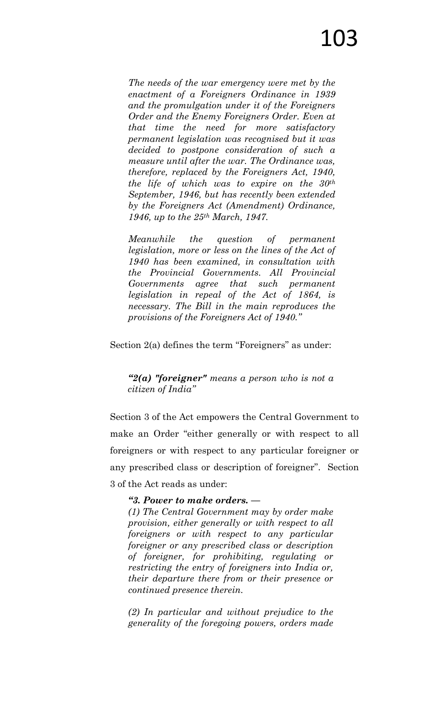*The needs of the war emergency were met by the enactment of a Foreigners Ordinance in 1939 and the promulgation under it of the Foreigners Order and the Enemy Foreigners Order. Even at that time the need for more satisfactory permanent legislation was recognised but it was decided to postpone consideration of such a measure until after the war. The Ordinance was, therefore, replaced by the Foreigners Act, 1940, the life of which was to expire on the 30th September, 1946, but has recently been extended by the Foreigners Act (Amendment) Ordinance, 1946, up to the 25th March, 1947.*

*Meanwhile the question of permanent legislation, more or less on the lines of the Act of 1940 has been examined, in consultation with the Provincial Governments. All Provincial Governments agree that such permanent legislation in repeal of the Act of 1864, is necessary. The Bill in the main reproduces the provisions of the Foreigners Act of 1940.‖* 

### Section 2(a) defines the term "Foreigners" as under:

*―2(a) "foreigner" means a person who is not a citizen of India‖*

Section 3 of the Act empowers the Central Government to make an Order "either generally or with respect to all foreigners or with respect to any particular foreigner or any prescribed class or description of foreigner". Section 3 of the Act reads as under:

### *―3. Power to make orders. —*

*(1) The Central Government may by order make provision, either generally or with respect to all foreigners or with respect to any particular foreigner or any prescribed class or description of foreigner, for prohibiting, regulating or restricting the entry of foreigners into India or, their departure there from or their presence or continued presence therein.*

*(2) In particular and without prejudice to the generality of the foregoing powers, orders made*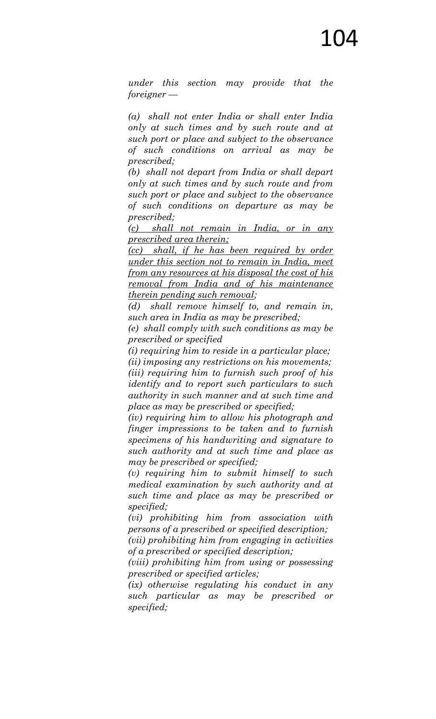*under this section may provide that the foreigner —*

*(a) shall not enter India or shall enter India only at such times and by such route and at such port or place and subject to the observance of such conditions on arrival as may be prescribed;*

*(b) shall not depart from India or shall depart only at such times and by such route and from such port or place and subject to the observance of such conditions on departure as may be prescribed;*

*(c) shall not remain in India, or in any prescribed area therein;*

*(cc) shall, if he has been required by order under this section not to remain in India, meet from any resources at his disposal the cost of his removal from India and of his maintenance therein pending such removal;*

*(d) shall remove himself to, and remain in, such area in India as may be prescribed;*

*(e) shall comply with such conditions as may be prescribed or specified*

*(i) requiring him to reside in a particular place;*

*(ii) imposing any restrictions on his movements; (iii) requiring him to furnish such proof of his identify and to report such particulars to such authority in such manner and at such time and place as may be prescribed or specified;*

*(iv) requiring him to allow his photograph and finger impressions to be taken and to furnish specimens of his handwriting and signature to such authority and at such time and place as may be prescribed or specified;*

*(v) requiring him to submit himself to such medical examination by such authority and at such time and place as may be prescribed or specified;*

*(vi) prohibiting him from association with persons of a prescribed or specified description;*

*(vii) prohibiting him from engaging in activities of a prescribed or specified description;*

*(viii) prohibiting him from using or possessing prescribed or specified articles;*

*(ix) otherwise regulating his conduct in any such particular as may be prescribed or specified;*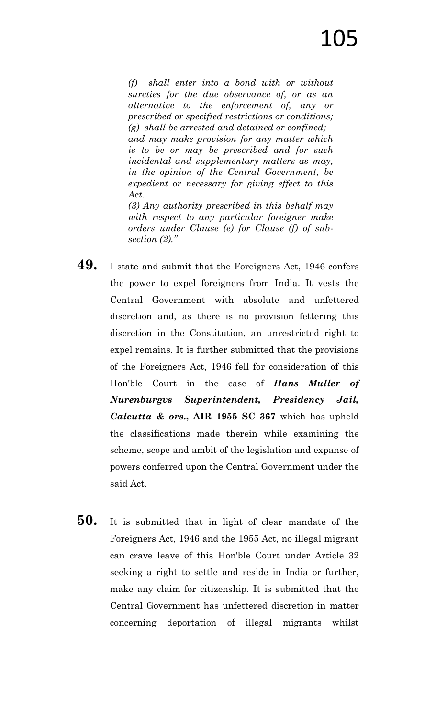*(f) shall enter into a bond with or without sureties for the due observance of, or as an alternative to the enforcement of, any or prescribed or specified restrictions or conditions; (g) shall be arrested and detained or confined; and may make provision for any matter which is to be or may be prescribed and for such incidental and supplementary matters as may, in the opinion of the Central Government, be expedient or necessary for giving effect to this Act.*

*(3) Any authority prescribed in this behalf may with respect to any particular foreigner make orders under Clause (e) for Clause (f) of subsection (2).‖*

- **49.** I state and submit that the Foreigners Act, 1946 confers the power to expel foreigners from India. It vests the Central Government with absolute and unfettered discretion and, as there is no provision fettering this discretion in the Constitution, an unrestricted right to expel remains. It is further submitted that the provisions of the Foreigners Act, 1946 fell for consideration of this Hon'ble Court in the case of *Hans Muller of Nurenburgvs Superintendent, Presidency Jail, Calcutta & ors***., AIR 1955 SC 367** which has upheld the classifications made therein while examining the scheme, scope and ambit of the legislation and expanse of powers conferred upon the Central Government under the said Act.
- **50.** It is submitted that in light of clear mandate of the Foreigners Act, 1946 and the 1955 Act, no illegal migrant can crave leave of this Hon'ble Court under Article 32 seeking a right to settle and reside in India or further, make any claim for citizenship. It is submitted that the Central Government has unfettered discretion in matter concerning deportation of illegal migrants whilst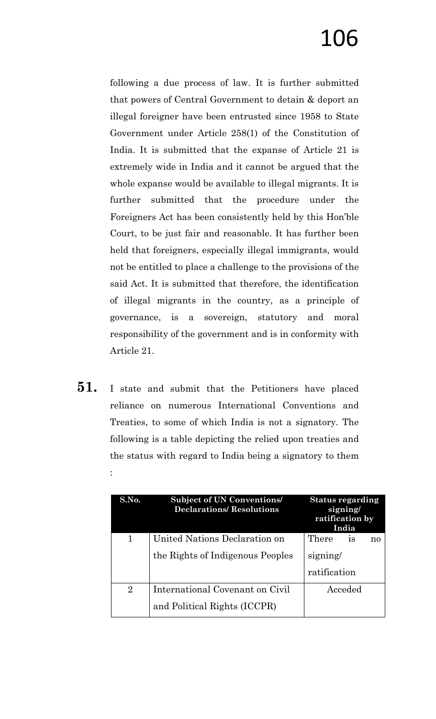following a due process of law. It is further submitted that powers of Central Government to detain & deport an illegal foreigner have been entrusted since 1958 to State Government under Article 258(1) of the Constitution of India. It is submitted that the expanse of Article 21 is extremely wide in India and it cannot be argued that the whole expanse would be available to illegal migrants. It is further submitted that the procedure under the Foreigners Act has been consistently held by this Hon"ble Court, to be just fair and reasonable. It has further been held that foreigners, especially illegal immigrants, would not be entitled to place a challenge to the provisions of the said Act. It is submitted that therefore, the identification of illegal migrants in the country, as a principle of governance, is a sovereign, statutory and moral responsibility of the government and is in conformity with Article 21.

**51.** I state and submit that the Petitioners have placed reliance on numerous International Conventions and Treaties, to some of which India is not a signatory. The following is a table depicting the relied upon treaties and the status with regard to India being a signatory to them :

| S.No.          | <b>Subject of UN Conventions/</b><br><b>Declarations/Resolutions</b> | <b>Status regarding</b><br>signing/<br>ratification by<br>India |
|----------------|----------------------------------------------------------------------|-----------------------------------------------------------------|
| 1              | United Nations Declaration on                                        | There<br><b>18</b><br>no                                        |
|                | the Rights of Indigenous Peoples                                     | signing/                                                        |
|                |                                                                      | ratification                                                    |
| $\overline{2}$ | International Covenant on Civil                                      | Acceded                                                         |
|                | and Political Rights (ICCPR)                                         |                                                                 |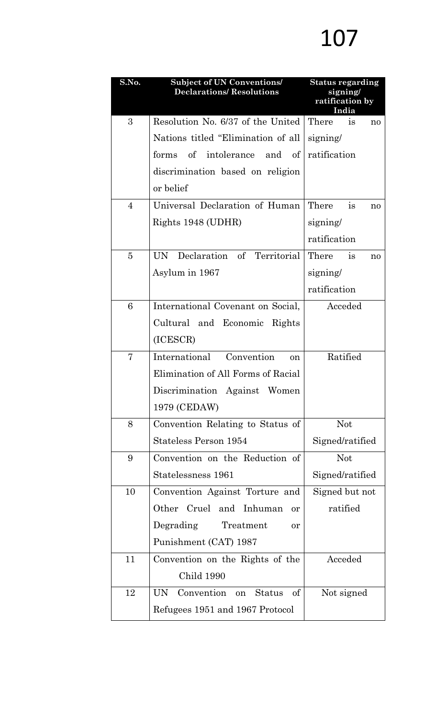| S.No.          | <b>Subject of UN Conventions/</b><br><b>Declarations/Resolutions</b> | <b>Status regarding</b><br>signing/<br>ratification by<br>India |
|----------------|----------------------------------------------------------------------|-----------------------------------------------------------------|
| 3              | Resolution No. 6/37 of the United                                    | There<br>is<br>no                                               |
|                | Nations titled "Elimination of all                                   | signing/                                                        |
|                | forms of intolerance and of                                          | ratification                                                    |
|                | discrimination based on religion                                     |                                                                 |
|                | or belief                                                            |                                                                 |
| $\overline{4}$ | Universal Declaration of Human                                       | There<br>is<br>no                                               |
|                | Rights 1948 (UDHR)                                                   | signing/                                                        |
|                |                                                                      | ratification                                                    |
| $\overline{5}$ | UN Declaration of Territorial                                        | There<br>is<br>no                                               |
|                | Asylum in 1967                                                       | signing/                                                        |
|                |                                                                      | ratification                                                    |
| 6              | International Covenant on Social,                                    | Acceded                                                         |
|                | Cultural and Economic Rights                                         |                                                                 |
|                | (ICESCR)                                                             |                                                                 |
| 7              | International Convention<br>on                                       | Ratified                                                        |
|                | Elimination of All Forms of Racial                                   |                                                                 |
|                | Discrimination Against Women                                         |                                                                 |
|                | 1979 (CEDAW)                                                         |                                                                 |
| 8              | Convention Relating to Status of                                     | <b>Not</b>                                                      |
|                | <b>Stateless Person 1954</b>                                         | Signed/ratified                                                 |
| 9              | Convention on the Reduction of                                       | <b>Not</b>                                                      |
|                | Statelessness 1961                                                   | Signed/ratified                                                 |
| 10             | Convention Against Torture and                                       | Signed but not                                                  |
|                | Other Cruel and Inhuman<br>or                                        | ratified                                                        |
|                | Degrading Treatment<br>or                                            |                                                                 |
|                | Punishment (CAT) 1987                                                |                                                                 |
| 11             | Convention on the Rights of the                                      | Acceded                                                         |
|                | Child 1990                                                           |                                                                 |
| 12             | UN<br>Convention on Status of                                        | Not signed                                                      |
|                | Refugees 1951 and 1967 Protocol                                      |                                                                 |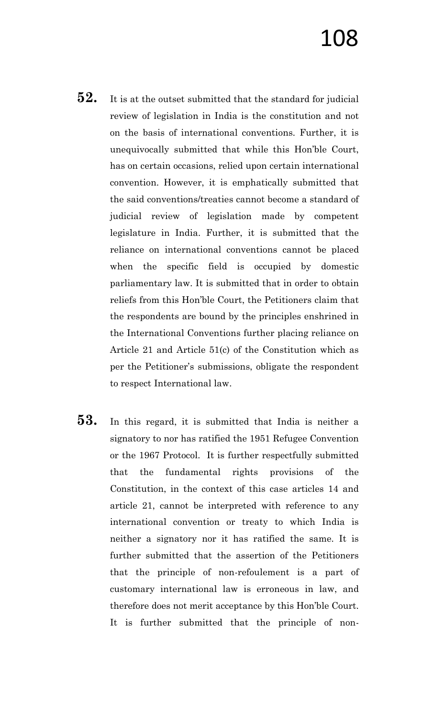- **52.** It is at the outset submitted that the standard for judicial review of legislation in India is the constitution and not on the basis of international conventions. Further, it is unequivocally submitted that while this Hon"ble Court, has on certain occasions, relied upon certain international convention. However, it is emphatically submitted that the said conventions/treaties cannot become a standard of judicial review of legislation made by competent legislature in India. Further, it is submitted that the reliance on international conventions cannot be placed when the specific field is occupied by domestic parliamentary law. It is submitted that in order to obtain reliefs from this Hon"ble Court, the Petitioners claim that the respondents are bound by the principles enshrined in the International Conventions further placing reliance on Article 21 and Article 51(c) of the Constitution which as per the Petitioner"s submissions, obligate the respondent to respect International law.
- **53.** In this regard, it is submitted that India is neither a signatory to nor has ratified the 1951 Refugee Convention or the 1967 Protocol. It is further respectfully submitted that the fundamental rights provisions of the Constitution, in the context of this case articles 14 and article 21, cannot be interpreted with reference to any international convention or treaty to which India is neither a signatory nor it has ratified the same. It is further submitted that the assertion of the Petitioners that the principle of non-refoulement is a part of customary international law is erroneous in law, and therefore does not merit acceptance by this Hon"ble Court. It is further submitted that the principle of non-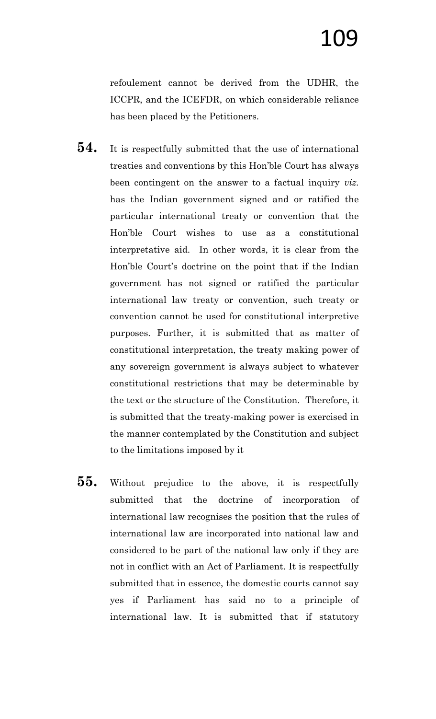refoulement cannot be derived from the UDHR, the ICCPR, and the ICEFDR, on which considerable reliance has been placed by the Petitioners.

- **54.** It is respectfully submitted that the use of international treaties and conventions by this Hon"ble Court has always been contingent on the answer to a factual inquiry *viz.* has the Indian government signed and or ratified the particular international treaty or convention that the Hon"ble Court wishes to use as a constitutional interpretative aid. In other words, it is clear from the Hon'ble Court's doctrine on the point that if the Indian government has not signed or ratified the particular international law treaty or convention, such treaty or convention cannot be used for constitutional interpretive purposes. Further, it is submitted that as matter of constitutional interpretation, the treaty making power of any sovereign government is always subject to whatever constitutional restrictions that may be determinable by the text or the structure of the Constitution. Therefore, it is submitted that the treaty-making power is exercised in the manner contemplated by the Constitution and subject to the limitations imposed by it
- **55.** Without prejudice to the above, it is respectfully submitted that the doctrine of incorporation of international law recognises the position that the rules of international law are incorporated into national law and considered to be part of the national law only if they are not in conflict with an Act of Parliament. It is respectfully submitted that in essence, the domestic courts cannot say yes if Parliament has said no to a principle of international law. It is submitted that if statutory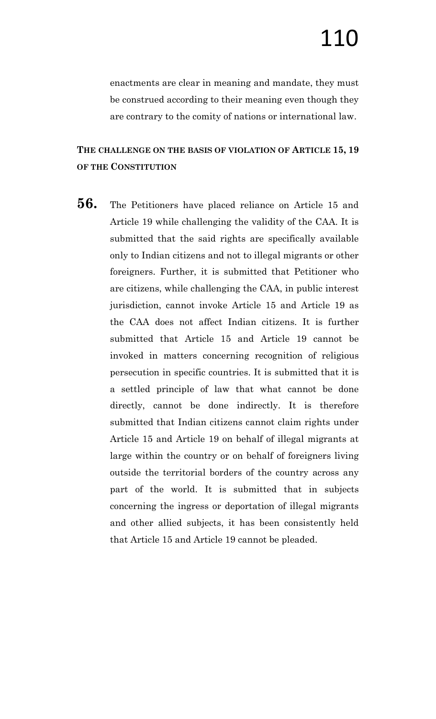enactments are clear in meaning and mandate, they must be construed according to their meaning even though they are contrary to the comity of nations or international law.

### **THE CHALLENGE ON THE BASIS OF VIOLATION OF ARTICLE 15, 19 OF THE CONSTITUTION**

**56.** The Petitioners have placed reliance on Article 15 and Article 19 while challenging the validity of the CAA. It is submitted that the said rights are specifically available only to Indian citizens and not to illegal migrants or other foreigners. Further, it is submitted that Petitioner who are citizens, while challenging the CAA, in public interest jurisdiction, cannot invoke Article 15 and Article 19 as the CAA does not affect Indian citizens. It is further submitted that Article 15 and Article 19 cannot be invoked in matters concerning recognition of religious persecution in specific countries. It is submitted that it is a settled principle of law that what cannot be done directly, cannot be done indirectly. It is therefore submitted that Indian citizens cannot claim rights under Article 15 and Article 19 on behalf of illegal migrants at large within the country or on behalf of foreigners living outside the territorial borders of the country across any part of the world. It is submitted that in subjects concerning the ingress or deportation of illegal migrants and other allied subjects, it has been consistently held that Article 15 and Article 19 cannot be pleaded.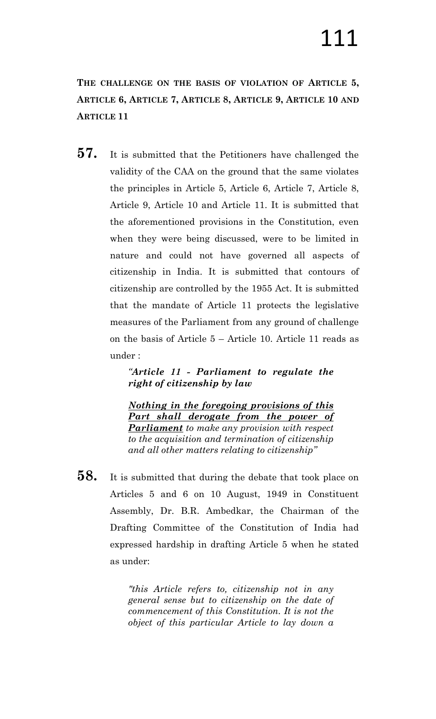**THE CHALLENGE ON THE BASIS OF VIOLATION OF ARTICLE 5, ARTICLE 6, ARTICLE 7, ARTICLE 8, ARTICLE 9, ARTICLE 10 AND ARTICLE 11**

**57.** It is submitted that the Petitioners have challenged the validity of the CAA on the ground that the same violates the principles in Article 5, Article 6, Article 7, Article 8, Article 9, Article 10 and Article 11. It is submitted that the aforementioned provisions in the Constitution, even when they were being discussed, were to be limited in nature and could not have governed all aspects of citizenship in India. It is submitted that contours of citizenship are controlled by the 1955 Act. It is submitted that the mandate of Article 11 protects the legislative measures of the Parliament from any ground of challenge on the basis of Article 5 – Article 10. Article 11 reads as under :

> *―Article 11 - Parliament to regulate the right of citizenship by law*

> *Nothing in the foregoing provisions of this Part shall derogate from the power of Parliament to make any provision with respect to the acquisition and termination of citizenship and all other matters relating to citizenship‖*

**58.** It is submitted that during the debate that took place on Articles 5 and 6 on 10 August, 1949 in Constituent Assembly, Dr. B.R. Ambedkar, the Chairman of the Drafting Committee of the Constitution of India had expressed hardship in drafting Article 5 when he stated as under:

> *"this Article refers to, citizenship not in any general sense but to citizenship on the date of commencement of this Constitution. It is not the object of this particular Article to lay down a*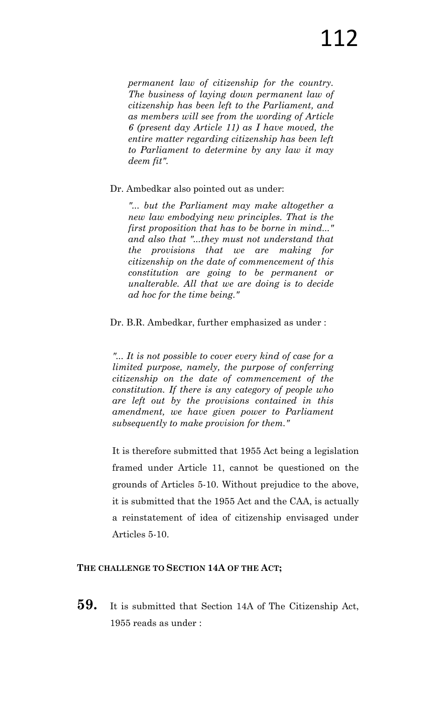*permanent law of citizenship for the country. The business of laying down permanent law of citizenship has been left to the Parliament, and as members will see from the wording of Article 6 (present day Article 11) as I have moved, the entire matter regarding citizenship has been left to Parliament to determine by any law it may deem fit".* 

Dr. Ambedkar also pointed out as under:

*"... but the Parliament may make altogether a new law embodying new principles. That is the first proposition that has to be borne in mind..." and also that "...they must not understand that the provisions that we are making for citizenship on the date of commencement of this constitution are going to be permanent or unalterable. All that we are doing is to decide ad hoc for the time being."* 

Dr. B.R. Ambedkar, further emphasized as under :

*"... It is not possible to cover every kind of case for a limited purpose, namely, the purpose of conferring citizenship on the date of commencement of the constitution. If there is any category of people who are left out by the provisions contained in this amendment, we have given power to Parliament subsequently to make provision for them."*

It is therefore submitted that 1955 Act being a legislation framed under Article 11, cannot be questioned on the grounds of Articles 5-10. Without prejudice to the above, it is submitted that the 1955 Act and the CAA, is actually a reinstatement of idea of citizenship envisaged under Articles 5-10.

### **THE CHALLENGE TO SECTION 14A OF THE ACT;**

**59.** It is submitted that Section 14A of The Citizenship Act, 1955 reads as under :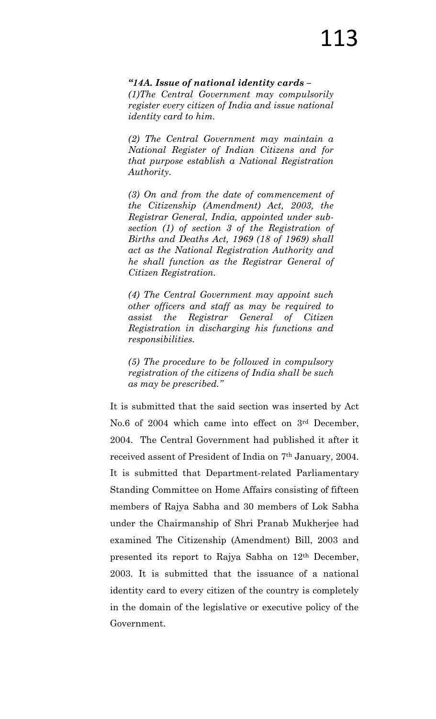#### *―14A. Issue of national identity cards –*

*(1)The Central Government may compulsorily register every citizen of India and issue national identity card to him.*

*(2) The Central Government may maintain a National Register of Indian Citizens and for that purpose establish a National Registration Authority.*

*(3) On and from the date of commencement of the Citizenship (Amendment) Act, 2003, the Registrar General, India, appointed under subsection (1) of section 3 of the Registration of Births and Deaths Act, 1969 (18 of 1969) shall act as the National Registration Authority and he shall function as the Registrar General of Citizen Registration.*

*(4) The Central Government may appoint such other officers and staff as may be required to assist the Registrar General of Citizen Registration in discharging his functions and responsibilities.*

*(5) The procedure to be followed in compulsory registration of the citizens of India shall be such as may be prescribed.‖*

It is submitted that the said section was inserted by Act No.6 of 2004 which came into effect on 3rd December, 2004. The Central Government had published it after it received assent of President of India on 7<sup>th</sup> January, 2004. It is submitted that Department-related Parliamentary Standing Committee on Home Affairs consisting of fifteen members of Rajya Sabha and 30 members of Lok Sabha under the Chairmanship of Shri Pranab Mukherjee had examined The Citizenship (Amendment) Bill, 2003 and presented its report to Rajya Sabha on 12th December, 2003. It is submitted that the issuance of a national identity card to every citizen of the country is completely in the domain of the legislative or executive policy of the Government.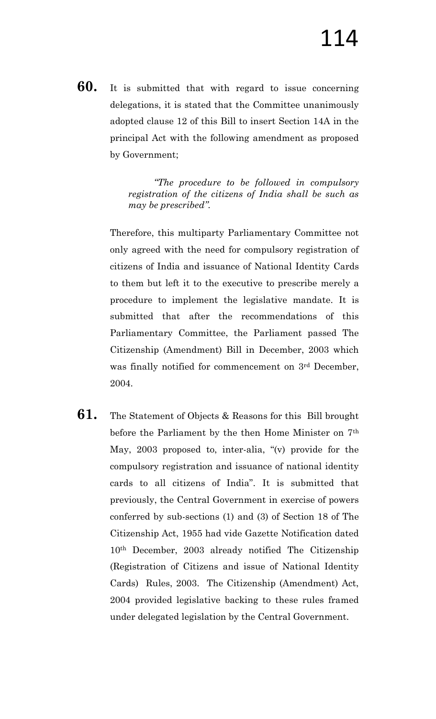**60.** It is submitted that with regard to issue concerning delegations, it is stated that the Committee unanimously adopted clause 12 of this Bill to insert Section 14A in the principal Act with the following amendment as proposed by Government;

> *―The procedure to be followed in compulsory registration of the citizens of India shall be such as may be prescribed".*

Therefore, this multiparty Parliamentary Committee not only agreed with the need for compulsory registration of citizens of India and issuance of National Identity Cards to them but left it to the executive to prescribe merely a procedure to implement the legislative mandate. It is submitted that after the recommendations of this Parliamentary Committee, the Parliament passed The Citizenship (Amendment) Bill in December, 2003 which was finally notified for commencement on 3<sup>rd</sup> December, 2004.

**61.** The Statement of Objects & Reasons for this Bill brought before the Parliament by the then Home Minister on 7th May, 2003 proposed to, inter-alia, "(v) provide for the compulsory registration and issuance of national identity cards to all citizens of India". It is submitted that previously, the Central Government in exercise of powers conferred by sub-sections (1) and (3) of Section 18 of The Citizenship Act, 1955 had vide Gazette Notification dated 10th December, 2003 already notified The Citizenship (Registration of Citizens and issue of National Identity Cards) Rules, 2003. The Citizenship (Amendment) Act, 2004 provided legislative backing to these rules framed under delegated legislation by the Central Government.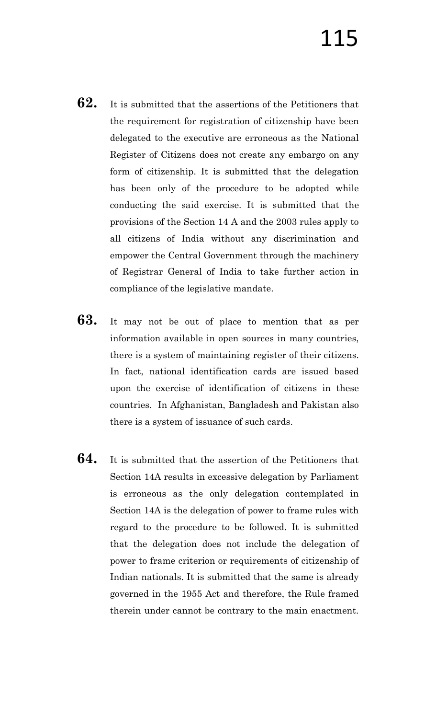- **62.** It is submitted that the assertions of the Petitioners that the requirement for registration of citizenship have been delegated to the executive are erroneous as the National Register of Citizens does not create any embargo on any form of citizenship. It is submitted that the delegation has been only of the procedure to be adopted while conducting the said exercise. It is submitted that the provisions of the Section 14 A and the 2003 rules apply to all citizens of India without any discrimination and empower the Central Government through the machinery of Registrar General of India to take further action in compliance of the legislative mandate.
- **63.** It may not be out of place to mention that as per information available in open sources in many countries, there is a system of maintaining register of their citizens. In fact, national identification cards are issued based upon the exercise of identification of citizens in these countries. In Afghanistan, Bangladesh and Pakistan also there is a system of issuance of such cards.
- **64.** It is submitted that the assertion of the Petitioners that Section 14A results in excessive delegation by Parliament is erroneous as the only delegation contemplated in Section 14A is the delegation of power to frame rules with regard to the procedure to be followed. It is submitted that the delegation does not include the delegation of power to frame criterion or requirements of citizenship of Indian nationals. It is submitted that the same is already governed in the 1955 Act and therefore, the Rule framed therein under cannot be contrary to the main enactment.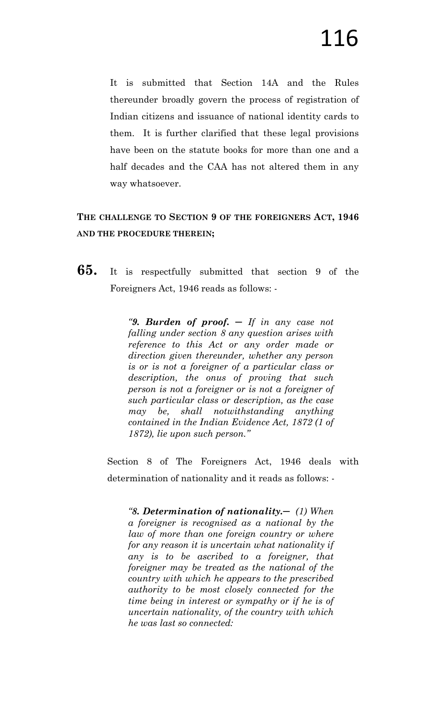It is submitted that Section 14A and the Rules thereunder broadly govern the process of registration of Indian citizens and issuance of national identity cards to them. It is further clarified that these legal provisions have been on the statute books for more than one and a half decades and the CAA has not altered them in any way whatsoever.

### **THE CHALLENGE TO SECTION 9 OF THE FOREIGNERS ACT, 1946 AND THE PROCEDURE THEREIN;**

**65.** It is respectfully submitted that section 9 of the Foreigners Act, 1946 reads as follows: -

> *―9. Burden of proof. ─ If in any case not falling under section 8 any question arises with reference to this Act or any order made or direction given thereunder, whether any person is or is not a foreigner of a particular class or description, the onus of proving that such person is not a foreigner or is not a foreigner of such particular class or description, as the case may be, shall notwithstanding anything contained in the Indian Evidence Act, 1872 (1 of 1872), lie upon such person.‖*

Section 8 of The Foreigners Act, 1946 deals with determination of nationality and it reads as follows: -

*―8. Determination of nationality.─ (1) When a foreigner is recognised as a national by the law of more than one foreign country or where for any reason it is uncertain what nationality if any is to be ascribed to a foreigner, that foreigner may be treated as the national of the country with which he appears to the prescribed authority to be most closely connected for the time being in interest or sympathy or if he is of uncertain nationality, of the country with which he was last so connected:*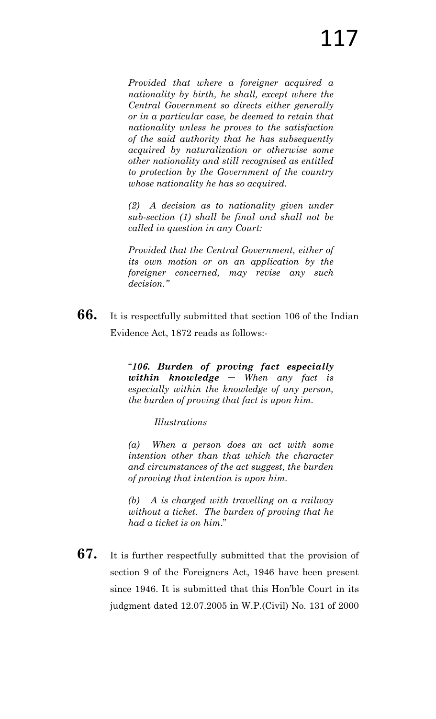*Provided that where a foreigner acquired a nationality by birth, he shall, except where the Central Government so directs either generally or in a particular case, be deemed to retain that nationality unless he proves to the satisfaction of the said authority that he has subsequently acquired by naturalization or otherwise some other nationality and still recognised as entitled to protection by the Government of the country whose nationality he has so acquired.*

*(2) A decision as to nationality given under sub-section (1) shall be final and shall not be called in question in any Court:*

*Provided that the Central Government, either of its own motion or on an application by the foreigner concerned, may revise any such decision.‖*

**66.** It is respectfully submitted that section 106 of the Indian Evidence Act, 1872 reads as follows:-

> "*106. Burden of proving fact especially within knowledge ─ When any fact is especially within the knowledge of any person, the burden of proving that fact is upon him.*

> > *Illustrations*

*(a) When a person does an act with some intention other than that which the character and circumstances of the act suggest, the burden of proving that intention is upon him.* 

*(b) A is charged with travelling on a railway without a ticket. The burden of proving that he had a ticket is on him*."

**67.** It is further respectfully submitted that the provision of section 9 of the Foreigners Act, 1946 have been present since 1946. It is submitted that this Hon"ble Court in its judgment dated 12.07.2005 in W.P.(Civil) No. 131 of 2000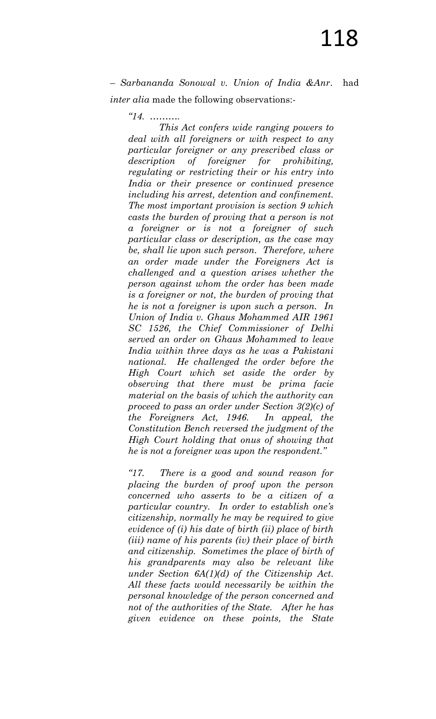– *Sarbananda Sonowal v. Union of India &Anr*. had *inter alia* made the following observations:-

*―14. ……….* 

 *This Act confers wide ranging powers to deal with all foreigners or with respect to any particular foreigner or any prescribed class or description of foreigner for prohibiting, regulating or restricting their or his entry into India or their presence or continued presence including his arrest, detention and confinement. The most important provision is section 9 which casts the burden of proving that a person is not a foreigner or is not a foreigner of such particular class or description, as the case may be, shall lie upon such person. Therefore, where an order made under the Foreigners Act is challenged and a question arises whether the person against whom the order has been made is a foreigner or not, the burden of proving that he is not a foreigner is upon such a person. In Union of India v. Ghaus Mohammed AIR 1961 SC 1526, the Chief Commissioner of Delhi served an order on Ghaus Mohammed to leave India within three days as he was a Pakistani national. He challenged the order before the High Court which set aside the order by observing that there must be prima facie material on the basis of which the authority can proceed to pass an order under Section 3(2)(c) of the Foreigners Act, 1946. In appeal, the Constitution Bench reversed the judgment of the High Court holding that onus of showing that he is not a foreigner was upon the respondent.‖*

*―17. There is a good and sound reason for placing the burden of proof upon the person concerned who asserts to be a citizen of a particular country. In order to establish one's citizenship, normally he may be required to give evidence of (i) his date of birth (ii) place of birth (iii) name of his parents (iv) their place of birth and citizenship. Sometimes the place of birth of his grandparents may also be relevant like under Section 6A(1)(d) of the Citizenship Act. All these facts would necessarily be within the personal knowledge of the person concerned and not of the authorities of the State. After he has given evidence on these points, the State*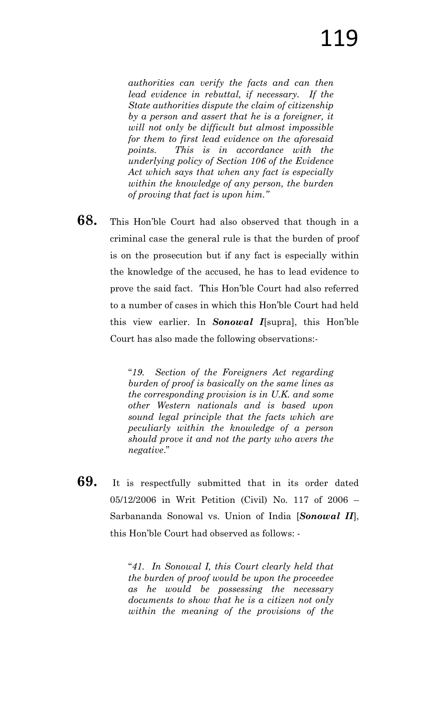*authorities can verify the facts and can then lead evidence in rebuttal, if necessary. If the State authorities dispute the claim of citizenship by a person and assert that he is a foreigner, it will not only be difficult but almost impossible for them to first lead evidence on the aforesaid points. This is in accordance with the underlying policy of Section 106 of the Evidence Act which says that when any fact is especially within the knowledge of any person, the burden of proving that fact is upon him.‖* 

**68.** This Hon"ble Court had also observed that though in a criminal case the general rule is that the burden of proof is on the prosecution but if any fact is especially within the knowledge of the accused, he has to lead evidence to prove the said fact. This Hon"ble Court had also referred to a number of cases in which this Hon"ble Court had held this view earlier. In *Sonowal I*[supra], this Hon"ble Court has also made the following observations:-

> "*19. Section of the Foreigners Act regarding burden of proof is basically on the same lines as the corresponding provision is in U.K. and some other Western nationals and is based upon sound legal principle that the facts which are peculiarly within the knowledge of a person should prove it and not the party who avers the negative*."

**69.** It is respectfully submitted that in its order dated 05/12/2006 in Writ Petition (Civil) No. 117 of 2006 – Sarbananda Sonowal vs. Union of India [*Sonowal II*], this Hon"ble Court had observed as follows: -

> "*41. In Sonowal I, this Court clearly held that the burden of proof would be upon the proceedee as he would be possessing the necessary documents to show that he is a citizen not only within the meaning of the provisions of the*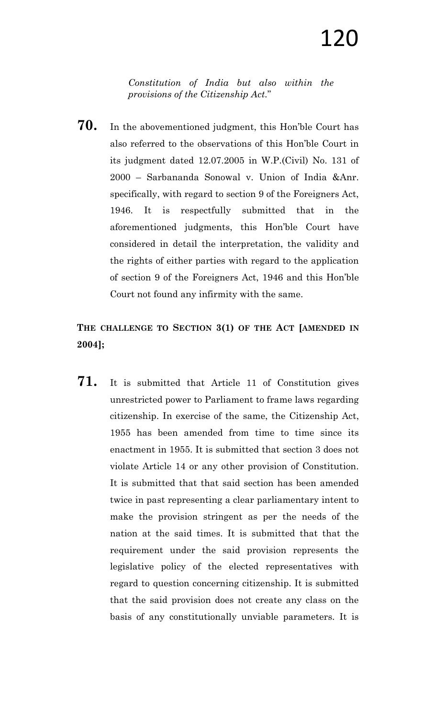*Constitution of India but also within the provisions of the Citizenship Act.*"

**70.** In the abovementioned judgment, this Hon"ble Court has also referred to the observations of this Hon"ble Court in its judgment dated 12.07.2005 in W.P.(Civil) No. 131 of 2000 – Sarbananda Sonowal v. Union of India &Anr. specifically, with regard to section 9 of the Foreigners Act, 1946. It is respectfully submitted that in the aforementioned judgments, this Hon"ble Court have considered in detail the interpretation, the validity and the rights of either parties with regard to the application of section 9 of the Foreigners Act, 1946 and this Hon"ble Court not found any infirmity with the same.

### **THE CHALLENGE TO SECTION 3(1) OF THE ACT [AMENDED IN 2004];**

**71.** It is submitted that Article 11 of Constitution gives unrestricted power to Parliament to frame laws regarding citizenship. In exercise of the same, the Citizenship Act, 1955 has been amended from time to time since its enactment in 1955. It is submitted that section 3 does not violate Article 14 or any other provision of Constitution. It is submitted that that said section has been amended twice in past representing a clear parliamentary intent to make the provision stringent as per the needs of the nation at the said times. It is submitted that that the requirement under the said provision represents the legislative policy of the elected representatives with regard to question concerning citizenship. It is submitted that the said provision does not create any class on the basis of any constitutionally unviable parameters. It is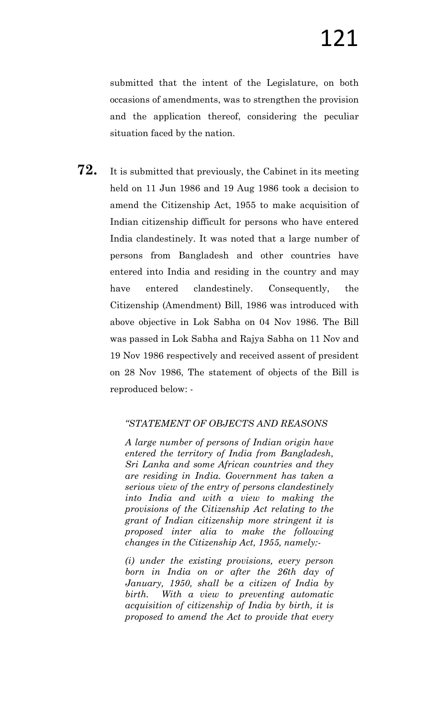submitted that the intent of the Legislature, on both occasions of amendments, was to strengthen the provision and the application thereof, considering the peculiar situation faced by the nation.

**72.** It is submitted that previously, the Cabinet in its meeting held on 11 Jun 1986 and 19 Aug 1986 took a decision to amend the Citizenship Act, 1955 to make acquisition of Indian citizenship difficult for persons who have entered India clandestinely. It was noted that a large number of persons from Bangladesh and other countries have entered into India and residing in the country and may have entered clandestinely. Consequently, the Citizenship (Amendment) Bill, 1986 was introduced with above objective in Lok Sabha on 04 Nov 1986. The Bill was passed in Lok Sabha and Rajya Sabha on 11 Nov and 19 Nov 1986 respectively and received assent of president on 28 Nov 1986, The statement of objects of the Bill is reproduced below: -

### *―STATEMENT OF OBJECTS AND REASONS*

*A large number of persons of Indian origin have entered the territory of India from Bangladesh, Sri Lanka and some African countries and they are residing in India. Government has taken a serious view of the entry of persons clandestinely into India and with a view to making the provisions of the Citizenship Act relating to the grant of Indian citizenship more stringent it is proposed inter alia to make the following changes in the Citizenship Act, 1955, namely:-*

*(i) under the existing provisions, every person born in India on or after the 26th day of January, 1950, shall be a citizen of India by birth. With a view to preventing automatic acquisition of citizenship of India by birth, it is proposed to amend the Act to provide that every*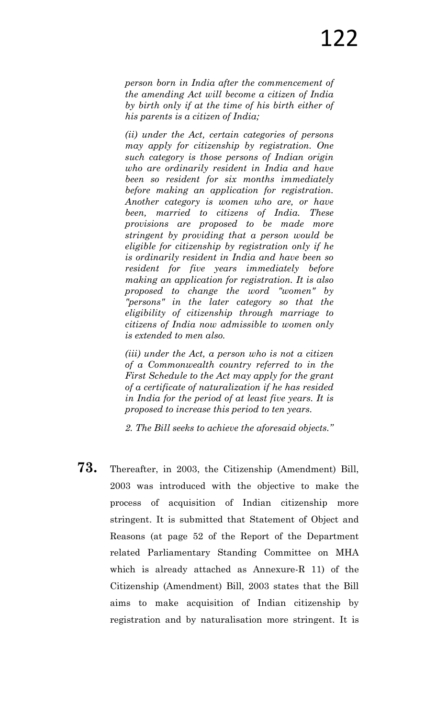*person born in India after the commencement of the amending Act will become a citizen of India by birth only if at the time of his birth either of his parents is a citizen of India;*

*(ii) under the Act, certain categories of persons may apply for citizenship by registration. One such category is those persons of Indian origin who are ordinarily resident in India and have been so resident for six months immediately before making an application for registration. Another category is women who are, or have been, married to citizens of India. These provisions are proposed to be made more stringent by providing that a person would be eligible for citizenship by registration only if he is ordinarily resident in India and have been so resident for five years immediately before making an application for registration. It is also proposed to change the word "women" by "persons" in the later category so that the eligibility of citizenship through marriage to citizens of India now admissible to women only is extended to men also.*

*(iii) under the Act, a person who is not a citizen of a Commonwealth country referred to in the First Schedule to the Act may apply for the grant of a certificate of naturalization if he has resided in India for the period of at least five years. It is proposed to increase this period to ten years.*

*2. The Bill seeks to achieve the aforesaid objects.‖*

**73.** Thereafter, in 2003, the Citizenship (Amendment) Bill, 2003 was introduced with the objective to make the process of acquisition of Indian citizenship more stringent. It is submitted that Statement of Object and Reasons (at page 52 of the Report of the Department related Parliamentary Standing Committee on MHA which is already attached as Annexure-R 11) of the Citizenship (Amendment) Bill, 2003 states that the Bill aims to make acquisition of Indian citizenship by registration and by naturalisation more stringent. It is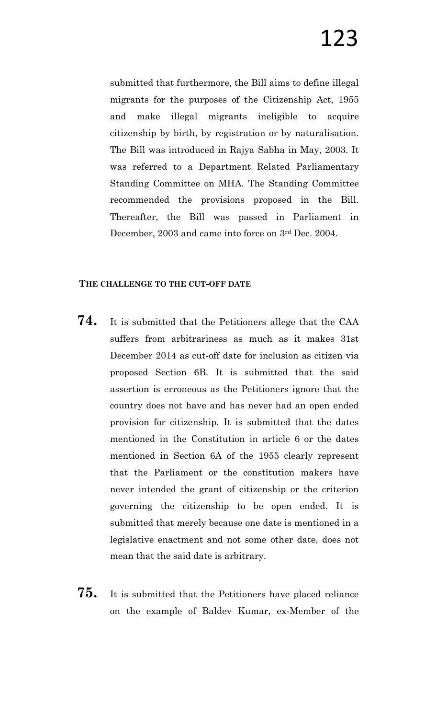submitted that furthermore, the Bill aims to define illegal migrants for the purposes of the Citizenship Act, 1955 and make illegal migrants ineligible to acquire citizenship by birth, by registration or by naturalisation. The Bill was introduced in Rajya Sabha in May, 2003. It was referred to a Department Related Parliamentary Standing Committee on MHA. The Standing Committee recommended the provisions proposed in the Bill. Thereafter, the Bill was passed in Parliament in December, 2003 and came into force on 3rd Dec. 2004.

#### **THE CHALLENGE TO THE CUT-OFF DATE**

- **74.** It is submitted that the Petitioners allege that the CAA suffers from arbitrariness as much as it makes 31st December 2014 as cut-off date for inclusion as citizen via proposed Section 6B. It is submitted that the said assertion is erroneous as the Petitioners ignore that the country does not have and has never had an open ended provision for citizenship. It is submitted that the dates mentioned in the Constitution in article 6 or the dates mentioned in Section 6A of the 1955 clearly represent that the Parliament or the constitution makers have never intended the grant of citizenship or the criterion governing the citizenship to be open ended. It is submitted that merely because one date is mentioned in a legislative enactment and not some other date, does not mean that the said date is arbitrary.
- **75.** It is submitted that the Petitioners have placed reliance on the example of Baldev Kumar, ex-Member of the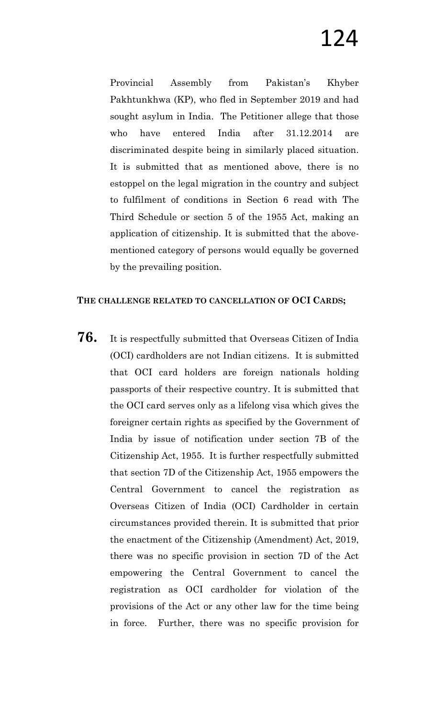Provincial Assembly from Pakistan's Khyber Pakhtunkhwa (KP), who fled in September 2019 and had sought asylum in India. The Petitioner allege that those who have entered India after 31.12.2014 are discriminated despite being in similarly placed situation. It is submitted that as mentioned above, there is no estoppel on the legal migration in the country and subject to fulfilment of conditions in Section 6 read with The Third Schedule or section 5 of the 1955 Act, making an application of citizenship. It is submitted that the abovementioned category of persons would equally be governed by the prevailing position.

### **THE CHALLENGE RELATED TO CANCELLATION OF OCI CARDS;**

**76.** It is respectfully submitted that Overseas Citizen of India (OCI) cardholders are not Indian citizens. It is submitted that OCI card holders are foreign nationals holding passports of their respective country. It is submitted that the OCI card serves only as a lifelong visa which gives the foreigner certain rights as specified by the Government of India by issue of notification under section 7B of the Citizenship Act, 1955. It is further respectfully submitted that section 7D of the Citizenship Act, 1955 empowers the Central Government to cancel the registration as Overseas Citizen of India (OCI) Cardholder in certain circumstances provided therein. It is submitted that prior the enactment of the Citizenship (Amendment) Act, 2019, there was no specific provision in section 7D of the Act empowering the Central Government to cancel the registration as OCI cardholder for violation of the provisions of the Act or any other law for the time being in force. Further, there was no specific provision for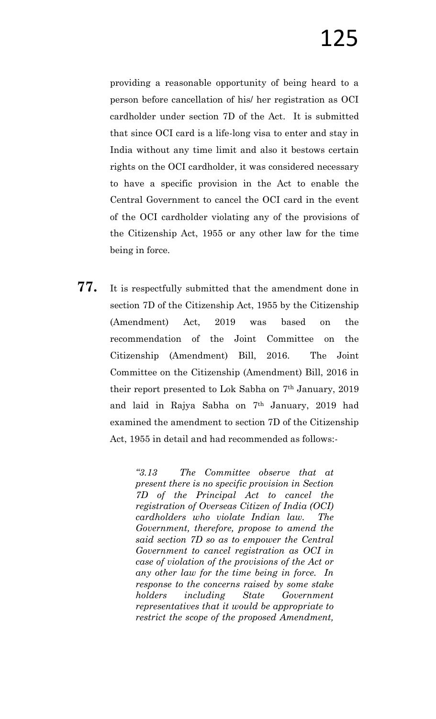providing a reasonable opportunity of being heard to a person before cancellation of his/ her registration as OCI cardholder under section 7D of the Act. It is submitted that since OCI card is a life-long visa to enter and stay in India without any time limit and also it bestows certain rights on the OCI cardholder, it was considered necessary to have a specific provision in the Act to enable the Central Government to cancel the OCI card in the event of the OCI cardholder violating any of the provisions of the Citizenship Act, 1955 or any other law for the time being in force.

**77.** It is respectfully submitted that the amendment done in section 7D of the Citizenship Act, 1955 by the Citizenship (Amendment) Act, 2019 was based on the recommendation of the Joint Committee on the Citizenship (Amendment) Bill, 2016. The Joint Committee on the Citizenship (Amendment) Bill, 2016 in their report presented to Lok Sabha on 7th January, 2019 and laid in Rajya Sabha on 7th January, 2019 had examined the amendment to section 7D of the Citizenship Act, 1955 in detail and had recommended as follows:-

> *―3.13 The Committee observe that at present there is no specific provision in Section 7D of the Principal Act to cancel the registration of Overseas Citizen of India (OCI) cardholders who violate Indian law. The Government, therefore, propose to amend the said section 7D so as to empower the Central Government to cancel registration as OCI in case of violation of the provisions of the Act or any other law for the time being in force. In response to the concerns raised by some stake holders including State Government representatives that it would be appropriate to restrict the scope of the proposed Amendment,*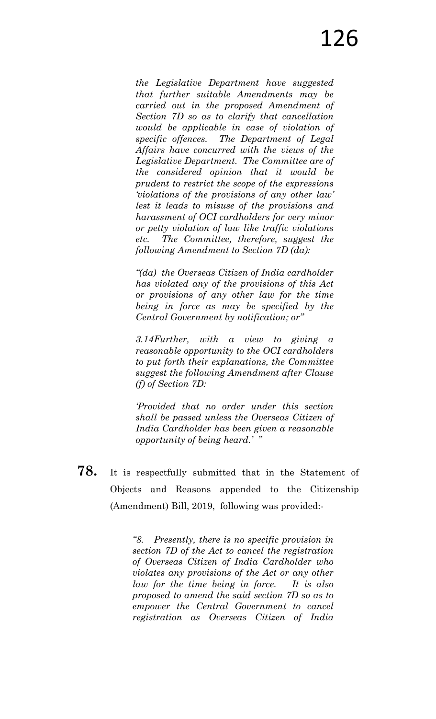*the Legislative Department have suggested that further suitable Amendments may be carried out in the proposed Amendment of Section 7D so as to clarify that cancellation would be applicable in case of violation of specific offences. The Department of Legal Affairs have concurred with the views of the Legislative Department. The Committee are of the considered opinion that it would be prudent to restrict the scope of the expressions ‗violations of the provisions of any other law' lest it leads to misuse of the provisions and harassment of OCI cardholders for very minor or petty violation of law like traffic violations etc. The Committee, therefore, suggest the following Amendment to Section 7D (da):*

*―(da) the Overseas Citizen of India cardholder has violated any of the provisions of this Act or provisions of any other law for the time being in force as may be specified by the Central Government by notification; or*"

*3.14Further, with a view to giving a reasonable opportunity to the OCI cardholders to put forth their explanations, the Committee suggest the following Amendment after Clause (f) of Section 7D:*

*‗Provided that no order under this section shall be passed unless the Overseas Citizen of India Cardholder has been given a reasonable opportunity of being heard.' ‖*

**78.** It is respectfully submitted that in the Statement of Objects and Reasons appended to the Citizenship (Amendment) Bill, 2019, following was provided:-

> *―8. Presently, there is no specific provision in section 7D of the Act to cancel the registration of Overseas Citizen of India Cardholder who violates any provisions of the Act or any other law for the time being in force. It is also proposed to amend the said section 7D so as to empower the Central Government to cancel registration as Overseas Citizen of India*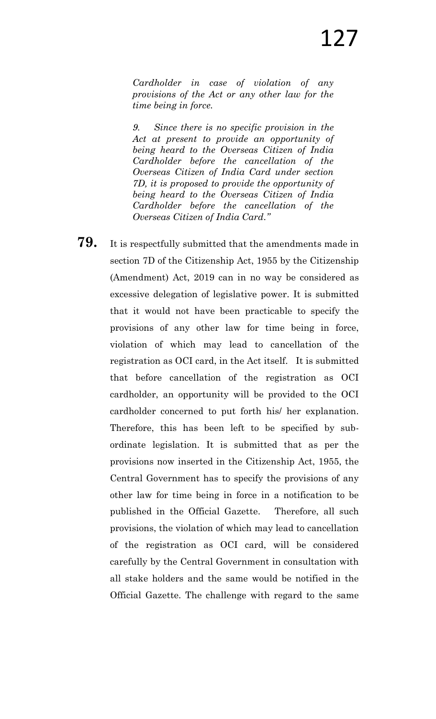*Cardholder in case of violation of any provisions of the Act or any other law for the time being in force.*

*9. Since there is no specific provision in the Act at present to provide an opportunity of being heard to the Overseas Citizen of India Cardholder before the cancellation of the Overseas Citizen of India Card under section 7D, it is proposed to provide the opportunity of being heard to the Overseas Citizen of India Cardholder before the cancellation of the Overseas Citizen of India Card.‖* 

**79.** It is respectfully submitted that the amendments made in section 7D of the Citizenship Act, 1955 by the Citizenship (Amendment) Act, 2019 can in no way be considered as excessive delegation of legislative power. It is submitted that it would not have been practicable to specify the provisions of any other law for time being in force, violation of which may lead to cancellation of the registration as OCI card, in the Act itself. It is submitted that before cancellation of the registration as OCI cardholder, an opportunity will be provided to the OCI cardholder concerned to put forth his/ her explanation. Therefore, this has been left to be specified by subordinate legislation. It is submitted that as per the provisions now inserted in the Citizenship Act, 1955, the Central Government has to specify the provisions of any other law for time being in force in a notification to be published in the Official Gazette. Therefore, all such provisions, the violation of which may lead to cancellation of the registration as OCI card, will be considered carefully by the Central Government in consultation with all stake holders and the same would be notified in the Official Gazette. The challenge with regard to the same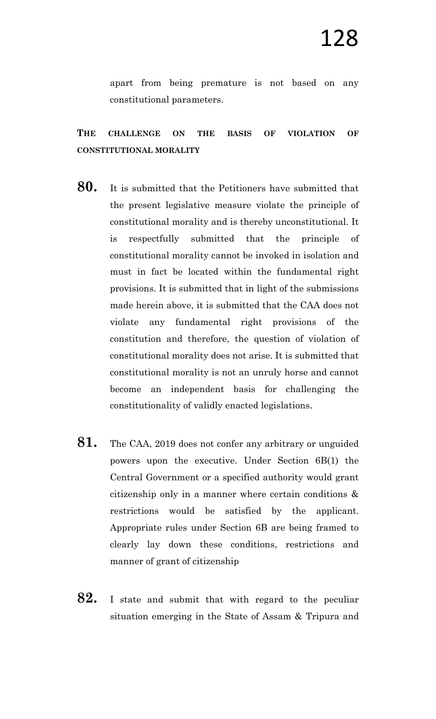apart from being premature is not based on any constitutional parameters.

### **THE CHALLENGE ON THE BASIS OF VIOLATION OF CONSTITUTIONAL MORALITY**

- **80.** It is submitted that the Petitioners have submitted that the present legislative measure violate the principle of constitutional morality and is thereby unconstitutional. It is respectfully submitted that the principle of constitutional morality cannot be invoked in isolation and must in fact be located within the fundamental right provisions. It is submitted that in light of the submissions made herein above, it is submitted that the CAA does not violate any fundamental right provisions of the constitution and therefore, the question of violation of constitutional morality does not arise. It is submitted that constitutional morality is not an unruly horse and cannot become an independent basis for challenging the constitutionality of validly enacted legislations.
- **81.** The CAA, 2019 does not confer any arbitrary or unguided powers upon the executive. Under Section 6B(1) the Central Government or a specified authority would grant citizenship only in a manner where certain conditions & restrictions would be satisfied by the applicant. Appropriate rules under Section 6B are being framed to clearly lay down these conditions, restrictions and manner of grant of citizenship
- **82.** I state and submit that with regard to the peculiar situation emerging in the State of Assam & Tripura and